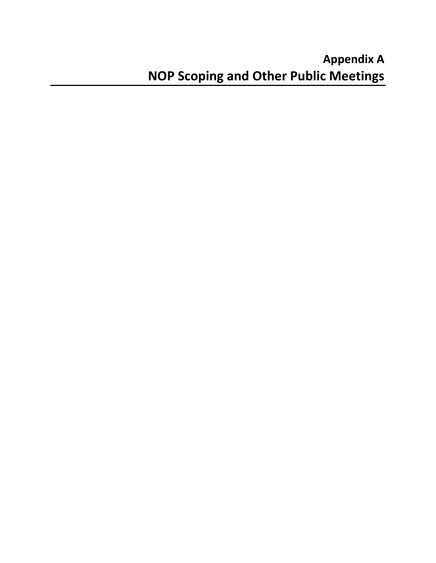# **Appendix A NOP Scoping and Other Public Meetings**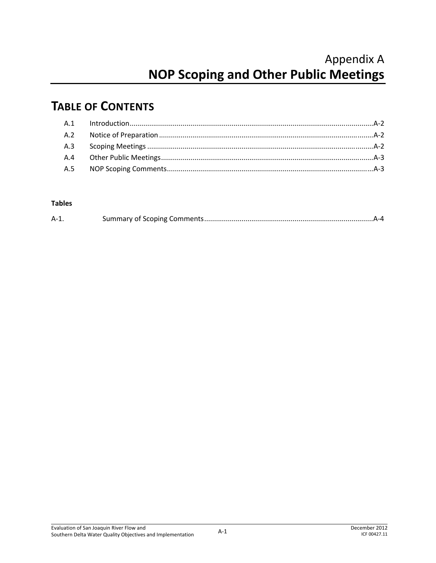# Appendix A **NOP Scoping and Other Public Meetings**

### **TABLE OF CONTENTS**

### **Tables**

| $A-1$ |  |
|-------|--|
|-------|--|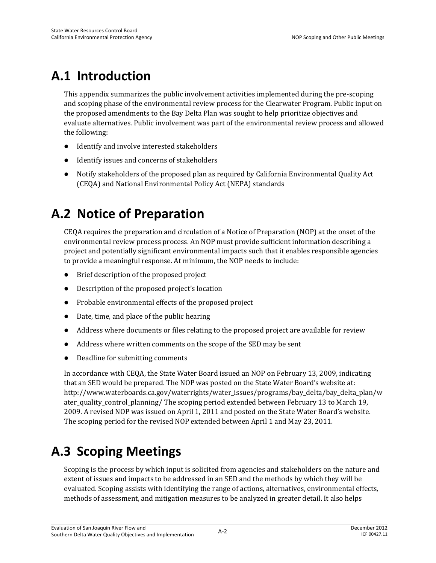# **A.1 Introduction**

This appendix summarizes the public involvement activities implemented during the pre-scoping and scoping phase of the environmental review process for the Clearwater Program. Public input on the proposed amendments to the Bay Delta Plan was sought to help prioritize objectives and evaluate alternatives. Public involvement was part of the environmental review process and allowed the following:

- Identify and involve interested stakeholders
- Identify issues and concerns of stakeholders
- Notify stakeholders of the proposed plan as required by California Environmental Quality Act (CEQA) and National Environmental Policy Act (NEPA) standards

## **A.2 Notice of Preparation**

CEQA requires the preparation and circulation of a Notice of Preparation (NOP) at the onset of the environmental review process process. An NOP must provide sufficient information describing a project and potentially significant environmental impacts such that it enables responsible agencies to provide a meaningful response. At minimum, the NOP needs to include:

- Brief description of the proposed project
- Description of the proposed project's location
- Probable environmental effects of the proposed project
- Date, time, and place of the public hearing
- Address where documents or files relating to the proposed project are available for review
- Address where written comments on the scope of the SED may be sent
- Deadline for submitting comments

In accordance with CEQA, the State Water Board issued an NOP on February 13, 2009, indicating that an SED would be prepared. The NOP was posted on the State Water Board's website at: http://www.waterboards.ca.gov/waterrights/water\_issues/programs/bay\_delta/bay\_delta\_plan/w ater\_quality\_control\_planning/ The scoping period extended between February 13 to March 19, 2009. A revised NOP was issued on April 1, 2011 and posted on the State Water Board's website. The scoping period for the revised NOP extended between April 1 and May 23, 2011.

### **A.3 Scoping Meetings**

Scoping is the process by which input is solicited from agencies and stakeholders on the nature and extent of issues and impacts to be addressed in an SED and the methods by which they will be evaluated. Scoping assists with identifying the range of actions, alternatives, environmental effects, methods of assessment, and mitigation measures to be analyzed in greater detail. It also helps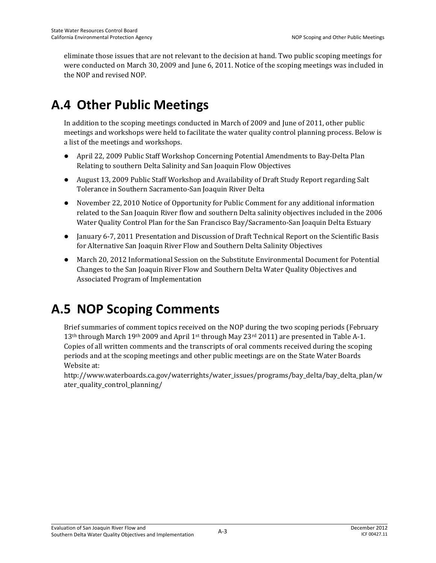eliminate those issues that are not relevant to the decision at hand. Two public scoping meetings for were conducted on March 30, 2009 and June 6, 2011. Notice of the scoping meetings was included in the NOP and revised NOP.

## **A.4 Other Public Meetings**

In addition to the scoping meetings conducted in March of 2009 and June of 2011, other public meetings and workshops were held to facilitate the water quality control planning process. Below is a list of the meetings and workshops.

- April 22, 2009 Public Staff Workshop Concerning Potential Amendments to Bay-Delta Plan Relating to southern Delta Salinity and San Joaquin Flow Objectives
- August 13, 2009 Public Staff Workshop and Availability of Draft Study Report regarding Salt Tolerance in Southern Sacramento-San Joaquin River Delta
- November 22, 2010 Notice of Opportunity for Public Comment for any additional information related to the San Joaquin River flow and southern Delta salinity objectives included in the 2006 Water Quality Control Plan for the San Francisco Bay/Sacramento-San Joaquin Delta Estuary
- January 6-7, 2011 Presentation and Discussion of Draft Technical Report on the Scientific Basis for Alternative San Joaquin River Flow and Southern Delta Salinity Objectives
- March 20, 2012 Informational Session on the Substitute Environmental Document for Potential Changes to the San Joaquin River Flow and Southern Delta Water Quality Objectives and Associated Program of Implementation

### **A.5 NOP Scoping Comments**

Brief summaries of comment topics received on the NOP during the two scoping periods (February 13<sup>th</sup> through March 19<sup>th</sup> 2009 and April 1<sup>st</sup> through May 23<sup>rd</sup> 2011) are presented in Table A-1. Copies of all written comments and the transcripts of oral comments received during the scoping periods and at the scoping meetings and other public meetings are on the State Water Boards Website at:

http://www.waterboards.ca.gov/waterrights/water\_issues/programs/bay\_delta/bay\_delta\_plan/w ater quality control planning/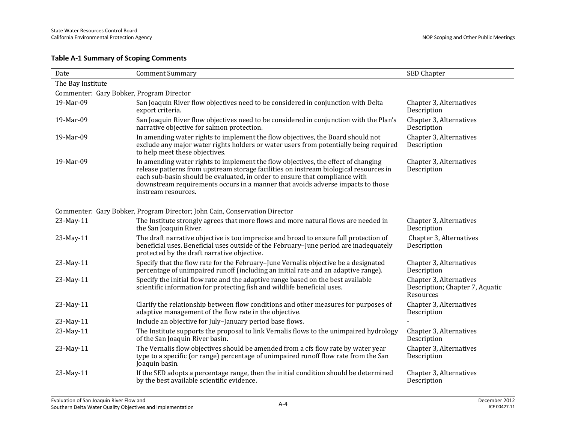### **Table A-1 Summary of Scoping Comments**

| Date                                     | <b>Comment Summary</b>                                                                                                                                                                                                                                                                                                                                              | SED Chapter                                                             |
|------------------------------------------|---------------------------------------------------------------------------------------------------------------------------------------------------------------------------------------------------------------------------------------------------------------------------------------------------------------------------------------------------------------------|-------------------------------------------------------------------------|
| The Bay Institute                        |                                                                                                                                                                                                                                                                                                                                                                     |                                                                         |
| Commenter: Gary Bobker, Program Director |                                                                                                                                                                                                                                                                                                                                                                     |                                                                         |
| 19-Mar-09                                | San Joaquin River flow objectives need to be considered in conjunction with Delta<br>export criteria.                                                                                                                                                                                                                                                               | Chapter 3, Alternatives<br>Description                                  |
| 19-Mar-09                                | San Joaquin River flow objectives need to be considered in conjunction with the Plan's<br>narrative objective for salmon protection.                                                                                                                                                                                                                                | Chapter 3, Alternatives<br>Description                                  |
| 19-Mar-09                                | In amending water rights to implement the flow objectives, the Board should not<br>exclude any major water rights holders or water users from potentially being required<br>to help meet these objectives.                                                                                                                                                          | Chapter 3, Alternatives<br>Description                                  |
| 19-Mar-09                                | In amending water rights to implement the flow objectives, the effect of changing<br>release patterns from upstream storage facilities on instream biological resources in<br>each sub-basin should be evaluated, in order to ensure that compliance with<br>downstream requirements occurs in a manner that avoids adverse impacts to those<br>instream resources. | Chapter 3, Alternatives<br>Description                                  |
|                                          | Commenter: Gary Bobker, Program Director; John Cain, Conservation Director                                                                                                                                                                                                                                                                                          |                                                                         |
| 23-May-11                                | The Institute strongly agrees that more flows and more natural flows are needed in<br>the San Joaquin River.                                                                                                                                                                                                                                                        | Chapter 3, Alternatives<br>Description                                  |
| 23-May-11                                | The draft narrative objective is too imprecise and broad to ensure full protection of<br>beneficial uses. Beneficial uses outside of the February-June period are inadequately<br>protected by the draft narrative objective.                                                                                                                                       | Chapter 3, Alternatives<br>Description                                  |
| 23-May-11                                | Specify that the flow rate for the February-June Vernalis objective be a designated<br>percentage of unimpaired runoff (including an initial rate and an adaptive range).                                                                                                                                                                                           | Chapter 3, Alternatives<br>Description                                  |
| 23-May-11                                | Specify the initial flow rate and the adaptive range based on the best available<br>scientific information for protecting fish and wildlife beneficial uses.                                                                                                                                                                                                        | Chapter 3, Alternatives<br>Description; Chapter 7, Aquatic<br>Resources |
| 23-May-11                                | Clarify the relationship between flow conditions and other measures for purposes of<br>adaptive management of the flow rate in the objective.                                                                                                                                                                                                                       | Chapter 3, Alternatives<br>Description                                  |
| 23-May-11                                | Include an objective for July-January period base flows.                                                                                                                                                                                                                                                                                                            |                                                                         |
| 23-May-11                                | The Institute supports the proposal to link Vernalis flows to the unimpaired hydrology<br>of the San Joaquin River basin.                                                                                                                                                                                                                                           | Chapter 3, Alternatives<br>Description                                  |
| 23-May-11                                | The Vernalis flow objectives should be amended from a cfs flow rate by water year<br>type to a specific (or range) percentage of unimpaired runoff flow rate from the San<br>Joaquin basin.                                                                                                                                                                         | Chapter 3, Alternatives<br>Description                                  |
| 23-May-11                                | If the SED adopts a percentage range, then the initial condition should be determined<br>by the best available scientific evidence.                                                                                                                                                                                                                                 | Chapter 3, Alternatives<br>Description                                  |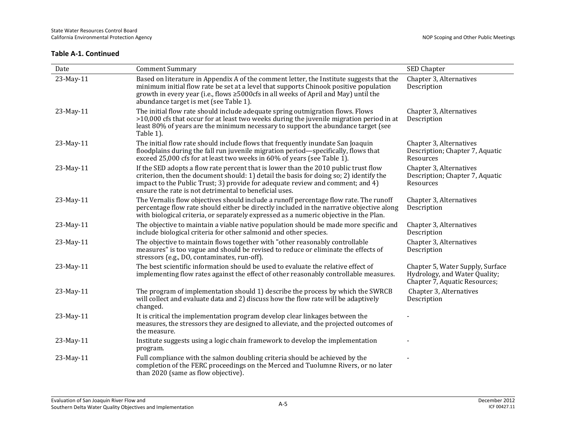| Date      | <b>Comment Summary</b>                                                                                                                                                                                                                                                                                                    | SED Chapter                                                                                        |
|-----------|---------------------------------------------------------------------------------------------------------------------------------------------------------------------------------------------------------------------------------------------------------------------------------------------------------------------------|----------------------------------------------------------------------------------------------------|
| 23-May-11 | Based on literature in Appendix A of the comment letter, the Institute suggests that the<br>minimum initial flow rate be set at a level that supports Chinook positive population<br>growth in every year (i.e., flows ≥5000cfs in all weeks of April and May) until the<br>abundance target is met (see Table 1).        | Chapter 3, Alternatives<br>Description                                                             |
| 23-May-11 | The initial flow rate should include adequate spring outmigration flows. Flows<br>>10,000 cfs that occur for at least two weeks during the juvenile migration period in at<br>least 80% of years are the minimum necessary to support the abundance target (see<br>Table 1).                                              | Chapter 3, Alternatives<br>Description                                                             |
| 23-May-11 | The initial flow rate should include flows that frequently inundate San Joaquin<br>floodplains during the fall run juvenile migration period—specifically, flows that<br>exceed 25,000 cfs for at least two weeks in 60% of years (see Table 1).                                                                          | Chapter 3, Alternatives<br>Description; Chapter 7, Aquatic<br>Resources                            |
| 23-May-11 | If the SED adopts a flow rate percent that is lower than the 2010 public trust flow<br>criterion, then the document should: 1) detail the basis for doing so; 2) identify the<br>impact to the Public Trust; 3) provide for adequate review and comment; and 4)<br>ensure the rate is not detrimental to beneficial uses. | Chapter 3, Alternatives<br>Description; Chapter 7, Aquatic<br>Resources                            |
| 23-May-11 | The Vernalis flow objectives should include a runoff percentage flow rate. The runoff<br>percentage flow rate should either be directly included in the narrative objective along<br>with biological criteria, or separately expressed as a numeric objective in the Plan.                                                | Chapter 3, Alternatives<br>Description                                                             |
| 23-May-11 | The objective to maintain a viable native population should be made more specific and<br>include biological criteria for other salmonid and other species.                                                                                                                                                                | Chapter 3, Alternatives<br>Description                                                             |
| 23-May-11 | The objective to maintain flows together with "other reasonably controllable<br>measures" is too vague and should be revised to reduce or eliminate the effects of<br>stressors (e.g., DO, contaminates, run-off).                                                                                                        | Chapter 3, Alternatives<br>Description                                                             |
| 23-May-11 | The best scientific information should be used to evaluate the relative effect of<br>implementing flow rates against the effect of other reasonably controllable measures.                                                                                                                                                | Chapter 5, Water Supply, Surface<br>Hydrology, and Water Quality;<br>Chapter 7, Aquatic Resources; |
| 23-May-11 | The program of implementation should 1) describe the process by which the SWRCB<br>will collect and evaluate data and 2) discuss how the flow rate will be adaptively<br>changed.                                                                                                                                         | Chapter 3, Alternatives<br>Description                                                             |
| 23-May-11 | It is critical the implementation program develop clear linkages between the<br>measures, the stressors they are designed to alleviate, and the projected outcomes of<br>the measure.                                                                                                                                     |                                                                                                    |
| 23-May-11 | Institute suggests using a logic chain framework to develop the implementation<br>program.                                                                                                                                                                                                                                |                                                                                                    |
| 23-May-11 | Full compliance with the salmon doubling criteria should be achieved by the<br>completion of the FERC proceedings on the Merced and Tuolumne Rivers, or no later<br>than 2020 (same as flow objective).                                                                                                                   |                                                                                                    |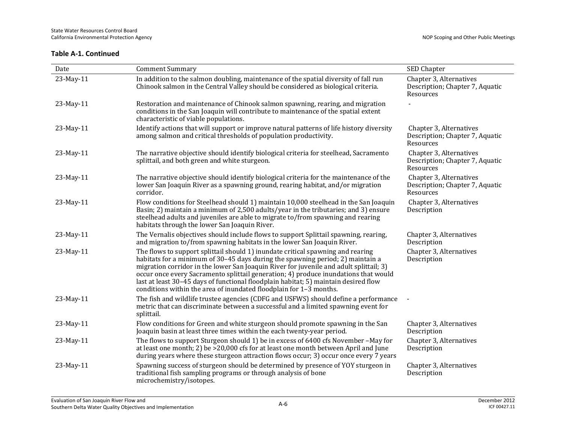| Date      | <b>Comment Summary</b>                                                                                                                                                                                                                                                                                                                                                                                                                                                                                          | SED Chapter                                                             |
|-----------|-----------------------------------------------------------------------------------------------------------------------------------------------------------------------------------------------------------------------------------------------------------------------------------------------------------------------------------------------------------------------------------------------------------------------------------------------------------------------------------------------------------------|-------------------------------------------------------------------------|
| 23-May-11 | In addition to the salmon doubling, maintenance of the spatial diversity of fall run<br>Chinook salmon in the Central Valley should be considered as biological criteria.                                                                                                                                                                                                                                                                                                                                       | Chapter 3, Alternatives<br>Description; Chapter 7, Aquatic<br>Resources |
| 23-May-11 | Restoration and maintenance of Chinook salmon spawning, rearing, and migration<br>conditions in the San Joaquin will contribute to maintenance of the spatial extent<br>characteristic of viable populations.                                                                                                                                                                                                                                                                                                   |                                                                         |
| 23-May-11 | Identify actions that will support or improve natural patterns of life history diversity<br>among salmon and critical thresholds of population productivity.                                                                                                                                                                                                                                                                                                                                                    | Chapter 3, Alternatives<br>Description; Chapter 7, Aquatic<br>Resources |
| 23-May-11 | The narrative objective should identify biological criteria for steelhead, Sacramento<br>splittail, and both green and white sturgeon.                                                                                                                                                                                                                                                                                                                                                                          | Chapter 3, Alternatives<br>Description; Chapter 7, Aquatic<br>Resources |
| 23-May-11 | The narrative objective should identify biological criteria for the maintenance of the<br>lower San Joaquin River as a spawning ground, rearing habitat, and/or migration<br>corridor.                                                                                                                                                                                                                                                                                                                          | Chapter 3, Alternatives<br>Description; Chapter 7, Aquatic<br>Resources |
| 23-May-11 | Flow conditions for Steelhead should 1) maintain 10,000 steelhead in the San Joaquin<br>Basin; 2) maintain a minimum of 2,500 adults/year in the tributaries; and 3) ensure<br>steelhead adults and juveniles are able to migrate to/from spawning and rearing<br>habitats through the lower San Joaquin River.                                                                                                                                                                                                 | Chapter 3, Alternatives<br>Description                                  |
| 23-May-11 | The Vernalis objectives should include flows to support Splittail spawning, rearing,<br>and migration to/from spawning habitats in the lower San Joaquin River.                                                                                                                                                                                                                                                                                                                                                 | Chapter 3, Alternatives<br>Description                                  |
| 23-May-11 | The flows to support splittail should 1) inundate critical spawning and rearing<br>habitats for a minimum of 30–45 days during the spawning period; 2) maintain a<br>migration corridor in the lower San Joaquin River for juvenile and adult splittail; 3)<br>occur once every Sacramento splittail generation; 4) produce inundations that would<br>last at least 30-45 days of functional floodplain habitat; 5) maintain desired flow<br>conditions within the area of inundated floodplain for 1-3 months. | Chapter 3, Alternatives<br>Description                                  |
| 23-May-11 | The fish and wildlife trustee agencies (CDFG and USFWS) should define a performance<br>metric that can discriminate between a successful and a limited spawning event for<br>splittail.                                                                                                                                                                                                                                                                                                                         |                                                                         |
| 23-May-11 | Flow conditions for Green and white sturgeon should promote spawning in the San<br>Joaquin basin at least three times within the each twenty-year period.                                                                                                                                                                                                                                                                                                                                                       | Chapter 3, Alternatives<br>Description                                  |
| 23-May-11 | The flows to support Sturgeon should 1) be in excess of 6400 cfs November – May for<br>at least one month; 2) be $>20,000$ cfs for at least one month between April and June<br>during years where these sturgeon attraction flows occur; 3) occur once every 7 years                                                                                                                                                                                                                                           | Chapter 3, Alternatives<br>Description                                  |
| 23-May-11 | Spawning success of sturgeon should be determined by presence of YOY sturgeon in<br>traditional fish sampling programs or through analysis of bone<br>microchemistry/isotopes.                                                                                                                                                                                                                                                                                                                                  | Chapter 3, Alternatives<br>Description                                  |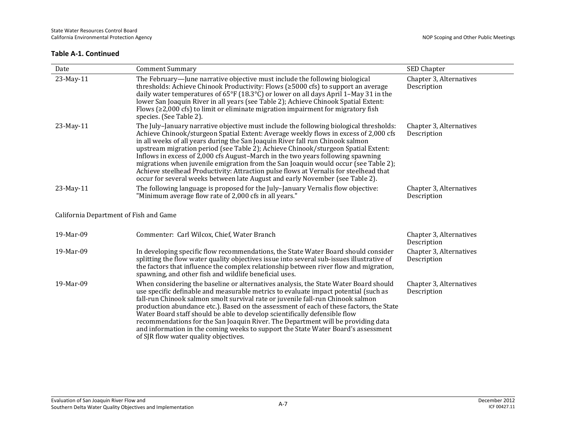| Date                                   | <b>Comment Summary</b>                                                                                                                                                                                                                                                                                                                                                                                                                                                                                                                                                                                                                                                                                    | SED Chapter                            |
|----------------------------------------|-----------------------------------------------------------------------------------------------------------------------------------------------------------------------------------------------------------------------------------------------------------------------------------------------------------------------------------------------------------------------------------------------------------------------------------------------------------------------------------------------------------------------------------------------------------------------------------------------------------------------------------------------------------------------------------------------------------|----------------------------------------|
| 23-May-11                              | The February-June narrative objective must include the following biological<br>thresholds: Achieve Chinook Productivity: Flows ( $\geq$ 5000 cfs) to support an average<br>daily water temperatures of 65°F (18.3°C) or lower on all days April 1–May 31 in the<br>lower San Joaquin River in all years (see Table 2); Achieve Chinook Spatial Extent:<br>Flows ( $\geq$ 2,000 cfs) to limit or eliminate migration impairment for migratory fish<br>species. (See Table 2).                                                                                                                                                                                                                              | Chapter 3, Alternatives<br>Description |
| 23-May-11                              | The July-January narrative objective must include the following biological thresholds:<br>Achieve Chinook/sturgeon Spatial Extent: Average weekly flows in excess of 2,000 cfs<br>in all weeks of all years during the San Joaquin River fall run Chinook salmon<br>upstream migration period (see Table 2); Achieve Chinook/sturgeon Spatial Extent:<br>Inflows in excess of 2,000 cfs August-March in the two years following spawning<br>migrations when juvenile emigration from the San Joaquin would occur (see Table 2);<br>Achieve steelhead Productivity: Attraction pulse flows at Vernalis for steelhead that<br>occur for several weeks between late August and early November (see Table 2). | Chapter 3, Alternatives<br>Description |
| 23-May-11                              | The following language is proposed for the July-January Vernalis flow objective:<br>"Minimum average flow rate of 2,000 cfs in all years."                                                                                                                                                                                                                                                                                                                                                                                                                                                                                                                                                                | Chapter 3, Alternatives<br>Description |
| California Department of Fish and Game |                                                                                                                                                                                                                                                                                                                                                                                                                                                                                                                                                                                                                                                                                                           |                                        |
| 19-Mar-09                              | Commenter: Carl Wilcox, Chief, Water Branch                                                                                                                                                                                                                                                                                                                                                                                                                                                                                                                                                                                                                                                               | Chapter 3, Alternatives<br>Description |
| 19-Mar-09                              | In developing specific flow recommendations, the State Water Board should consider<br>splitting the flow water quality objectives issue into several sub-issues illustrative of<br>the factors that influence the complex relationship between river flow and migration,<br>spawning, and other fish and wildlife beneficial uses.                                                                                                                                                                                                                                                                                                                                                                        | Chapter 3, Alternatives<br>Description |
| 19-Mar-09                              | When considering the baseline or alternatives analysis, the State Water Board should<br>use specific definable and measurable metrics to evaluate impact potential (such as<br>fall-run Chinook salmon smolt survival rate or juvenile fall-run Chinook salmon<br>production abundance etc.). Based on the assessment of each of these factors, the State<br>Water Board staff should be able to develop scientifically defensible flow<br>recommendations for the San Joaquin River. The Department will be providing data<br>and information in the coming weeks to support the State Water Board's assessment<br>of SJR flow water quality objectives.                                                 | Chapter 3, Alternatives<br>Description |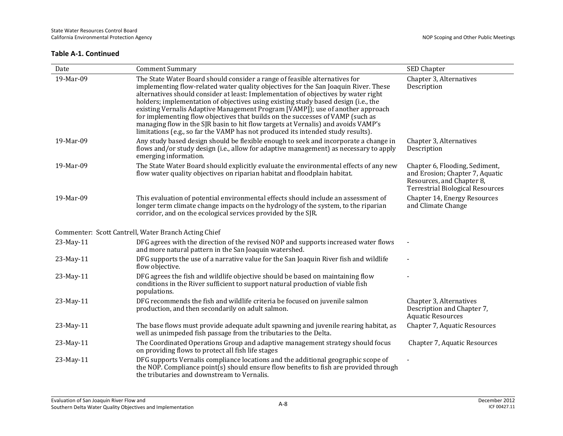| Date      | <b>Comment Summary</b>                                                                                                                                                                                                                                                                                                                                                                                                                                                                                                                                                                                                                                                                     | SED Chapter                                                                                                                               |  |
|-----------|--------------------------------------------------------------------------------------------------------------------------------------------------------------------------------------------------------------------------------------------------------------------------------------------------------------------------------------------------------------------------------------------------------------------------------------------------------------------------------------------------------------------------------------------------------------------------------------------------------------------------------------------------------------------------------------------|-------------------------------------------------------------------------------------------------------------------------------------------|--|
| 19-Mar-09 | The State Water Board should consider a range of feasible alternatives for<br>implementing flow-related water quality objectives for the San Joaquin River. These<br>alternatives should consider at least: Implementation of objectives by water right<br>holders; implementation of objectives using existing study based design (i.e., the<br>existing Vernalis Adaptive Management Program [VAMP]); use of another approach<br>for implementing flow objectives that builds on the successes of VAMP (such as<br>managing flow in the SJR basin to hit flow targets at Vernalis) and avoids VAMP's<br>limitations (e.g., so far the VAMP has not produced its intended study results). | Chapter 3, Alternatives<br>Description                                                                                                    |  |
| 19-Mar-09 | Any study based design should be flexible enough to seek and incorporate a change in<br>flows and/or study design (i.e., allow for adaptive management) as necessary to apply<br>emerging information.                                                                                                                                                                                                                                                                                                                                                                                                                                                                                     | Chapter 3, Alternatives<br>Description                                                                                                    |  |
| 19-Mar-09 | The State Water Board should explicitly evaluate the environmental effects of any new<br>flow water quality objectives on riparian habitat and floodplain habitat.                                                                                                                                                                                                                                                                                                                                                                                                                                                                                                                         | Chapter 6, Flooding, Sediment,<br>and Erosion; Chapter 7, Aquatic<br>Resources, and Chapter 8,<br><b>Terrestrial Biological Resources</b> |  |
| 19-Mar-09 | This evaluation of potential environmental effects should include an assessment of<br>longer term climate change impacts on the hydrology of the system, to the riparian<br>corridor, and on the ecological services provided by the SJR.                                                                                                                                                                                                                                                                                                                                                                                                                                                  | Chapter 14, Energy Resources<br>and Climate Change                                                                                        |  |
|           | Commenter: Scott Cantrell, Water Branch Acting Chief                                                                                                                                                                                                                                                                                                                                                                                                                                                                                                                                                                                                                                       |                                                                                                                                           |  |
| 23-May-11 | DFG agrees with the direction of the revised NOP and supports increased water flows<br>and more natural pattern in the San Joaquin watershed.                                                                                                                                                                                                                                                                                                                                                                                                                                                                                                                                              |                                                                                                                                           |  |
| 23-May-11 | DFG supports the use of a narrative value for the San Joaquin River fish and wildlife<br>flow objective.                                                                                                                                                                                                                                                                                                                                                                                                                                                                                                                                                                                   |                                                                                                                                           |  |
| 23-May-11 | DFG agrees the fish and wildlife objective should be based on maintaining flow<br>conditions in the River sufficient to support natural production of viable fish<br>populations.                                                                                                                                                                                                                                                                                                                                                                                                                                                                                                          |                                                                                                                                           |  |
| 23-May-11 | DFG recommends the fish and wildlife criteria be focused on juvenile salmon<br>production, and then secondarily on adult salmon.                                                                                                                                                                                                                                                                                                                                                                                                                                                                                                                                                           | Chapter 3, Alternatives<br>Description and Chapter 7,<br><b>Aquatic Resources</b>                                                         |  |
| 23-May-11 | The base flows must provide adequate adult spawning and juvenile rearing habitat, as<br>well as unimpeded fish passage from the tributaries to the Delta.                                                                                                                                                                                                                                                                                                                                                                                                                                                                                                                                  | Chapter 7, Aquatic Resources                                                                                                              |  |
| 23-May-11 | The Coordinated Operations Group and adaptive management strategy should focus<br>on providing flows to protect all fish life stages                                                                                                                                                                                                                                                                                                                                                                                                                                                                                                                                                       | Chapter 7, Aquatic Resources                                                                                                              |  |
| 23-May-11 | DFG supports Vernalis compliance locations and the additional geographic scope of<br>the NOP. Compliance point(s) should ensure flow benefits to fish are provided through<br>the tributaries and downstream to Vernalis.                                                                                                                                                                                                                                                                                                                                                                                                                                                                  |                                                                                                                                           |  |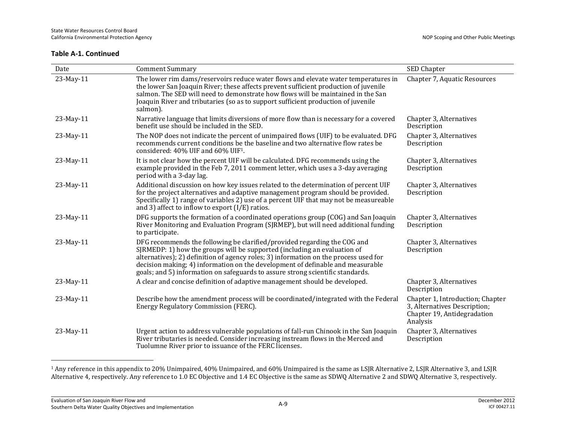| Date      | <b>Comment Summary</b>                                                                                                                                                                                                                                                                                                                                                                                           | SED Chapter                                                                                                 |
|-----------|------------------------------------------------------------------------------------------------------------------------------------------------------------------------------------------------------------------------------------------------------------------------------------------------------------------------------------------------------------------------------------------------------------------|-------------------------------------------------------------------------------------------------------------|
| 23-May-11 | The lower rim dams/reservoirs reduce water flows and elevate water temperatures in<br>the lower San Joaquin River; these affects prevent sufficient production of juvenile<br>salmon. The SED will need to demonstrate how flows will be maintained in the San<br>Joaquin River and tributaries (so as to support sufficient production of juvenile<br>salmon).                                                  | Chapter 7, Aquatic Resources                                                                                |
| 23-May-11 | Narrative language that limits diversions of more flow than is necessary for a covered<br>benefit use should be included in the SED.                                                                                                                                                                                                                                                                             | Chapter 3, Alternatives<br>Description                                                                      |
| 23-May-11 | The NOP does not indicate the percent of unimpaired flows (UIF) to be evaluated. DFG<br>recommends current conditions be the baseline and two alternative flow rates be<br>considered: 40% UIF and 60% UIF <sup>1</sup> .                                                                                                                                                                                        | Chapter 3, Alternatives<br>Description                                                                      |
| 23-May-11 | It is not clear how the percent UIF will be calculated. DFG recommends using the<br>example provided in the Feb 7, 2011 comment letter, which uses a 3-day averaging<br>period with a 3-day lag.                                                                                                                                                                                                                 | Chapter 3, Alternatives<br>Description                                                                      |
| 23-May-11 | Additional discussion on how key issues related to the determination of percent UIF<br>for the project alternatives and adaptive management program should be provided.<br>Specifically 1) range of variables 2) use of a percent UIF that may not be measureable<br>and 3) affect to inflow to export $(I/E)$ ratios.                                                                                           | Chapter 3, Alternatives<br>Description                                                                      |
| 23-May-11 | DFG supports the formation of a coordinated operations group (COG) and San Joaquin<br>River Monitoring and Evaluation Program (SJRMEP), but will need additional funding<br>to participate.                                                                                                                                                                                                                      | Chapter 3, Alternatives<br>Description                                                                      |
| 23-May-11 | DFG recommends the following be clarified/provided regarding the COG and<br>SJRMEDP: 1) how the groups will be supported (including an evaluation of<br>alternatives); 2) definition of agency roles; 3) information on the process used for<br>decision making; 4) information on the development of definable and measurable<br>goals; and 5) information on safeguards to assure strong scientific standards. | Chapter 3, Alternatives<br>Description                                                                      |
| 23-May-11 | A clear and concise definition of adaptive management should be developed.                                                                                                                                                                                                                                                                                                                                       | Chapter 3, Alternatives<br>Description                                                                      |
| 23-May-11 | Describe how the amendment process will be coordinated/integrated with the Federal<br>Energy Regulatory Commission (FERC).                                                                                                                                                                                                                                                                                       | Chapter 1, Introduction; Chapter<br>3, Alternatives Description;<br>Chapter 19, Antidegradation<br>Analysis |
| 23-May-11 | Urgent action to address vulnerable populations of fall-run Chinook in the San Joaquin<br>River tributaries is needed. Consider increasing instream flows in the Merced and<br>Tuolumne River prior to issuance of the FERC licenses.                                                                                                                                                                            | Chapter 3, Alternatives<br>Description                                                                      |

<sup>&</sup>lt;sup>1</sup> Any reference in this appendix to 20% Unimpaired, 40% Unimpaired, and 60% Unimpaired is the same as LSJR Alternative 2, LSJR Alternative 3, and LSJR Alternative 4, respectively. Any reference to 1.0 EC Objective and 1.4 EC Objective is the same as SDWQ Alternative 2 and SDWQ Alternative 3, respectively.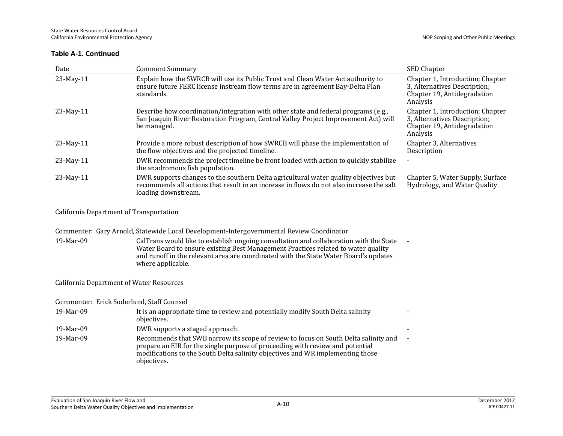| Date                                            | <b>Comment Summary</b>                                                                                                                                                                                                                                                                   | SED Chapter                                                                                                 |
|-------------------------------------------------|------------------------------------------------------------------------------------------------------------------------------------------------------------------------------------------------------------------------------------------------------------------------------------------|-------------------------------------------------------------------------------------------------------------|
| 23-May-11                                       | Explain how the SWRCB will use its Public Trust and Clean Water Act authority to<br>ensure future FERC license instream flow terms are in agreement Bay-Delta Plan<br>standards.                                                                                                         | Chapter 1, Introduction; Chapter<br>3, Alternatives Description;<br>Chapter 19, Antidegradation<br>Analysis |
| 23-May-11                                       | Describe how coordination/integration with other state and federal programs (e.g.,<br>San Joaquin River Restoration Program, Central Valley Project Improvement Act) will<br>be managed.                                                                                                 | Chapter 1, Introduction; Chapter<br>3, Alternatives Description;<br>Chapter 19, Antidegradation<br>Analysis |
| 23-May-11                                       | Provide a more robust description of how SWRCB will phase the implementation of<br>the flow objectives and the projected timeline.                                                                                                                                                       | Chapter 3, Alternatives<br>Description                                                                      |
| 23-May-11                                       | DWR recommends the project timeline be front loaded with action to quickly stabilize<br>the anadromous fish population.                                                                                                                                                                  |                                                                                                             |
| 23-May-11                                       | DWR supports changes to the southern Delta agricultural water quality objectives but<br>recommends all actions that result in an increase in flows do not also increase the salt<br>loading downstream.                                                                                  | Chapter 5, Water Supply, Surface<br>Hydrology, and Water Quality                                            |
| California Department of Transportation         |                                                                                                                                                                                                                                                                                          |                                                                                                             |
|                                                 | Commenter: Gary Arnold, Statewide Local Development-Intergovernmental Review Coordinator                                                                                                                                                                                                 |                                                                                                             |
| 19-Mar-09                                       | CalTrans would like to establish ongoing consultation and collaboration with the State<br>Water Board to ensure existing Best Management Practices related to water quality<br>and runoff in the relevant area are coordinated with the State Water Board's updates<br>where applicable. |                                                                                                             |
| <b>California Department of Water Resources</b> |                                                                                                                                                                                                                                                                                          |                                                                                                             |
| Commenter: Erick Soderlund, Staff Counsel       |                                                                                                                                                                                                                                                                                          |                                                                                                             |
| 19-Mar-09                                       | It is an appropriate time to review and potentially modify South Delta salinity<br>objectives.                                                                                                                                                                                           |                                                                                                             |
| 19-Mar-09                                       | DWR supports a staged approach.                                                                                                                                                                                                                                                          |                                                                                                             |
| 19-Mar-09                                       | Recommends that SWB narrow its scope of review to focus on South Delta salinity and<br>prepare an EIR for the single purpose of proceeding with review and potential<br>modifications to the South Delta salinity objectives and WR implementing those<br>objectives.                    |                                                                                                             |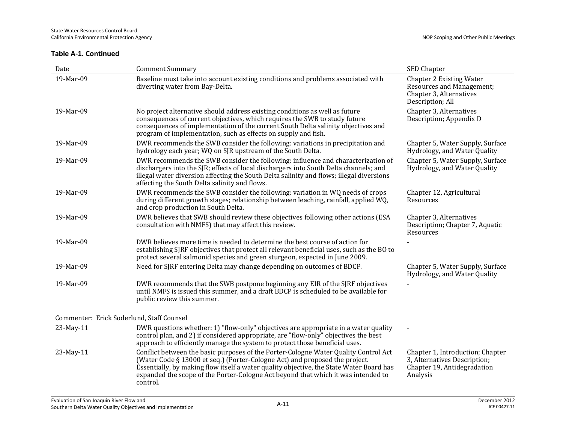| Date                                      | <b>Comment Summary</b>                                                                                                                                                                                                                                                                                                                                         | SED Chapter                                                                                                 |
|-------------------------------------------|----------------------------------------------------------------------------------------------------------------------------------------------------------------------------------------------------------------------------------------------------------------------------------------------------------------------------------------------------------------|-------------------------------------------------------------------------------------------------------------|
| 19-Mar-09                                 | Baseline must take into account existing conditions and problems associated with<br>diverting water from Bay-Delta.                                                                                                                                                                                                                                            | <b>Chapter 2 Existing Water</b><br>Resources and Management;<br>Chapter 3, Alternatives<br>Description; All |
| 19-Mar-09                                 | No project alternative should address existing conditions as well as future<br>consequences of current objectives, which requires the SWB to study future<br>consequences of implementation of the current South Delta salinity objectives and<br>program of implementation, such as effects on supply and fish.                                               | Chapter 3, Alternatives<br>Description; Appendix D                                                          |
| 19-Mar-09                                 | DWR recommends the SWB consider the following: variations in precipitation and<br>hydrology each year; WQ on SJR upstream of the South Delta.                                                                                                                                                                                                                  | Chapter 5, Water Supply, Surface<br>Hydrology, and Water Quality                                            |
| 19-Mar-09                                 | DWR recommends the SWB consider the following: influence and characterization of<br>dischargers into the SJR; effects of local dischargers into South Delta channels; and<br>illegal water diversion affecting the South Delta salinity and flows; illegal diversions<br>affecting the South Delta salinity and flows.                                         | Chapter 5, Water Supply, Surface<br>Hydrology, and Water Quality                                            |
| 19-Mar-09                                 | DWR recommends the SWB consider the following: variation in WQ needs of crops<br>during different growth stages; relationship between leaching, rainfall, applied WQ,<br>and crop production in South Delta.                                                                                                                                                   | Chapter 12, Agricultural<br>Resources                                                                       |
| 19-Mar-09                                 | DWR believes that SWB should review these objectives following other actions (ESA<br>consultation with NMFS) that may affect this review.                                                                                                                                                                                                                      | Chapter 3, Alternatives<br>Description; Chapter 7, Aquatic<br>Resources                                     |
| 19-Mar-09                                 | DWR believes more time is needed to determine the best course of action for<br>establishing SJRF objectives that protect all relevant beneficial uses, such as the BO to<br>protect several salmonid species and green sturgeon, expected in June 2009.                                                                                                        |                                                                                                             |
| 19-Mar-09                                 | Need for SJRF entering Delta may change depending on outcomes of BDCP.                                                                                                                                                                                                                                                                                         | Chapter 5, Water Supply, Surface<br>Hydrology, and Water Quality                                            |
| 19-Mar-09                                 | DWR recommends that the SWB postpone beginning any EIR of the SJRF objectives<br>until NMFS is issued this summer, and a draft BDCP is scheduled to be available for<br>public review this summer.                                                                                                                                                             |                                                                                                             |
| Commenter: Erick Soderlund, Staff Counsel |                                                                                                                                                                                                                                                                                                                                                                |                                                                                                             |
| 23-May-11                                 | DWR questions whether: 1) "flow-only" objectives are appropriate in a water quality<br>control plan, and 2) if considered appropriate, are "flow-only" objectives the best<br>approach to efficiently manage the system to protect those beneficial uses.                                                                                                      |                                                                                                             |
| 23-May-11                                 | Conflict between the basic purposes of the Porter-Cologne Water Quality Control Act<br>(Water Code § 13000 et seq.) (Porter-Cologne Act) and proposed the project.<br>Essentially, by making flow itself a water quality objective, the State Water Board has<br>expanded the scope of the Porter-Cologne Act beyond that which it was intended to<br>control. | Chapter 1, Introduction; Chapter<br>3, Alternatives Description;<br>Chapter 19, Antidegradation<br>Analysis |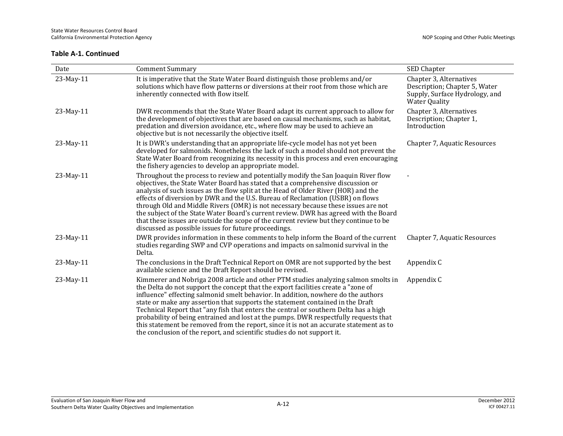| Date      | <b>Comment Summary</b>                                                                                                                                                                                                                                                                                                                                                                                                                                                                                                                                                                                                                                                                              | SED Chapter                                                                                                        |
|-----------|-----------------------------------------------------------------------------------------------------------------------------------------------------------------------------------------------------------------------------------------------------------------------------------------------------------------------------------------------------------------------------------------------------------------------------------------------------------------------------------------------------------------------------------------------------------------------------------------------------------------------------------------------------------------------------------------------------|--------------------------------------------------------------------------------------------------------------------|
| 23-May-11 | It is imperative that the State Water Board distinguish those problems and/or<br>solutions which have flow patterns or diversions at their root from those which are<br>inherently connected with flow itself.                                                                                                                                                                                                                                                                                                                                                                                                                                                                                      | Chapter 3, Alternatives<br>Description; Chapter 5, Water<br>Supply, Surface Hydrology, and<br><b>Water Quality</b> |
| 23-May-11 | DWR recommends that the State Water Board adapt its current approach to allow for<br>the development of objectives that are based on causal mechanisms, such as habitat,<br>predation and diversion avoidance, etc., where flow may be used to achieve an<br>objective but is not necessarily the objective itself.                                                                                                                                                                                                                                                                                                                                                                                 | Chapter 3, Alternatives<br>Description; Chapter 1,<br>Introduction                                                 |
| 23-May-11 | It is DWR's understanding that an appropriate life-cycle model has not yet been<br>developed for salmonids. Nonetheless the lack of such a model should not prevent the<br>State Water Board from recognizing its necessity in this process and even encouraging<br>the fishery agencies to develop an appropriate model.                                                                                                                                                                                                                                                                                                                                                                           | Chapter 7, Aquatic Resources                                                                                       |
| 23-May-11 | Throughout the process to review and potentially modify the San Joaquin River flow<br>objectives, the State Water Board has stated that a comprehensive discussion or<br>analysis of such issues as the flow split at the Head of Older River (HOR) and the<br>effects of diversion by DWR and the U.S. Bureau of Reclamation (USBR) on flows<br>through Old and Middle Rivers (OMR) is not necessary because these issues are not<br>the subject of the State Water Board's current review. DWR has agreed with the Board<br>that these issues are outside the scope of the current review but they continue to be<br>discussed as possible issues for future proceedings.                         |                                                                                                                    |
| 23-May-11 | DWR provides information in these comments to help inform the Board of the current<br>studies regarding SWP and CVP operations and impacts on salmonid survival in the<br>Delta.                                                                                                                                                                                                                                                                                                                                                                                                                                                                                                                    | Chapter 7, Aquatic Resources                                                                                       |
| 23-May-11 | The conclusions in the Draft Technical Report on OMR are not supported by the best<br>available science and the Draft Report should be revised.                                                                                                                                                                                                                                                                                                                                                                                                                                                                                                                                                     | Appendix C                                                                                                         |
| 23-May-11 | Kimmerer and Nobriga 2008 article and other PTM studies analyzing salmon smolts in<br>the Delta do not support the concept that the export facilities create a "zone of<br>influence" effecting salmonid smelt behavior. In addition, nowhere do the authors<br>state or make any assertion that supports the statement contained in the Draft<br>Technical Report that "any fish that enters the central or southern Delta has a high<br>probability of being entrained and lost at the pumps. DWR respectfully requests that<br>this statement be removed from the report, since it is not an accurate statement as to<br>the conclusion of the report, and scientific studies do not support it. | Appendix C                                                                                                         |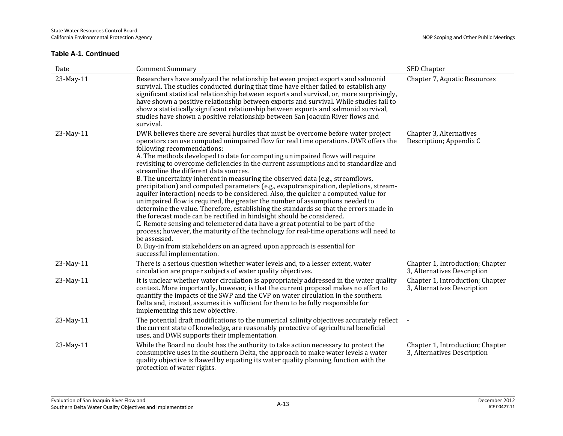| Date      | <b>Comment Summary</b>                                                                                                                                                                                                                                                                                                                                                                                                                                                                                                                                                                                                                                                                                                                                                                                                                                                                                                                                                                                                                                                                                                                                                                                                                              | SED Chapter                                                     |
|-----------|-----------------------------------------------------------------------------------------------------------------------------------------------------------------------------------------------------------------------------------------------------------------------------------------------------------------------------------------------------------------------------------------------------------------------------------------------------------------------------------------------------------------------------------------------------------------------------------------------------------------------------------------------------------------------------------------------------------------------------------------------------------------------------------------------------------------------------------------------------------------------------------------------------------------------------------------------------------------------------------------------------------------------------------------------------------------------------------------------------------------------------------------------------------------------------------------------------------------------------------------------------|-----------------------------------------------------------------|
| 23-May-11 | Researchers have analyzed the relationship between project exports and salmonid<br>survival. The studies conducted during that time have either failed to establish any<br>significant statistical relationship between exports and survival, or, more surprisingly,<br>have shown a positive relationship between exports and survival. While studies fail to<br>show a statistically significant relationship between exports and salmonid survival,<br>studies have shown a positive relationship between San Joaquin River flows and<br>survival.                                                                                                                                                                                                                                                                                                                                                                                                                                                                                                                                                                                                                                                                                               | Chapter 7, Aquatic Resources                                    |
| 23-May-11 | DWR believes there are several hurdles that must be overcome before water project<br>operators can use computed unimpaired flow for real time operations. DWR offers the<br>following recommendations:<br>A. The methods developed to date for computing unimpaired flows will require<br>revisiting to overcome deficiencies in the current assumptions and to standardize and<br>streamline the different data sources.<br>B. The uncertainty inherent in measuring the observed data (e.g., streamflows,<br>precipitation) and computed parameters (e.g., evapotranspiration, depletions, stream-<br>aquifer interaction) needs to be considered. Also, the quicker a computed value for<br>unimpaired flow is required, the greater the number of assumptions needed to<br>determine the value. Therefore, establishing the standards so that the errors made in<br>the forecast mode can be rectified in hindsight should be considered.<br>C. Remote sensing and telemetered data have a great potential to be part of the<br>process; however, the maturity of the technology for real-time operations will need to<br>be assessed.<br>D. Buy-in from stakeholders on an agreed upon approach is essential for<br>successful implementation. | Chapter 3, Alternatives<br>Description; Appendix C              |
| 23-May-11 | There is a serious question whether water levels and, to a lesser extent, water<br>circulation are proper subjects of water quality objectives.                                                                                                                                                                                                                                                                                                                                                                                                                                                                                                                                                                                                                                                                                                                                                                                                                                                                                                                                                                                                                                                                                                     | Chapter 1, Introduction; Chapter<br>3, Alternatives Description |
| 23-May-11 | It is unclear whether water circulation is appropriately addressed in the water quality<br>context. More importantly, however, is that the current proposal makes no effort to<br>quantify the impacts of the SWP and the CVP on water circulation in the southern<br>Delta and, instead, assumes it is sufficient for them to be fully responsible for<br>implementing this new objective.                                                                                                                                                                                                                                                                                                                                                                                                                                                                                                                                                                                                                                                                                                                                                                                                                                                         | Chapter 1, Introduction; Chapter<br>3, Alternatives Description |
| 23-May-11 | The potential draft modifications to the numerical salinity objectives accurately reflect<br>the current state of knowledge, are reasonably protective of agricultural beneficial<br>uses, and DWR supports their implementation.                                                                                                                                                                                                                                                                                                                                                                                                                                                                                                                                                                                                                                                                                                                                                                                                                                                                                                                                                                                                                   |                                                                 |
| 23-May-11 | While the Board no doubt has the authority to take action necessary to protect the<br>consumptive uses in the southern Delta, the approach to make water levels a water<br>quality objective is flawed by equating its water quality planning function with the<br>protection of water rights.                                                                                                                                                                                                                                                                                                                                                                                                                                                                                                                                                                                                                                                                                                                                                                                                                                                                                                                                                      | Chapter 1, Introduction; Chapter<br>3, Alternatives Description |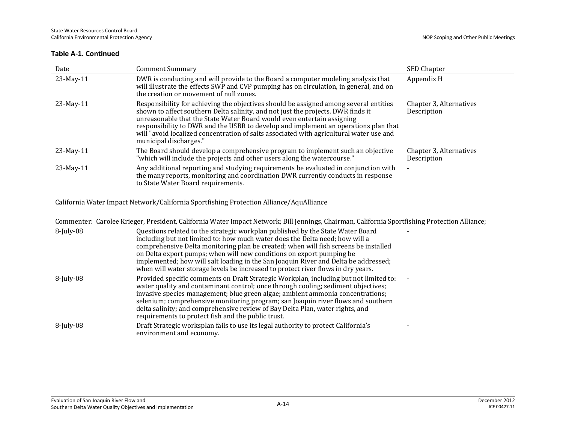| Date                                                                                                                                          | <b>Comment Summary</b>                                                                                                                                                                                                                                                                                                                                                                                                                                          | SED Chapter                            |
|-----------------------------------------------------------------------------------------------------------------------------------------------|-----------------------------------------------------------------------------------------------------------------------------------------------------------------------------------------------------------------------------------------------------------------------------------------------------------------------------------------------------------------------------------------------------------------------------------------------------------------|----------------------------------------|
|                                                                                                                                               |                                                                                                                                                                                                                                                                                                                                                                                                                                                                 |                                        |
| 23-May-11                                                                                                                                     | DWR is conducting and will provide to the Board a computer modeling analysis that<br>will illustrate the effects SWP and CVP pumping has on circulation, in general, and on<br>the creation or movement of null zones.                                                                                                                                                                                                                                          | Appendix H                             |
| 23-May-11                                                                                                                                     | Responsibility for achieving the objectives should be assigned among several entities<br>shown to affect southern Delta salinity, and not just the projects. DWR finds it<br>unreasonable that the State Water Board would even entertain assigning<br>responsibility to DWR and the USBR to develop and implement an operations plan that<br>will "avoid localized concentration of salts associated with agricultural water use and<br>municipal discharges." | Chapter 3, Alternatives<br>Description |
| 23-May-11                                                                                                                                     | The Board should develop a comprehensive program to implement such an objective<br>"which will include the projects and other users along the watercourse."                                                                                                                                                                                                                                                                                                     | Chapter 3, Alternatives<br>Description |
| 23-May-11                                                                                                                                     | Any additional reporting and studying requirements be evaluated in conjunction with<br>the many reports, monitoring and coordination DWR currently conducts in response<br>to State Water Board requirements.                                                                                                                                                                                                                                                   | $\blacksquare$                         |
| California Water Impact Network/California Sportfishing Protection Alliance/AquAlliance                                                       |                                                                                                                                                                                                                                                                                                                                                                                                                                                                 |                                        |
| Commenter: Carolee Krieger, President, California Water Impact Network; Bill Jennings, Chairman, California Sportfishing Protection Alliance; |                                                                                                                                                                                                                                                                                                                                                                                                                                                                 |                                        |

| $8$ -July-08 | Questions related to the strategic workplan published by the State Water Board<br>including but not limited to: how much water does the Delta need; how will a<br>comprehensive Delta monitoring plan be created; when will fish screens be installed<br>on Delta export pumps; when will new conditions on export pumping be<br>implemented; how will salt loading in the San Joaquin River and Delta be addressed;<br>when will water storage levels be increased to protect river flows in dry years. |
|--------------|----------------------------------------------------------------------------------------------------------------------------------------------------------------------------------------------------------------------------------------------------------------------------------------------------------------------------------------------------------------------------------------------------------------------------------------------------------------------------------------------------------|
| $8$ -July-08 | Provided specific comments on Draft Strategic Workplan, including but not limited to:<br>water quality and contaminant control; once through cooling; sediment objectives;<br>invasive species management; blue green algae; ambient ammonia concentrations;<br>selenium; comprehensive monitoring program; san Joaquin river flows and southern<br>delta salinity; and comprehensive review of Bay Delta Plan, water rights, and<br>requirements to protect fish and the public trust.                  |
| $8$ -July-08 | Draft Strategic worksplan fails to use its legal authority to protect California's<br>environment and economy.                                                                                                                                                                                                                                                                                                                                                                                           |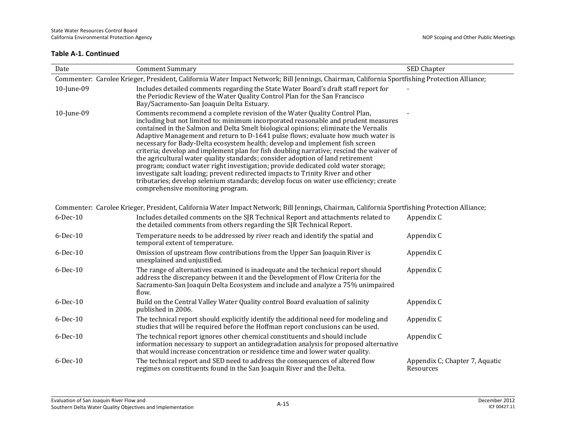| Date                                                                                                                                          | <b>Comment Summary</b>                                                                                                                                                                                                                                                                                                                                                                                                                                                                                                                                                                                                                                                                                                                                                                                                                                                                                         | SED Chapter                                 |  |
|-----------------------------------------------------------------------------------------------------------------------------------------------|----------------------------------------------------------------------------------------------------------------------------------------------------------------------------------------------------------------------------------------------------------------------------------------------------------------------------------------------------------------------------------------------------------------------------------------------------------------------------------------------------------------------------------------------------------------------------------------------------------------------------------------------------------------------------------------------------------------------------------------------------------------------------------------------------------------------------------------------------------------------------------------------------------------|---------------------------------------------|--|
| Commenter: Carolee Krieger, President, California Water Impact Network; Bill Jennings, Chairman, California Sportfishing Protection Alliance; |                                                                                                                                                                                                                                                                                                                                                                                                                                                                                                                                                                                                                                                                                                                                                                                                                                                                                                                |                                             |  |
| 10-June-09                                                                                                                                    | Includes detailed comments regarding the State Water Board's draft staff report for<br>the Periodic Review of the Water Quality Control Plan for the San Francisco<br>Bay/Sacramento-San Joaquin Delta Estuary.                                                                                                                                                                                                                                                                                                                                                                                                                                                                                                                                                                                                                                                                                                |                                             |  |
| 10-June-09                                                                                                                                    | Comments recommend a complete revision of the Water Quality Control Plan,<br>including but not limited to: minimum incorporated reasonable and prudent measures<br>contained in the Salmon and Delta Smelt biological opinions; eliminate the Vernalis<br>Adaptive Management and return to D-1641 pulse flows; evaluate how much water is<br>necessary for Bady-Delta ecosystem health; develop and implement fish screen<br>criteria; develop and implement plan for fish doubling narrative; rescind the waiver of<br>the agricultural water quality standards; consider adoption of land retirement<br>program; conduct water right investigation; provide dedicated cold water storage;<br>investigate salt loading; prevent redirected impacts to Trinity River and other<br>tributaries; develop selenium standards; develop focus on water use efficiency; create<br>comprehensive monitoring program. |                                             |  |
|                                                                                                                                               | Commenter: Carolee Krieger, President, California Water Impact Network; Bill Jennings, Chairman, California Sportfishing Protection Alliance;                                                                                                                                                                                                                                                                                                                                                                                                                                                                                                                                                                                                                                                                                                                                                                  |                                             |  |
| 6-Dec-10                                                                                                                                      | Includes detailed comments on the SJR Technical Report and attachments related to<br>the detailed comments from others regarding the SJR Technical Report.                                                                                                                                                                                                                                                                                                                                                                                                                                                                                                                                                                                                                                                                                                                                                     | Appendix C                                  |  |
| 6-Dec-10                                                                                                                                      | Temperature needs to be addressed by river reach and identify the spatial and<br>temporal extent of temperature.                                                                                                                                                                                                                                                                                                                                                                                                                                                                                                                                                                                                                                                                                                                                                                                               | Appendix C                                  |  |
| 6-Dec-10                                                                                                                                      | Omission of upstream flow contributions from the Upper San Joaquin River is<br>unexplained and unjustified.                                                                                                                                                                                                                                                                                                                                                                                                                                                                                                                                                                                                                                                                                                                                                                                                    | Appendix C                                  |  |
| $6$ -Dec-10                                                                                                                                   | The range of alternatives examined is inadequate and the technical report should<br>address the discrepancy between it and the Development of Flow Criteria for the<br>Sacramento-San Joaquin Delta Ecosystem and include and analyze a 75% unimpaired<br>flow.                                                                                                                                                                                                                                                                                                                                                                                                                                                                                                                                                                                                                                                | Appendix C                                  |  |
| 6-Dec-10                                                                                                                                      | Build on the Central Valley Water Quality control Board evaluation of salinity<br>published in 2006.                                                                                                                                                                                                                                                                                                                                                                                                                                                                                                                                                                                                                                                                                                                                                                                                           | Appendix C                                  |  |
| 6-Dec-10                                                                                                                                      | The technical report should explicitly identify the additional need for modeling and<br>studies that will be required before the Hoffman report conclusions can be used.                                                                                                                                                                                                                                                                                                                                                                                                                                                                                                                                                                                                                                                                                                                                       | Appendix C                                  |  |
| 6-Dec-10                                                                                                                                      | The technical report ignores other chemical constituents and should include<br>information necessary to support an antidegradation analysis for proposed alternative<br>that would increase concentration or residence time and lower water quality.                                                                                                                                                                                                                                                                                                                                                                                                                                                                                                                                                                                                                                                           | Appendix C                                  |  |
| $6$ -Dec-10                                                                                                                                   | The technical report and SED need to address the consequences of altered flow<br>regimes on constituents found in the San Joaquin River and the Delta.                                                                                                                                                                                                                                                                                                                                                                                                                                                                                                                                                                                                                                                                                                                                                         | Appendix C; Chapter 7, Aquatic<br>Resources |  |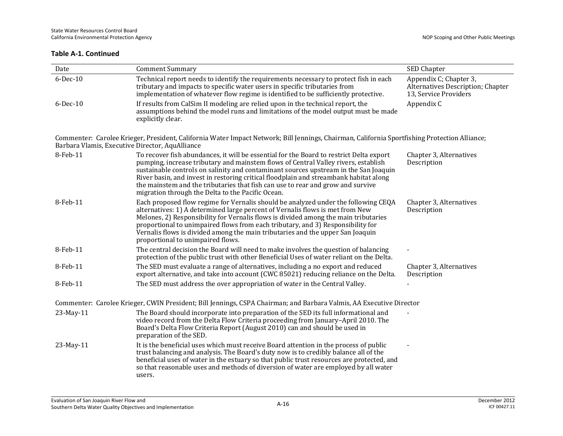| Date                                            | <b>Comment Summary</b>                                                                                                                                                                                                                                                                                                                                                                                                                                                                                 | SED Chapter                                                                          |
|-------------------------------------------------|--------------------------------------------------------------------------------------------------------------------------------------------------------------------------------------------------------------------------------------------------------------------------------------------------------------------------------------------------------------------------------------------------------------------------------------------------------------------------------------------------------|--------------------------------------------------------------------------------------|
| 6-Dec-10                                        | Technical report needs to identify the requirements necessary to protect fish in each<br>tributary and impacts to specific water users in specific tributaries from<br>implementation of whatever flow regime is identified to be sufficiently protective.                                                                                                                                                                                                                                             | Appendix C; Chapter 3,<br>Alternatives Description; Chapter<br>13, Service Providers |
| $6$ -Dec-10                                     | If results from CalSim II modeling are relied upon in the technical report, the<br>assumptions behind the model runs and limitations of the model output must be made<br>explicitly clear.                                                                                                                                                                                                                                                                                                             | Appendix C                                                                           |
| Barbara Vlamis, Executive Director, AquAlliance | Commenter: Carolee Krieger, President, California Water Impact Network; Bill Jennings, Chairman, California Sportfishing Protection Alliance;                                                                                                                                                                                                                                                                                                                                                          |                                                                                      |
| 8-Feb-11                                        | To recover fish abundances, it will be essential for the Board to restrict Delta export<br>pumping, increase tributary and mainstem flows of Central Valley rivers, establish<br>sustainable controls on salinity and contaminant sources upstream in the San Joaquin<br>River basin, and invest in restoring critical floodplain and streambank habitat along<br>the mainstem and the tributaries that fish can use to rear and grow and survive<br>migration through the Delta to the Pacific Ocean. | Chapter 3, Alternatives<br>Description                                               |
| 8-Feb-11                                        | Each proposed flow regime for Vernalis should be analyzed under the following CEQA<br>alternatives: 1) A determined large percent of Vernalis flows is met from New<br>Melones, 2) Responsibility for Vernalis flows is divided among the main tributaries<br>proportional to unimpaired flows from each tributary, and 3) Responsibility for<br>Vernalis flows is divided among the main tributaries and the upper San Joaquin<br>proportional to unimpaired flows.                                   | Chapter 3, Alternatives<br>Description                                               |
| 8-Feb-11                                        | The central decision the Board will need to make involves the question of balancing<br>protection of the public trust with other Beneficial Uses of water reliant on the Delta.                                                                                                                                                                                                                                                                                                                        |                                                                                      |
| 8-Feb-11                                        | The SED must evaluate a range of alternatives, including a no export and reduced<br>export alternative, and take into account (CWC 85021) reducing reliance on the Delta.                                                                                                                                                                                                                                                                                                                              | Chapter 3, Alternatives<br>Description                                               |
| 8-Feb-11                                        | The SED must address the over appropriation of water in the Central Valley.                                                                                                                                                                                                                                                                                                                                                                                                                            |                                                                                      |
|                                                 | Commenter: Carolee Krieger, CWIN President; Bill Jennings, CSPA Chairman; and Barbara Valmis, AA Executive Director                                                                                                                                                                                                                                                                                                                                                                                    |                                                                                      |
| 23-May-11                                       | The Board should incorporate into preparation of the SED its full informational and<br>video record from the Delta Flow Criteria proceeding from January-April 2010. The<br>Board's Delta Flow Criteria Report (August 2010) can and should be used in<br>preparation of the SED.                                                                                                                                                                                                                      |                                                                                      |
| 23-May-11                                       | It is the beneficial uses which must receive Board attention in the process of public<br>trust balancing and analysis. The Board's duty now is to credibly balance all of the<br>beneficial uses of water in the estuary so that public trust resources are protected, and<br>so that reasonable uses and methods of diversion of water are employed by all water<br>users.                                                                                                                            |                                                                                      |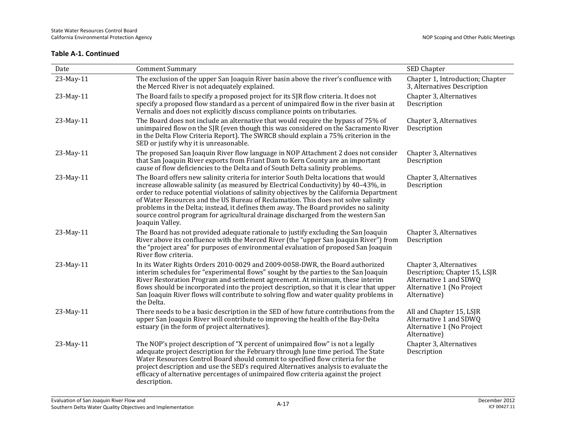| Date      | <b>Comment Summary</b>                                                                                                                                                                                                                                                                                                                                                                                                                                                                                                                                     | SED Chapter                                                                                                                     |
|-----------|------------------------------------------------------------------------------------------------------------------------------------------------------------------------------------------------------------------------------------------------------------------------------------------------------------------------------------------------------------------------------------------------------------------------------------------------------------------------------------------------------------------------------------------------------------|---------------------------------------------------------------------------------------------------------------------------------|
| 23-May-11 | The exclusion of the upper San Joaquin River basin above the river's confluence with<br>the Merced River is not adequately explained.                                                                                                                                                                                                                                                                                                                                                                                                                      | Chapter 1, Introduction; Chapter<br>3, Alternatives Description                                                                 |
| 23-May-11 | The Board fails to specify a proposed project for its SJR flow criteria. It does not<br>specify a proposed flow standard as a percent of unimpaired flow in the river basin at<br>Vernalis and does not explicitly discuss compliance points on tributaries.                                                                                                                                                                                                                                                                                               | Chapter 3, Alternatives<br>Description                                                                                          |
| 23-May-11 | The Board does not include an alternative that would require the bypass of 75% of<br>unimpaired flow on the SJR (even though this was considered on the Sacramento River<br>in the Delta Flow Criteria Report). The SWRCB should explain a 75% criterion in the<br>SED or justify why it is unreasonable.                                                                                                                                                                                                                                                  | Chapter 3, Alternatives<br>Description                                                                                          |
| 23-May-11 | The proposed San Joaquin River flow language in NOP Attachment 2 does not consider<br>that San Joaquin River exports from Friant Dam to Kern County are an important<br>cause of flow deficiencies to the Delta and of South Delta salinity problems.                                                                                                                                                                                                                                                                                                      | Chapter 3, Alternatives<br>Description                                                                                          |
| 23-May-11 | The Board offers new salinity criteria for interior South Delta locations that would<br>increase allowable salinity (as measured by Electrical Conductivity) by 40-43%, in<br>order to reduce potential violations of salinity objectives by the California Department<br>of Water Resources and the US Bureau of Reclamation. This does not solve salinity<br>problems in the Delta; instead, it defines them away. The Board provides no salinity<br>source control program for agricultural drainage discharged from the western San<br>Joaquin Valley. | Chapter 3, Alternatives<br>Description                                                                                          |
| 23-May-11 | The Board has not provided adequate rationale to justify excluding the San Joaquin<br>River above its confluence with the Merced River (the "upper San Joaquin River") from<br>the "project area" for purposes of environmental evaluation of proposed San Joaquin<br>River flow criteria.                                                                                                                                                                                                                                                                 | Chapter 3, Alternatives<br>Description                                                                                          |
| 23-May-11 | In its Water Rights Orders 2010-0029 and 2009-0058-DWR, the Board authorized<br>interim schedules for "experimental flows" sought by the parties to the San Joaquin<br>River Restoration Program and settlement agreement. At minimum, these interim<br>flows should be incorporated into the project description, so that it is clear that upper<br>San Joaquin River flows will contribute to solving flow and water quality problems in<br>the Delta.                                                                                                   | Chapter 3, Alternatives<br>Description; Chapter 15, LSJR<br>Alternative 1 and SDWQ<br>Alternative 1 (No Project<br>Alternative) |
| 23-May-11 | There needs to be a basic description in the SED of how future contributions from the<br>upper San Joaquin River will contribute to improving the health of the Bay-Delta<br>estuary (in the form of project alternatives).                                                                                                                                                                                                                                                                                                                                | All and Chapter 15, LSJR<br>Alternative 1 and SDWQ<br>Alternative 1 (No Project<br>Alternative)                                 |
| 23-May-11 | The NOP's project description of "X percent of unimpaired flow" is not a legally<br>adequate project description for the February through June time period. The State<br>Water Resources Control Board should commit to specified flow criteria for the<br>project description and use the SED's required Alternatives analysis to evaluate the<br>efficacy of alternative percentages of unimpaired flow criteria against the project<br>description.                                                                                                     | Chapter 3, Alternatives<br>Description                                                                                          |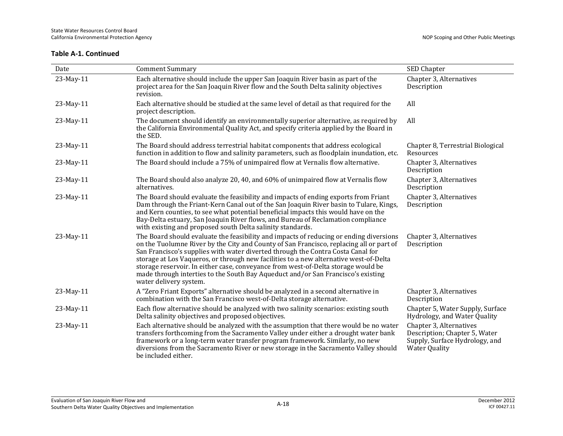| Date      | <b>Comment Summary</b>                                                                                                                                                                                                                                                                                                                                                                                                                                                                                                                                           | SED Chapter                                                                                                        |
|-----------|------------------------------------------------------------------------------------------------------------------------------------------------------------------------------------------------------------------------------------------------------------------------------------------------------------------------------------------------------------------------------------------------------------------------------------------------------------------------------------------------------------------------------------------------------------------|--------------------------------------------------------------------------------------------------------------------|
| 23-May-11 | Each alternative should include the upper San Joaquin River basin as part of the<br>project area for the San Joaquin River flow and the South Delta salinity objectives<br>revision.                                                                                                                                                                                                                                                                                                                                                                             | Chapter 3, Alternatives<br>Description                                                                             |
| 23-May-11 | Each alternative should be studied at the same level of detail as that required for the<br>project description.                                                                                                                                                                                                                                                                                                                                                                                                                                                  | All                                                                                                                |
| 23-May-11 | The document should identify an environmentally superior alternative, as required by<br>the California Environmental Quality Act, and specify criteria applied by the Board in<br>the SED.                                                                                                                                                                                                                                                                                                                                                                       | All                                                                                                                |
| 23-May-11 | The Board should address terrestrial habitat components that address ecological<br>function in addition to flow and salinity parameters, such as floodplain inundation, etc.                                                                                                                                                                                                                                                                                                                                                                                     | Chapter 8, Terrestrial Biological<br>Resources                                                                     |
| 23-May-11 | The Board should include a 75% of unimpaired flow at Vernalis flow alternative.                                                                                                                                                                                                                                                                                                                                                                                                                                                                                  | Chapter 3, Alternatives<br>Description                                                                             |
| 23-May-11 | The Board should also analyze 20, 40, and 60% of unimpaired flow at Vernalis flow<br>alternatives.                                                                                                                                                                                                                                                                                                                                                                                                                                                               | Chapter 3, Alternatives<br>Description                                                                             |
| 23-May-11 | The Board should evaluate the feasibility and impacts of ending exports from Friant<br>Dam through the Friant-Kern Canal out of the San Joaquin River basin to Tulare, Kings,<br>and Kern counties, to see what potential beneficial impacts this would have on the<br>Bay-Delta estuary, San Joaquin River flows, and Bureau of Reclamation compliance<br>with existing and proposed south Delta salinity standards.                                                                                                                                            | Chapter 3, Alternatives<br>Description                                                                             |
| 23-May-11 | The Board should evaluate the feasibility and impacts of reducing or ending diversions<br>on the Tuolumne River by the City and County of San Francisco, replacing all or part of<br>San Francisco's supplies with water diverted through the Contra Costa Canal for<br>storage at Los Vaqueros, or through new facilities to a new alternative west-of-Delta<br>storage reservoir. In either case, conveyance from west-of-Delta storage would be<br>made through interties to the South Bay Aqueduct and/or San Francisco's existing<br>water delivery system. | Chapter 3, Alternatives<br>Description                                                                             |
| 23-May-11 | A "Zero Friant Exports" alternative should be analyzed in a second alternative in<br>combination with the San Francisco west-of-Delta storage alternative.                                                                                                                                                                                                                                                                                                                                                                                                       | Chapter 3, Alternatives<br>Description                                                                             |
| 23-May-11 | Each flow alternative should be analyzed with two salinity scenarios: existing south<br>Delta salinity objectives and proposed objectives.                                                                                                                                                                                                                                                                                                                                                                                                                       | Chapter 5, Water Supply, Surface<br>Hydrology, and Water Quality                                                   |
| 23-May-11 | Each alternative should be analyzed with the assumption that there would be no water<br>transfers forthcoming from the Sacramento Valley under either a drought water bank<br>framework or a long-term water transfer program framework. Similarly, no new<br>diversions from the Sacramento River or new storage in the Sacramento Valley should<br>be included either.                                                                                                                                                                                         | Chapter 3, Alternatives<br>Description; Chapter 5, Water<br>Supply, Surface Hydrology, and<br><b>Water Quality</b> |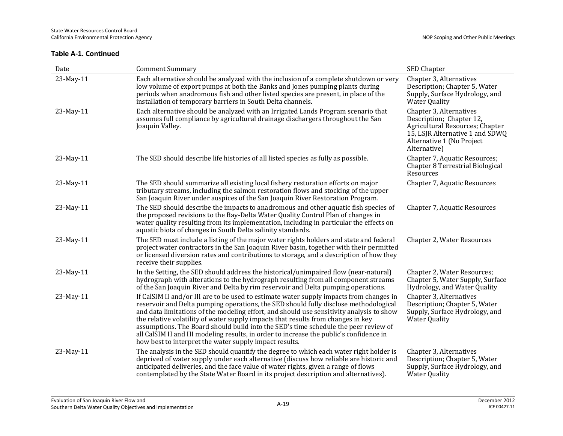| Date      | <b>Comment Summary</b>                                                                                                                                                                                                                                                                                                                                                                                                                                                                                                                                                                                      | SED Chapter                                                                                                                                                            |
|-----------|-------------------------------------------------------------------------------------------------------------------------------------------------------------------------------------------------------------------------------------------------------------------------------------------------------------------------------------------------------------------------------------------------------------------------------------------------------------------------------------------------------------------------------------------------------------------------------------------------------------|------------------------------------------------------------------------------------------------------------------------------------------------------------------------|
| 23-May-11 | Each alternative should be analyzed with the inclusion of a complete shutdown or very<br>low volume of export pumps at both the Banks and Jones pumping plants during<br>periods when anadromous fish and other listed species are present, in place of the<br>installation of temporary barriers in South Delta channels.                                                                                                                                                                                                                                                                                  | Chapter 3, Alternatives<br>Description; Chapter 5, Water<br>Supply, Surface Hydrology, and<br><b>Water Quality</b>                                                     |
| 23-May-11 | Each alternative should be analyzed with an Irrigated Lands Program scenario that<br>assumes full compliance by agricultural drainage dischargers throughout the San<br>Joaquin Valley.                                                                                                                                                                                                                                                                                                                                                                                                                     | Chapter 3, Alternatives<br>Description; Chapter 12,<br>Agricultural Resources; Chapter<br>15, LSJR Alternative 1 and SDWQ<br>Alternative 1 (No Project<br>Alternative) |
| 23-May-11 | The SED should describe life histories of all listed species as fully as possible.                                                                                                                                                                                                                                                                                                                                                                                                                                                                                                                          | Chapter 7, Aquatic Resources;<br>Chapter 8 Terrestrial Biological<br>Resources                                                                                         |
| 23-May-11 | The SED should summarize all existing local fishery restoration efforts on major<br>tributary streams, including the salmon restoration flows and stocking of the upper<br>San Joaquin River under auspices of the San Joaquin River Restoration Program.                                                                                                                                                                                                                                                                                                                                                   | Chapter 7, Aquatic Resources                                                                                                                                           |
| 23-May-11 | The SED should describe the impacts to anadromous and other aquatic fish species of<br>the proposed revisions to the Bay-Delta Water Quality Control Plan of changes in<br>water quality resulting from its implementation, including in particular the effects on<br>aquatic biota of changes in South Delta salinity standards.                                                                                                                                                                                                                                                                           | Chapter 7, Aquatic Resources                                                                                                                                           |
| 23-May-11 | The SED must include a listing of the major water rights holders and state and federal<br>project water contractors in the San Joaquin River basin, together with their permitted<br>or licensed diversion rates and contributions to storage, and a description of how they<br>receive their supplies.                                                                                                                                                                                                                                                                                                     | Chapter 2, Water Resources                                                                                                                                             |
| 23-May-11 | In the Setting, the SED should address the historical/unimpaired flow (near-natural)<br>hydrograph with alterations to the hydrograph resulting from all component streams<br>of the San Joaquin River and Delta by rim reservoir and Delta pumping operations.                                                                                                                                                                                                                                                                                                                                             | Chapter 2, Water Resources;<br>Chapter 5, Water Supply, Surface<br>Hydrology, and Water Quality                                                                        |
| 23-May-11 | If CalSIM II and/or III are to be used to estimate water supply impacts from changes in<br>reservoir and Delta pumping operations, the SED should fully disclose methodological<br>and data limitations of the modeling effort, and should use sensitivity analysis to show<br>the relative volatility of water supply impacts that results from changes in key<br>assumptions. The Board should build into the SED's time schedule the peer review of<br>all CalSIM II and III modeling results, in order to increase the public's confidence in<br>how best to interpret the water supply impact results. | Chapter 3, Alternatives<br>Description; Chapter 5, Water<br>Supply, Surface Hydrology, and<br><b>Water Quality</b>                                                     |
| 23-May-11 | The analysis in the SED should quantify the degree to which each water right holder is<br>deprived of water supply under each alternative (discuss how reliable are historic and<br>anticipated deliveries, and the face value of water rights, given a range of flows<br>contemplated by the State Water Board in its project description and alternatives).                                                                                                                                                                                                                                               | Chapter 3, Alternatives<br>Description; Chapter 5, Water<br>Supply, Surface Hydrology, and<br><b>Water Quality</b>                                                     |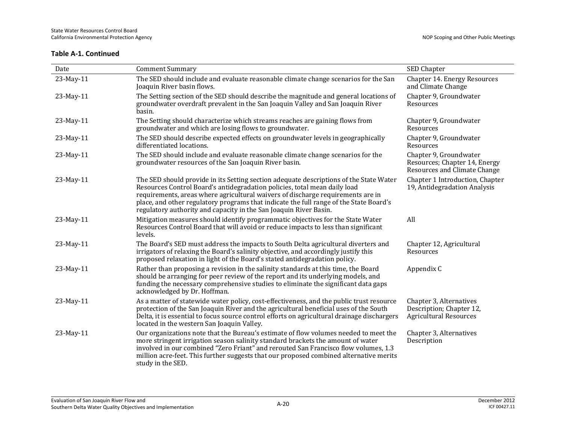| Date      | <b>Comment Summary</b>                                                                                                                                                                                                                                                                                                                                                                                                | SED Chapter                                                                             |
|-----------|-----------------------------------------------------------------------------------------------------------------------------------------------------------------------------------------------------------------------------------------------------------------------------------------------------------------------------------------------------------------------------------------------------------------------|-----------------------------------------------------------------------------------------|
| 23-May-11 | The SED should include and evaluate reasonable climate change scenarios for the San<br>Joaquin River basin flows.                                                                                                                                                                                                                                                                                                     | Chapter 14. Energy Resources<br>and Climate Change                                      |
| 23-May-11 | The Setting section of the SED should describe the magnitude and general locations of<br>groundwater overdraft prevalent in the San Joaquin Valley and San Joaquin River<br>basin.                                                                                                                                                                                                                                    | Chapter 9, Groundwater<br>Resources                                                     |
| 23-May-11 | The Setting should characterize which streams reaches are gaining flows from<br>groundwater and which are losing flows to groundwater.                                                                                                                                                                                                                                                                                | Chapter 9, Groundwater<br>Resources                                                     |
| 23-May-11 | The SED should describe expected effects on groundwater levels in geographically<br>differentiated locations.                                                                                                                                                                                                                                                                                                         | Chapter 9, Groundwater<br>Resources                                                     |
| 23-May-11 | The SED should include and evaluate reasonable climate change scenarios for the<br>groundwater resources of the San Joaquin River basin.                                                                                                                                                                                                                                                                              | Chapter 9, Groundwater<br>Resources; Chapter 14, Energy<br>Resources and Climate Change |
| 23-May-11 | The SED should provide in its Setting section adequate descriptions of the State Water<br>Resources Control Board's antidegradation policies, total mean daily load<br>requirements, areas where agricultural waivers of discharge requirements are in<br>place, and other regulatory programs that indicate the full range of the State Board's<br>regulatory authority and capacity in the San Joaquin River Basin. | Chapter 1 Introduction, Chapter<br>19, Antidegradation Analysis                         |
| 23-May-11 | Mitigation measures should identify programmatic objectives for the State Water<br>Resources Control Board that will avoid or reduce impacts to less than significant<br>levels.                                                                                                                                                                                                                                      | All                                                                                     |
| 23-May-11 | The Board's SED must address the impacts to South Delta agricultural diverters and<br>irrigators of relaxing the Board's salinity objective, and accordingly justify this<br>proposed relaxation in light of the Board's stated antidegradation policy.                                                                                                                                                               | Chapter 12, Agricultural<br>Resources                                                   |
| 23-May-11 | Rather than proposing a revision in the salinity standards at this time, the Board<br>should be arranging for peer review of the report and its underlying models, and<br>funding the necessary comprehensive studies to eliminate the significant data gaps<br>acknowledged by Dr. Hoffman.                                                                                                                          | Appendix C                                                                              |
| 23-May-11 | As a matter of statewide water policy, cost-effectiveness, and the public trust resource<br>protection of the San Joaquin River and the agricultural beneficial uses of the South<br>Delta, it is essential to focus source control efforts on agricultural drainage dischargers<br>located in the western San Joaquin Valley.                                                                                        | Chapter 3, Alternatives<br>Description; Chapter 12,<br><b>Agricultural Resources</b>    |
| 23-May-11 | Our organizations note that the Bureau's estimate of flow volumes needed to meet the<br>more stringent irrigation season salinity standard brackets the amount of water<br>involved in our combined "Zero Friant" and rerouted San Francisco flow volumes, 1.3<br>million acre-feet. This further suggests that our proposed combined alternative merits<br>study in the SED.                                         | Chapter 3, Alternatives<br>Description                                                  |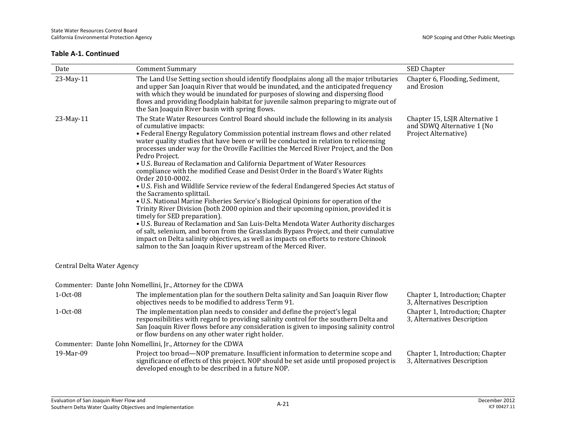| Date                       | <b>Comment Summary</b>                                                                                                                                                                                                                                                                                                                                                                                                                                                                                                                                                                                                                                                                                                                                                                                                                                                                                                                                                                                                                                                                                                                                                                                                                                                     | SED Chapter                                                                          |
|----------------------------|----------------------------------------------------------------------------------------------------------------------------------------------------------------------------------------------------------------------------------------------------------------------------------------------------------------------------------------------------------------------------------------------------------------------------------------------------------------------------------------------------------------------------------------------------------------------------------------------------------------------------------------------------------------------------------------------------------------------------------------------------------------------------------------------------------------------------------------------------------------------------------------------------------------------------------------------------------------------------------------------------------------------------------------------------------------------------------------------------------------------------------------------------------------------------------------------------------------------------------------------------------------------------|--------------------------------------------------------------------------------------|
| 23-May-11                  | The Land Use Setting section should identify floodplains along all the major tributaries<br>and upper San Joaquin River that would be inundated, and the anticipated frequency<br>with which they would be inundated for purposes of slowing and dispersing flood<br>flows and providing floodplain habitat for juvenile salmon preparing to migrate out of<br>the San Joaquin River basin with spring flows.                                                                                                                                                                                                                                                                                                                                                                                                                                                                                                                                                                                                                                                                                                                                                                                                                                                              | Chapter 6, Flooding, Sediment,<br>and Erosion                                        |
| 23-May-11                  | The State Water Resources Control Board should include the following in its analysis<br>of cumulative impacts:<br>• Federal Energy Regulatory Commission potential instream flows and other related<br>water quality studies that have been or will be conducted in relation to relicensing<br>processes under way for the Oroville Facilities the Merced River Project, and the Don<br>Pedro Project.<br>· U.S. Bureau of Reclamation and California Department of Water Resources<br>compliance with the modified Cease and Desist Order in the Board's Water Rights<br>Order 2010-0002.<br>• U.S. Fish and Wildlife Service review of the federal Endangered Species Act status of<br>the Sacramento splittail.<br>• U.S. National Marine Fisheries Service's Biological Opinions for operation of the<br>Trinity River Division (both 2000 opinion and their upcoming opinion, provided it is<br>timely for SED preparation).<br>• U.S. Bureau of Reclamation and San Luis-Delta Mendota Water Authority discharges<br>of salt, selenium, and boron from the Grasslands Bypass Project, and their cumulative<br>impact on Delta salinity objectives, as well as impacts on efforts to restore Chinook<br>salmon to the San Joaquin River upstream of the Merced River. | Chapter 15, LSJR Alternative 1<br>and SDWQ Alternative 1 (No<br>Project Alternative) |
| Central Delta Water Agency |                                                                                                                                                                                                                                                                                                                                                                                                                                                                                                                                                                                                                                                                                                                                                                                                                                                                                                                                                                                                                                                                                                                                                                                                                                                                            |                                                                                      |
|                            | Commenter: Dante John Nomellini, Jr., Attorney for the CDWA                                                                                                                                                                                                                                                                                                                                                                                                                                                                                                                                                                                                                                                                                                                                                                                                                                                                                                                                                                                                                                                                                                                                                                                                                |                                                                                      |
| 1-Oct-08                   | The implementation plan for the southern Delta salinity and San Joaquin River flow<br>objectives needs to be modified to address Term 91.                                                                                                                                                                                                                                                                                                                                                                                                                                                                                                                                                                                                                                                                                                                                                                                                                                                                                                                                                                                                                                                                                                                                  | Chapter 1, Introduction; Chapter<br>3, Alternatives Description                      |
| 1-Oct-08                   | The implementation plan needs to consider and define the project's legal<br>responsibilities with regard to providing salinity control for the southern Delta and<br>San Joaquin River flows before any consideration is given to imposing salinity control<br>or flow burdens on any other water right holder.                                                                                                                                                                                                                                                                                                                                                                                                                                                                                                                                                                                                                                                                                                                                                                                                                                                                                                                                                            | Chapter 1, Introduction; Chapter<br>3, Alternatives Description                      |
|                            | Commenter: Dante John Nomellini, Jr., Attorney for the CDWA                                                                                                                                                                                                                                                                                                                                                                                                                                                                                                                                                                                                                                                                                                                                                                                                                                                                                                                                                                                                                                                                                                                                                                                                                |                                                                                      |
| 19-Mar-09                  | Project too broad—NOP premature. Insufficient information to determine scope and<br>significance of effects of this project. NOP should be set aside until proposed project is<br>developed enough to be described in a future NOP.                                                                                                                                                                                                                                                                                                                                                                                                                                                                                                                                                                                                                                                                                                                                                                                                                                                                                                                                                                                                                                        | Chapter 1, Introduction; Chapter<br>3, Alternatives Description                      |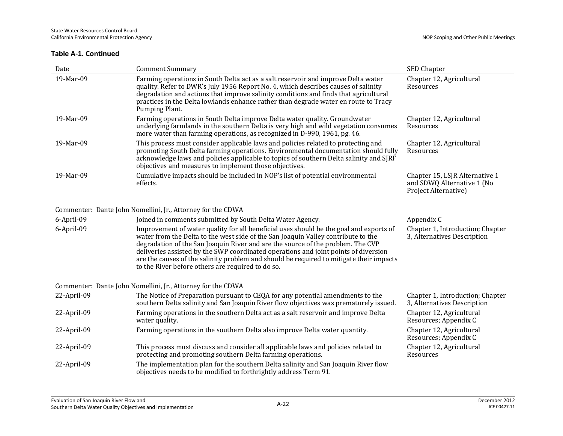| Date        | <b>Comment Summary</b>                                                                                                                                                                                                                                                                                                                                                                                                                                                                                | SED Chapter                                                                          |
|-------------|-------------------------------------------------------------------------------------------------------------------------------------------------------------------------------------------------------------------------------------------------------------------------------------------------------------------------------------------------------------------------------------------------------------------------------------------------------------------------------------------------------|--------------------------------------------------------------------------------------|
| 19-Mar-09   | Farming operations in South Delta act as a salt reservoir and improve Delta water<br>quality. Refer to DWR's July 1956 Report No. 4, which describes causes of salinity<br>degradation and actions that improve salinity conditions and finds that agricultural<br>practices in the Delta lowlands enhance rather than degrade water en route to Tracy<br>Pumping Plant.                                                                                                                              | Chapter 12, Agricultural<br>Resources                                                |
| 19-Mar-09   | Farming operations in South Delta improve Delta water quality. Groundwater<br>underlying farmlands in the southern Delta is very high and wild vegetation consumes<br>more water than farming operations, as recognized in D-990, 1961, pg. 46.                                                                                                                                                                                                                                                       | Chapter 12, Agricultural<br>Resources                                                |
| 19-Mar-09   | This process must consider applicable laws and policies related to protecting and<br>promoting South Delta farming operations. Environmental documentation should fully<br>acknowledge laws and policies applicable to topics of southern Delta salinity and SJRF<br>objectives and measures to implement those objectives.                                                                                                                                                                           | Chapter 12, Agricultural<br>Resources                                                |
| 19-Mar-09   | Cumulative impacts should be included in NOP's list of potential environmental<br>effects.                                                                                                                                                                                                                                                                                                                                                                                                            | Chapter 15, LSJR Alternative 1<br>and SDWQ Alternative 1 (No<br>Project Alternative) |
|             | Commenter: Dante John Nomellini, Jr., Attorney for the CDWA                                                                                                                                                                                                                                                                                                                                                                                                                                           |                                                                                      |
| 6-April-09  | Joined in comments submitted by South Delta Water Agency.                                                                                                                                                                                                                                                                                                                                                                                                                                             | Appendix C                                                                           |
| 6-April-09  | Improvement of water quality for all beneficial uses should be the goal and exports of<br>water from the Delta to the west side of the San Joaquin Valley contribute to the<br>degradation of the San Joaquin River and are the source of the problem. The CVP<br>deliveries assisted by the SWP coordinated operations and joint points of diversion<br>are the causes of the salinity problem and should be required to mitigate their impacts<br>to the River before others are required to do so. | Chapter 1, Introduction; Chapter<br>3, Alternatives Description                      |
|             | Commenter: Dante John Nomellini, Jr., Attorney for the CDWA                                                                                                                                                                                                                                                                                                                                                                                                                                           |                                                                                      |
| 22-April-09 | The Notice of Preparation pursuant to CEQA for any potential amendments to the<br>southern Delta salinity and San Joaquin River flow objectives was prematurely issued.                                                                                                                                                                                                                                                                                                                               | Chapter 1, Introduction; Chapter<br>3, Alternatives Description                      |
| 22-April-09 | Farming operations in the southern Delta act as a salt reservoir and improve Delta<br>water quality.                                                                                                                                                                                                                                                                                                                                                                                                  | Chapter 12, Agricultural<br>Resources; Appendix C                                    |
| 22-April-09 | Farming operations in the southern Delta also improve Delta water quantity.                                                                                                                                                                                                                                                                                                                                                                                                                           | Chapter 12, Agricultural<br>Resources; Appendix C                                    |
| 22-April-09 | This process must discuss and consider all applicable laws and policies related to<br>protecting and promoting southern Delta farming operations.                                                                                                                                                                                                                                                                                                                                                     | Chapter 12, Agricultural<br>Resources                                                |
| 22-April-09 | The implementation plan for the southern Delta salinity and San Joaquin River flow<br>objectives needs to be modified to forthrightly address Term 91.                                                                                                                                                                                                                                                                                                                                                |                                                                                      |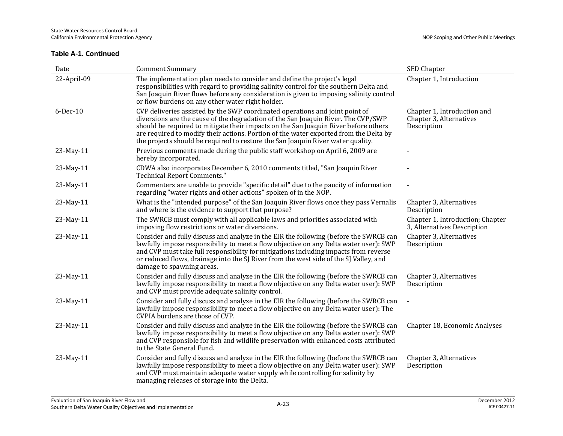| Date           | <b>Comment Summary</b>                                                                                                                                                                                                                                                                                                                                                                                                               | SED Chapter                                                           |
|----------------|--------------------------------------------------------------------------------------------------------------------------------------------------------------------------------------------------------------------------------------------------------------------------------------------------------------------------------------------------------------------------------------------------------------------------------------|-----------------------------------------------------------------------|
| 22-April-09    | The implementation plan needs to consider and define the project's legal<br>responsibilities with regard to providing salinity control for the southern Delta and<br>San Joaquin River flows before any consideration is given to imposing salinity control<br>or flow burdens on any other water right holder.                                                                                                                      | Chapter 1, Introduction                                               |
| $6$ -Dec- $10$ | CVP deliveries assisted by the SWP coordinated operations and joint point of<br>diversions are the cause of the degradation of the San Joaquin River. The CVP/SWP<br>should be required to mitigate their impacts on the San Joaquin River before others<br>are required to modify their actions. Portion of the water exported from the Delta by<br>the projects should be required to restore the San Joaquin River water quality. | Chapter 1, Introduction and<br>Chapter 3, Alternatives<br>Description |
| 23-May-11      | Previous comments made during the public staff workshop on April 6, 2009 are<br>hereby incorporated.                                                                                                                                                                                                                                                                                                                                 |                                                                       |
| 23-May-11      | CDWA also incorporates December 6, 2010 comments titled, "San Joaquin River<br><b>Technical Report Comments."</b>                                                                                                                                                                                                                                                                                                                    |                                                                       |
| 23-May-11      | Commenters are unable to provide "specific detail" due to the paucity of information<br>regarding "water rights and other actions" spoken of in the NOP.                                                                                                                                                                                                                                                                             |                                                                       |
| 23-May-11      | What is the "intended purpose" of the San Joaquin River flows once they pass Vernalis<br>and where is the evidence to support that purpose?                                                                                                                                                                                                                                                                                          | Chapter 3, Alternatives<br>Description                                |
| 23-May-11      | The SWRCB must comply with all applicable laws and priorities associated with<br>imposing flow restrictions or water diversions.                                                                                                                                                                                                                                                                                                     | Chapter 1, Introduction; Chapter<br>3, Alternatives Description       |
| 23-May-11      | Consider and fully discuss and analyze in the EIR the following (before the SWRCB can<br>lawfully impose responsibility to meet a flow objective on any Delta water user): SWP<br>and CVP must take full responsibility for mitigations including impacts from reverse<br>or reduced flows, drainage into the SJ River from the west side of the SJ Valley, and<br>damage to spawning areas.                                         | Chapter 3, Alternatives<br>Description                                |
| 23-May-11      | Consider and fully discuss and analyze in the EIR the following (before the SWRCB can<br>lawfully impose responsibility to meet a flow objective on any Delta water user): SWP<br>and CVP must provide adequate salinity control.                                                                                                                                                                                                    | Chapter 3, Alternatives<br>Description                                |
| 23-May-11      | Consider and fully discuss and analyze in the EIR the following (before the SWRCB can<br>lawfully impose responsibility to meet a flow objective on any Delta water user): The<br>CVPIA burdens are those of CVP.                                                                                                                                                                                                                    |                                                                       |
| 23-May-11      | Consider and fully discuss and analyze in the EIR the following (before the SWRCB can<br>lawfully impose responsibility to meet a flow objective on any Delta water user): SWP<br>and CVP responsible for fish and wildlife preservation with enhanced costs attributed<br>to the State General Fund.                                                                                                                                | Chapter 18, Economic Analyses                                         |
| 23-May-11      | Consider and fully discuss and analyze in the EIR the following (before the SWRCB can<br>lawfully impose responsibility to meet a flow objective on any Delta water user): SWP<br>and CVP must maintain adequate water supply while controlling for salinity by<br>managing releases of storage into the Delta.                                                                                                                      | Chapter 3, Alternatives<br>Description                                |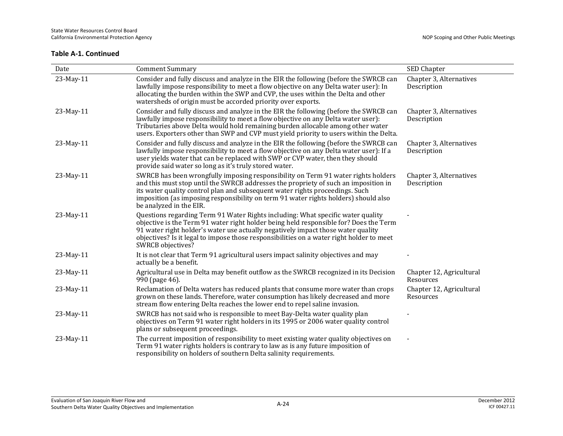| Date      | <b>Comment Summary</b>                                                                                                                                                                                                                                                                                                                                                        | SED Chapter                            |
|-----------|-------------------------------------------------------------------------------------------------------------------------------------------------------------------------------------------------------------------------------------------------------------------------------------------------------------------------------------------------------------------------------|----------------------------------------|
| 23-May-11 | Consider and fully discuss and analyze in the EIR the following (before the SWRCB can<br>lawfully impose responsibility to meet a flow objective on any Delta water user): In<br>allocating the burden within the SWP and CVP, the uses within the Delta and other<br>watersheds of origin must be accorded priority over exports.                                            | Chapter 3, Alternatives<br>Description |
| 23-May-11 | Consider and fully discuss and analyze in the EIR the following (before the SWRCB can<br>lawfully impose responsibility to meet a flow objective on any Delta water user):<br>Tributaries above Delta would hold remaining burden allocable among other water<br>users. Exporters other than SWP and CVP must yield priority to users within the Delta.                       | Chapter 3, Alternatives<br>Description |
| 23-May-11 | Consider and fully discuss and analyze in the EIR the following (before the SWRCB can<br>lawfully impose responsibility to meet a flow objective on any Delta water user): If a<br>user yields water that can be replaced with SWP or CVP water, then they should<br>provide said water so long as it's truly stored water.                                                   | Chapter 3, Alternatives<br>Description |
| 23-May-11 | SWRCB has been wrongfully imposing responsibility on Term 91 water rights holders<br>and this must stop until the SWRCB addresses the propriety of such an imposition in<br>its water quality control plan and subsequent water rights proceedings. Such<br>imposition (as imposing responsibility on term 91 water rights holders) should also<br>be analyzed in the EIR.    | Chapter 3, Alternatives<br>Description |
| 23-May-11 | Questions regarding Term 91 Water Rights including: What specific water quality<br>objective is the Term 91 water right holder being held responsible for? Does the Term<br>91 water right holder's water use actually negatively impact those water quality<br>objectives? Is it legal to impose those responsibilities on a water right holder to meet<br>SWRCB objectives? |                                        |
| 23-May-11 | It is not clear that Term 91 agricultural users impact salinity objectives and may<br>actually be a benefit.                                                                                                                                                                                                                                                                  |                                        |
| 23-May-11 | Agricultural use in Delta may benefit outflow as the SWRCB recognized in its Decision<br>990 (page 46).                                                                                                                                                                                                                                                                       | Chapter 12, Agricultural<br>Resources  |
| 23-May-11 | Reclamation of Delta waters has reduced plants that consume more water than crops<br>grown on these lands. Therefore, water consumption has likely decreased and more<br>stream flow entering Delta reaches the lower end to repel saline invasion.                                                                                                                           | Chapter 12, Agricultural<br>Resources  |
| 23-May-11 | SWRCB has not said who is responsible to meet Bay-Delta water quality plan<br>objectives on Term 91 water right holders in its 1995 or 2006 water quality control<br>plans or subsequent proceedings.                                                                                                                                                                         |                                        |
| 23-May-11 | The current imposition of responsibility to meet existing water quality objectives on<br>Term 91 water rights holders is contrary to law as is any future imposition of<br>responsibility on holders of southern Delta salinity requirements.                                                                                                                                 |                                        |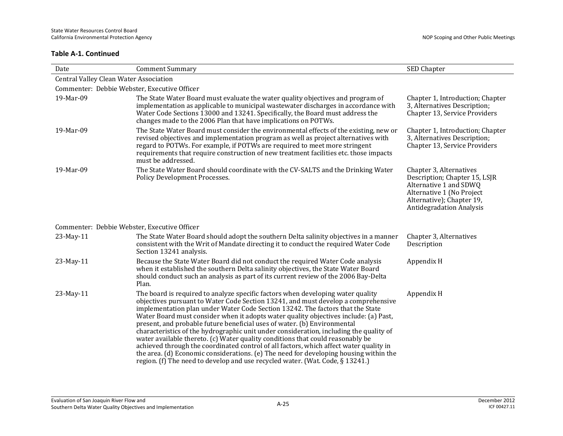| Date                                         | <b>Comment Summary</b>                                                                                                                                                                                                                                                                                                                                                                                                                                                                                                                                                                                                                                                                                                                                                                                                                                                         | SED Chapter                                                                                                                                                                     |
|----------------------------------------------|--------------------------------------------------------------------------------------------------------------------------------------------------------------------------------------------------------------------------------------------------------------------------------------------------------------------------------------------------------------------------------------------------------------------------------------------------------------------------------------------------------------------------------------------------------------------------------------------------------------------------------------------------------------------------------------------------------------------------------------------------------------------------------------------------------------------------------------------------------------------------------|---------------------------------------------------------------------------------------------------------------------------------------------------------------------------------|
| Central Valley Clean Water Association       |                                                                                                                                                                                                                                                                                                                                                                                                                                                                                                                                                                                                                                                                                                                                                                                                                                                                                |                                                                                                                                                                                 |
| Commenter: Debbie Webster, Executive Officer |                                                                                                                                                                                                                                                                                                                                                                                                                                                                                                                                                                                                                                                                                                                                                                                                                                                                                |                                                                                                                                                                                 |
| 19-Mar-09                                    | The State Water Board must evaluate the water quality objectives and program of<br>implementation as applicable to municipal wastewater discharges in accordance with<br>Water Code Sections 13000 and 13241. Specifically, the Board must address the<br>changes made to the 2006 Plan that have implications on POTWs.                                                                                                                                                                                                                                                                                                                                                                                                                                                                                                                                                       | Chapter 1, Introduction; Chapter<br>3, Alternatives Description;<br>Chapter 13, Service Providers                                                                               |
| 19-Mar-09                                    | The State Water Board must consider the environmental effects of the existing, new or<br>revised objectives and implementation program as well as project alternatives with<br>regard to POTWs. For example, if POTWs are required to meet more stringent<br>requirements that require construction of new treatment facilities etc. those impacts<br>must be addressed.                                                                                                                                                                                                                                                                                                                                                                                                                                                                                                       | Chapter 1, Introduction; Chapter<br>3, Alternatives Description;<br>Chapter 13, Service Providers                                                                               |
| 19-Mar-09                                    | The State Water Board should coordinate with the CV-SALTS and the Drinking Water<br>Policy Development Processes.                                                                                                                                                                                                                                                                                                                                                                                                                                                                                                                                                                                                                                                                                                                                                              | Chapter 3, Alternatives<br>Description; Chapter 15, LSJR<br>Alternative 1 and SDWQ<br>Alternative 1 (No Project<br>Alternative); Chapter 19,<br><b>Antidegradation Analysis</b> |
| Commenter: Debbie Webster, Executive Officer |                                                                                                                                                                                                                                                                                                                                                                                                                                                                                                                                                                                                                                                                                                                                                                                                                                                                                |                                                                                                                                                                                 |
| 23-May-11                                    | The State Water Board should adopt the southern Delta salinity objectives in a manner<br>consistent with the Writ of Mandate directing it to conduct the required Water Code<br>Section 13241 analysis.                                                                                                                                                                                                                                                                                                                                                                                                                                                                                                                                                                                                                                                                        | Chapter 3, Alternatives<br>Description                                                                                                                                          |
| 23-May-11                                    | Because the State Water Board did not conduct the required Water Code analysis<br>when it established the southern Delta salinity objectives, the State Water Board<br>should conduct such an analysis as part of its current review of the 2006 Bay-Delta<br>Plan.                                                                                                                                                                                                                                                                                                                                                                                                                                                                                                                                                                                                            | Appendix H                                                                                                                                                                      |
| 23-May-11                                    | The board is required to analyze specific factors when developing water quality<br>objectives pursuant to Water Code Section 13241, and must develop a comprehensive<br>implementation plan under Water Code Section 13242. The factors that the State<br>Water Board must consider when it adopts water quality objectives include: (a) Past,<br>present, and probable future beneficial uses of water. (b) Environmental<br>characteristics of the hydrographic unit under consideration, including the quality of<br>water available thereto. (c) Water quality conditions that could reasonably be<br>achieved through the coordinated control of all factors, which affect water quality in<br>the area. (d) Economic considerations. (e) The need for developing housing within the<br>region. (f) The need to develop and use recycled water. (Wat. Code, $\S 13241$ .) | Appendix H                                                                                                                                                                      |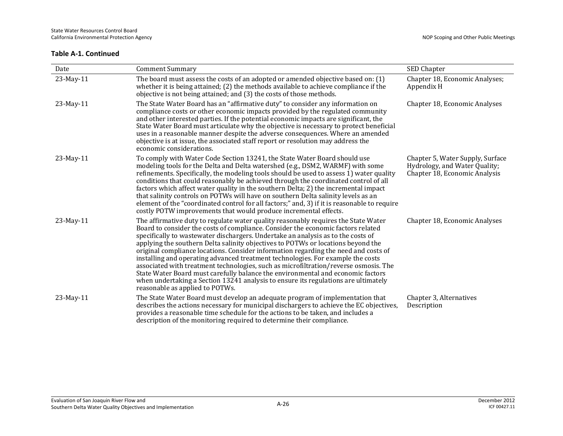| Date      | <b>Comment Summary</b>                                                                                                                                                                                                                                                                                                                                                                                                                                                                                                                                                                                                                                                                                                                                                                                                       | SED Chapter                                                                                        |
|-----------|------------------------------------------------------------------------------------------------------------------------------------------------------------------------------------------------------------------------------------------------------------------------------------------------------------------------------------------------------------------------------------------------------------------------------------------------------------------------------------------------------------------------------------------------------------------------------------------------------------------------------------------------------------------------------------------------------------------------------------------------------------------------------------------------------------------------------|----------------------------------------------------------------------------------------------------|
| 23-May-11 | The board must assess the costs of an adopted or amended objective based on: (1)<br>whether it is being attained; (2) the methods available to achieve compliance if the<br>objective is not being attained; and (3) the costs of those methods.                                                                                                                                                                                                                                                                                                                                                                                                                                                                                                                                                                             | Chapter 18, Economic Analyses;<br>Appendix H                                                       |
| 23-May-11 | The State Water Board has an "affirmative duty" to consider any information on<br>compliance costs or other economic impacts provided by the regulated community<br>and other interested parties. If the potential economic impacts are significant, the<br>State Water Board must articulate why the objective is necessary to protect beneficial<br>uses in a reasonable manner despite the adverse consequences. Where an amended<br>objective is at issue, the associated staff report or resolution may address the<br>economic considerations.                                                                                                                                                                                                                                                                         | Chapter 18, Economic Analyses                                                                      |
| 23-May-11 | To comply with Water Code Section 13241, the State Water Board should use<br>modeling tools for the Delta and Delta watershed (e.g., DSM2, WARMF) with some<br>refinements. Specifically, the modeling tools should be used to assess 1) water quality<br>conditions that could reasonably be achieved through the coordinated control of all<br>factors which affect water quality in the southern Delta; 2) the incremental impact<br>that salinity controls on POTWs will have on southern Delta salinity levels as an<br>element of the "coordinated control for all factors;" and, 3) if it is reasonable to require<br>costly POTW improvements that would produce incremental effects.                                                                                                                                | Chapter 5, Water Supply, Surface<br>Hydrology, and Water Quality;<br>Chapter 18, Economic Analysis |
| 23-May-11 | The affirmative duty to regulate water quality reasonably requires the State Water<br>Board to consider the costs of compliance. Consider the economic factors related<br>specifically to wastewater dischargers. Undertake an analysis as to the costs of<br>applying the southern Delta salinity objectives to POTWs or locations beyond the<br>original compliance locations. Consider information regarding the need and costs of<br>installing and operating advanced treatment technologies. For example the costs<br>associated with treatment technologies, such as microfiltration/reverse osmosis. The<br>State Water Board must carefully balance the environmental and economic factors<br>when undertaking a Section 13241 analysis to ensure its regulations are ultimately<br>reasonable as applied to POTWs. | Chapter 18, Economic Analyses                                                                      |
| 23-May-11 | The State Water Board must develop an adequate program of implementation that<br>describes the actions necessary for municipal dischargers to achieve the EC objectives,<br>provides a reasonable time schedule for the actions to be taken, and includes a<br>description of the monitoring required to determine their compliance.                                                                                                                                                                                                                                                                                                                                                                                                                                                                                         | Chapter 3, Alternatives<br>Description                                                             |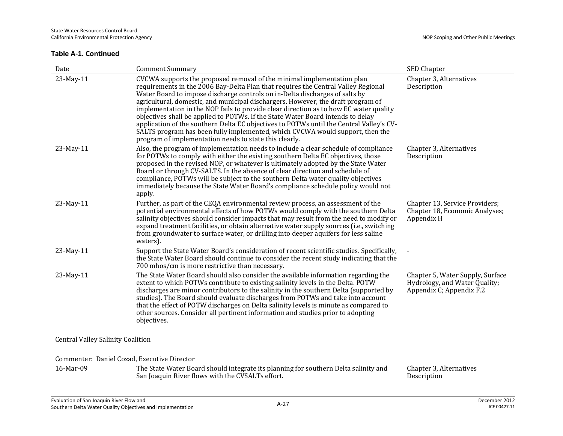| Date                                        | <b>Comment Summary</b>                                                                                                                                                                                                                                                                                                                                                                                                                                                                                                                                                                                                                                                                                                                           | SED Chapter                                                                                   |
|---------------------------------------------|--------------------------------------------------------------------------------------------------------------------------------------------------------------------------------------------------------------------------------------------------------------------------------------------------------------------------------------------------------------------------------------------------------------------------------------------------------------------------------------------------------------------------------------------------------------------------------------------------------------------------------------------------------------------------------------------------------------------------------------------------|-----------------------------------------------------------------------------------------------|
| 23-May-11                                   | CVCWA supports the proposed removal of the minimal implementation plan<br>requirements in the 2006 Bay-Delta Plan that requires the Central Valley Regional<br>Water Board to impose discharge controls on in-Delta discharges of salts by<br>agricultural, domestic, and municipal dischargers. However, the draft program of<br>implementation in the NOP fails to provide clear direction as to how EC water quality<br>objectives shall be applied to POTWs. If the State Water Board intends to delay<br>application of the southern Delta EC objectives to POTWs until the Central Valley's CV-<br>SALTS program has been fully implemented, which CVCWA would support, then the<br>program of implementation needs to state this clearly. | Chapter 3, Alternatives<br>Description                                                        |
| 23-May-11                                   | Also, the program of implementation needs to include a clear schedule of compliance<br>for POTWs to comply with either the existing southern Delta EC objectives, those<br>proposed in the revised NOP, or whatever is ultimately adopted by the State Water<br>Board or through CV-SALTS. In the absence of clear direction and schedule of<br>compliance, POTWs will be subject to the southern Delta water quality objectives<br>immediately because the State Water Board's compliance schedule policy would not<br>apply.                                                                                                                                                                                                                   | Chapter 3, Alternatives<br>Description                                                        |
| 23-May-11                                   | Further, as part of the CEQA environmental review process, an assessment of the<br>potential environmental effects of how POTWs would comply with the southern Delta<br>salinity objectives should consider impacts that may result from the need to modify or<br>expand treatment facilities, or obtain alternative water supply sources (i.e., switching<br>from groundwater to surface water, or drilling into deeper aquifers for less saline<br>waters).                                                                                                                                                                                                                                                                                    | Chapter 13, Service Providers;<br>Chapter 18, Economic Analyses;<br>Appendix H                |
| 23-May-11                                   | Support the State Water Board's consideration of recent scientific studies. Specifically,<br>the State Water Board should continue to consider the recent study indicating that the<br>700 mhos/cm is more restrictive than necessary.                                                                                                                                                                                                                                                                                                                                                                                                                                                                                                           |                                                                                               |
| 23-May-11                                   | The State Water Board should also consider the available information regarding the<br>extent to which POTWs contribute to existing salinity levels in the Delta. POTW<br>discharges are minor contributors to the salinity in the southern Delta (supported by<br>studies). The Board should evaluate discharges from POTWs and take into account<br>that the effect of POTW discharges on Delta salinity levels is minute as compared to<br>other sources. Consider all pertinent information and studies prior to adopting<br>objectives.                                                                                                                                                                                                      | Chapter 5, Water Supply, Surface<br>Hydrology, and Water Quality;<br>Appendix C; Appendix F.2 |
| <b>Central Valley Salinity Coalition</b>    |                                                                                                                                                                                                                                                                                                                                                                                                                                                                                                                                                                                                                                                                                                                                                  |                                                                                               |
| Commenter: Daniel Cozad, Executive Director |                                                                                                                                                                                                                                                                                                                                                                                                                                                                                                                                                                                                                                                                                                                                                  |                                                                                               |
| $16$ -M <sub>2r-09</sub>                    | The State Water Roard should integrate its planning for southern Delta salinity and                                                                                                                                                                                                                                                                                                                                                                                                                                                                                                                                                                                                                                                              | Chanter 3 Alternatives                                                                        |

16-Mar-09 The State Water Board should integrate its planning for southern Delta salinity and San Joaquin River flows with the CVSALTs effort. Chapter 3, Alternatives Description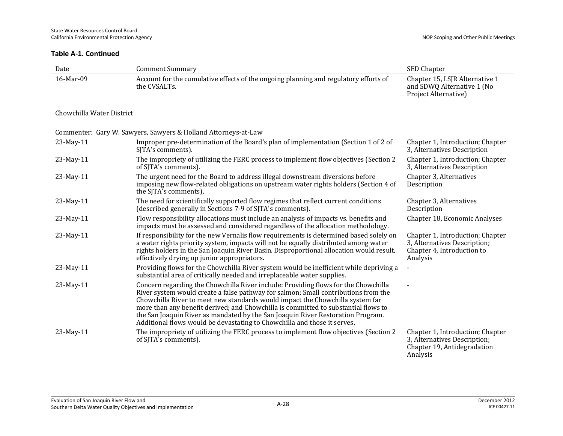| Date                      | <b>Comment Summary</b>                                                                                                                                                                                                                                                                                                                                                                                                                                                                                         | SED Chapter                                                                                                 |
|---------------------------|----------------------------------------------------------------------------------------------------------------------------------------------------------------------------------------------------------------------------------------------------------------------------------------------------------------------------------------------------------------------------------------------------------------------------------------------------------------------------------------------------------------|-------------------------------------------------------------------------------------------------------------|
| 16-Mar-09                 | Account for the cumulative effects of the ongoing planning and regulatory efforts of<br>the CVSALTs.                                                                                                                                                                                                                                                                                                                                                                                                           | Chapter 15, LSJR Alternative 1<br>and SDWQ Alternative 1 (No<br>Project Alternative)                        |
| Chowchilla Water District |                                                                                                                                                                                                                                                                                                                                                                                                                                                                                                                |                                                                                                             |
|                           | Commenter: Gary W. Sawyers, Sawyers & Holland Attorneys-at-Law                                                                                                                                                                                                                                                                                                                                                                                                                                                 |                                                                                                             |
| 23-May-11                 | Improper pre-determination of the Board's plan of implementation (Section 1 of 2 of<br>SJTA's comments).                                                                                                                                                                                                                                                                                                                                                                                                       | Chapter 1, Introduction; Chapter<br>3, Alternatives Description                                             |
| 23-May-11                 | The impropriety of utilizing the FERC process to implement flow objectives (Section 2<br>of SJTA's comments).                                                                                                                                                                                                                                                                                                                                                                                                  | Chapter 1, Introduction; Chapter<br>3, Alternatives Description                                             |
| 23-May-11                 | The urgent need for the Board to address illegal downstream diversions before<br>imposing new flow-related obligations on upstream water rights holders (Section 4 of<br>the SJTA's comments).                                                                                                                                                                                                                                                                                                                 | Chapter 3, Alternatives<br>Description                                                                      |
| 23-May-11                 | The need for scientifically supported flow regimes that reflect current conditions<br>(described generally in Sections 7-9 of SJTA's comments).                                                                                                                                                                                                                                                                                                                                                                | Chapter 3, Alternatives<br>Description                                                                      |
| 23-May-11                 | Flow responsibility allocations must include an analysis of impacts vs. benefits and<br>impacts must be assessed and considered regardless of the allocation methodology.                                                                                                                                                                                                                                                                                                                                      | Chapter 18, Economic Analyses                                                                               |
| 23-May-11                 | If responsibility for the new Vernalis flow requirements is determined based solely on<br>a water rights priority system, impacts will not be equally distributed among water<br>rights holders in the San Joaquin River Basin. Disproportional allocation would result,<br>effectively drying up junior appropriators.                                                                                                                                                                                        | Chapter 1, Introduction; Chapter<br>3, Alternatives Description;<br>Chapter 4, Introduction to<br>Analysis  |
| 23-May-11                 | Providing flows for the Chowchilla River system would be inefficient while depriving a<br>substantial area of critically needed and irreplaceable water supplies.                                                                                                                                                                                                                                                                                                                                              |                                                                                                             |
| 23-May-11                 | Concern regarding the Chowchilla River include: Providing flows for the Chowchilla<br>River system would create a false pathway for salmon; Small contributions from the<br>Chowchilla River to meet new standards would impact the Chowchilla system far<br>more than any benefit derived; and Chowchilla is committed to substantial flows to<br>the San Joaquin River as mandated by the San Joaquin River Restoration Program.<br>Additional flows would be devastating to Chowchilla and those it serves. |                                                                                                             |
| 23-May-11                 | The impropriety of utilizing the FERC process to implement flow objectives (Section 2)<br>of SJTA's comments).                                                                                                                                                                                                                                                                                                                                                                                                 | Chapter 1, Introduction; Chapter<br>3, Alternatives Description;<br>Chapter 19, Antidegradation<br>Analysis |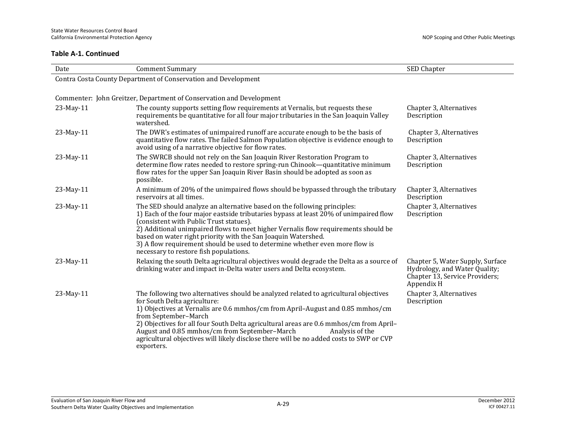| Date      | <b>Comment Summary</b>                                                                                                                                                                                                                                                                                                                                                                                                                                                                                | SED Chapter                                                                                                       |
|-----------|-------------------------------------------------------------------------------------------------------------------------------------------------------------------------------------------------------------------------------------------------------------------------------------------------------------------------------------------------------------------------------------------------------------------------------------------------------------------------------------------------------|-------------------------------------------------------------------------------------------------------------------|
|           | Contra Costa County Department of Conservation and Development                                                                                                                                                                                                                                                                                                                                                                                                                                        |                                                                                                                   |
|           |                                                                                                                                                                                                                                                                                                                                                                                                                                                                                                       |                                                                                                                   |
|           | Commenter: John Greitzer, Department of Conservation and Development                                                                                                                                                                                                                                                                                                                                                                                                                                  |                                                                                                                   |
| 23-May-11 | The county supports setting flow requirements at Vernalis, but requests these<br>requirements be quantitative for all four major tributaries in the San Joaquin Valley<br>watershed.                                                                                                                                                                                                                                                                                                                  | Chapter 3, Alternatives<br>Description                                                                            |
| 23-May-11 | The DWR's estimates of unimpaired runoff are accurate enough to be the basis of<br>quantitative flow rates. The failed Salmon Population objective is evidence enough to<br>avoid using of a narrative objective for flow rates.                                                                                                                                                                                                                                                                      | Chapter 3, Alternatives<br>Description                                                                            |
| 23-May-11 | The SWRCB should not rely on the San Joaquin River Restoration Program to<br>determine flow rates needed to restore spring-run Chinook—quantitative minimum<br>flow rates for the upper San Joaquin River Basin should be adopted as soon as<br>possible.                                                                                                                                                                                                                                             | Chapter 3, Alternatives<br>Description                                                                            |
| 23-May-11 | A minimum of 20% of the unimpaired flows should be bypassed through the tributary<br>reservoirs at all times.                                                                                                                                                                                                                                                                                                                                                                                         | Chapter 3, Alternatives<br>Description                                                                            |
| 23-May-11 | The SED should analyze an alternative based on the following principles:<br>1) Each of the four major eastside tributaries bypass at least 20% of unimpaired flow<br>(consistent with Public Trust statues).<br>2) Additional unimpaired flows to meet higher Vernalis flow requirements should be<br>based on water right priority with the San Joaquin Watershed.<br>3) A flow requirement should be used to determine whether even more flow is<br>necessary to restore fish populations.          | Chapter 3, Alternatives<br>Description                                                                            |
| 23-May-11 | Relaxing the south Delta agricultural objectives would degrade the Delta as a source of<br>drinking water and impact in-Delta water users and Delta ecosystem.                                                                                                                                                                                                                                                                                                                                        | Chapter 5, Water Supply, Surface<br>Hydrology, and Water Quality;<br>Chapter 13, Service Providers;<br>Appendix H |
| 23-May-11 | The following two alternatives should be analyzed related to agricultural objectives<br>for South Delta agriculture:<br>1) Objectives at Vernalis are 0.6 mmhos/cm from April-August and 0.85 mmhos/cm<br>from September-March<br>2) Objectives for all four South Delta agricultural areas are 0.6 mmhos/cm from April-<br>August and 0.85 mmhos/cm from September-March<br>Analysis of the<br>agricultural objectives will likely disclose there will be no added costs to SWP or CVP<br>exporters. | Chapter 3, Alternatives<br>Description                                                                            |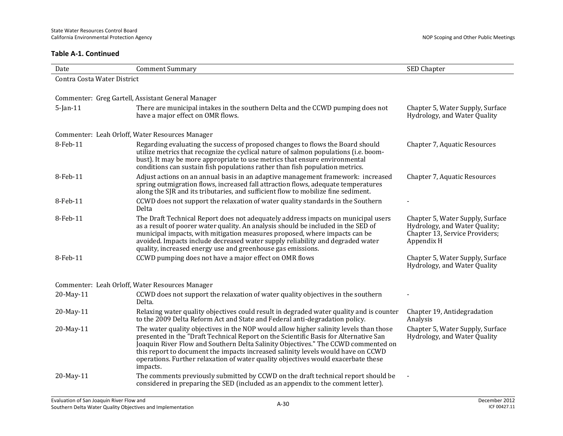| Date                        | <b>Comment Summary</b>                                                                                                                                                                                                                                                                                                                                                                                                                                  | SED Chapter                                                                                                       |
|-----------------------------|---------------------------------------------------------------------------------------------------------------------------------------------------------------------------------------------------------------------------------------------------------------------------------------------------------------------------------------------------------------------------------------------------------------------------------------------------------|-------------------------------------------------------------------------------------------------------------------|
| Contra Costa Water District |                                                                                                                                                                                                                                                                                                                                                                                                                                                         |                                                                                                                   |
|                             |                                                                                                                                                                                                                                                                                                                                                                                                                                                         |                                                                                                                   |
|                             | Commenter: Greg Gartell, Assistant General Manager                                                                                                                                                                                                                                                                                                                                                                                                      |                                                                                                                   |
| $5$ -Jan-11                 | There are municipal intakes in the southern Delta and the CCWD pumping does not<br>have a major effect on OMR flows.                                                                                                                                                                                                                                                                                                                                    | Chapter 5, Water Supply, Surface<br>Hydrology, and Water Quality                                                  |
|                             | Commenter: Leah Orloff, Water Resources Manager                                                                                                                                                                                                                                                                                                                                                                                                         |                                                                                                                   |
| 8-Feb-11                    | Regarding evaluating the success of proposed changes to flows the Board should<br>utilize metrics that recognize the cyclical nature of salmon populations (i.e. boom-<br>bust). It may be more appropriate to use metrics that ensure environmental<br>conditions can sustain fish populations rather than fish population metrics.                                                                                                                    | Chapter 7, Aquatic Resources                                                                                      |
| 8-Feb-11                    | Adjust actions on an annual basis in an adaptive management framework: increased<br>spring outmigration flows, increased fall attraction flows, adequate temperatures<br>along the SJR and its tributaries, and sufficient flow to mobilize fine sediment.                                                                                                                                                                                              | Chapter 7, Aquatic Resources                                                                                      |
| 8-Feb-11                    | CCWD does not support the relaxation of water quality standards in the Southern<br>Delta                                                                                                                                                                                                                                                                                                                                                                |                                                                                                                   |
| 8-Feb-11                    | The Draft Technical Report does not adequately address impacts on municipal users<br>as a result of poorer water quality. An analysis should be included in the SED of<br>municipal impacts, with mitigation measures proposed, where impacts can be<br>avoided. Impacts include decreased water supply reliability and degraded water<br>quality, increased energy use and greenhouse gas emissions.                                                   | Chapter 5, Water Supply, Surface<br>Hydrology, and Water Quality;<br>Chapter 13, Service Providers;<br>Appendix H |
| 8-Feb-11                    | CCWD pumping does not have a major effect on OMR flows                                                                                                                                                                                                                                                                                                                                                                                                  | Chapter 5, Water Supply, Surface<br>Hydrology, and Water Quality                                                  |
|                             | Commenter: Leah Orloff, Water Resources Manager                                                                                                                                                                                                                                                                                                                                                                                                         |                                                                                                                   |
| 20-May-11                   | CCWD does not support the relaxation of water quality objectives in the southern<br>Delta.                                                                                                                                                                                                                                                                                                                                                              |                                                                                                                   |
| 20-May-11                   | Relaxing water quality objectives could result in degraded water quality and is counter<br>to the 2009 Delta Reform Act and State and Federal anti-degradation policy.                                                                                                                                                                                                                                                                                  | Chapter 19, Antidegradation<br>Analysis                                                                           |
| 20-May-11                   | The water quality objectives in the NOP would allow higher salinity levels than those<br>presented in the "Draft Technical Report on the Scientific Basis for Alternative San<br>Joaquin River Flow and Southern Delta Salinity Objectives." The CCWD commented on<br>this report to document the impacts increased salinity levels would have on CCWD<br>operations. Further relaxation of water quality objectives would exacerbate these<br>impacts. | Chapter 5, Water Supply, Surface<br>Hydrology, and Water Quality                                                  |
| 20-May-11                   | The comments previously submitted by CCWD on the draft technical report should be<br>considered in preparing the SED (included as an appendix to the comment letter).                                                                                                                                                                                                                                                                                   |                                                                                                                   |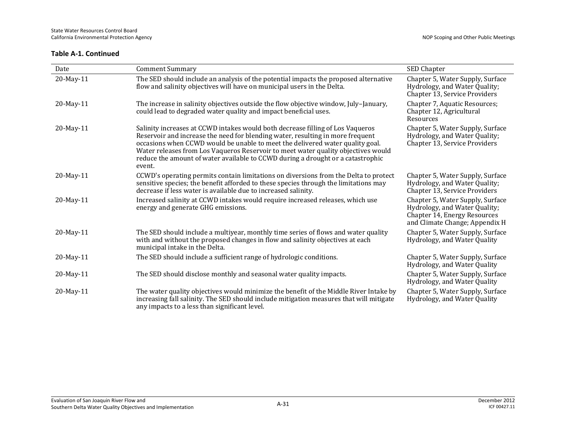| Date      | <b>Comment Summary</b>                                                                                                                                                                                                                                                                                                                                                                                                              | SED Chapter                                                                                                                         |
|-----------|-------------------------------------------------------------------------------------------------------------------------------------------------------------------------------------------------------------------------------------------------------------------------------------------------------------------------------------------------------------------------------------------------------------------------------------|-------------------------------------------------------------------------------------------------------------------------------------|
| 20-May-11 | The SED should include an analysis of the potential impacts the proposed alternative<br>flow and salinity objectives will have on municipal users in the Delta.                                                                                                                                                                                                                                                                     | Chapter 5, Water Supply, Surface<br>Hydrology, and Water Quality;<br>Chapter 13, Service Providers                                  |
| 20-May-11 | The increase in salinity objectives outside the flow objective window, July-January,<br>could lead to degraded water quality and impact beneficial uses.                                                                                                                                                                                                                                                                            | Chapter 7, Aquatic Resources;<br>Chapter 12, Agricultural<br>Resources                                                              |
| 20-May-11 | Salinity increases at CCWD intakes would both decrease filling of Los Vaqueros<br>Reservoir and increase the need for blending water, resulting in more frequent<br>occasions when CCWD would be unable to meet the delivered water quality goal.<br>Water releases from Los Vaqueros Reservoir to meet water quality objectives would<br>reduce the amount of water available to CCWD during a drought or a catastrophic<br>event. | Chapter 5, Water Supply, Surface<br>Hydrology, and Water Quality;<br>Chapter 13, Service Providers                                  |
| 20-May-11 | CCWD's operating permits contain limitations on diversions from the Delta to protect<br>sensitive species; the benefit afforded to these species through the limitations may<br>decrease if less water is available due to increased salinity.                                                                                                                                                                                      | Chapter 5, Water Supply, Surface<br>Hydrology, and Water Quality;<br>Chapter 13, Service Providers                                  |
| 20-May-11 | Increased salinity at CCWD intakes would require increased releases, which use<br>energy and generate GHG emissions.                                                                                                                                                                                                                                                                                                                | Chapter 5, Water Supply, Surface<br>Hydrology, and Water Quality;<br>Chapter 14, Energy Resources<br>and Climate Change; Appendix H |
| 20-May-11 | The SED should include a multiyear, monthly time series of flows and water quality<br>with and without the proposed changes in flow and salinity objectives at each<br>municipal intake in the Delta.                                                                                                                                                                                                                               | Chapter 5, Water Supply, Surface<br>Hydrology, and Water Quality                                                                    |
| 20-May-11 | The SED should include a sufficient range of hydrologic conditions.                                                                                                                                                                                                                                                                                                                                                                 | Chapter 5, Water Supply, Surface<br>Hydrology, and Water Quality                                                                    |
| 20-May-11 | The SED should disclose monthly and seasonal water quality impacts.                                                                                                                                                                                                                                                                                                                                                                 | Chapter 5, Water Supply, Surface<br>Hydrology, and Water Quality                                                                    |
| 20-May-11 | The water quality objectives would minimize the benefit of the Middle River Intake by<br>increasing fall salinity. The SED should include mitigation measures that will mitigate<br>any impacts to a less than significant level.                                                                                                                                                                                                   | Chapter 5, Water Supply, Surface<br>Hydrology, and Water Quality                                                                    |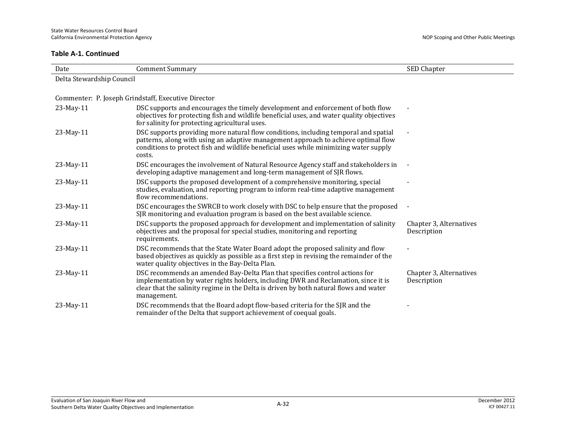| Date                      | <b>Comment Summary</b>                                                                                                                                                                                                                                                       | SED Chapter                            |
|---------------------------|------------------------------------------------------------------------------------------------------------------------------------------------------------------------------------------------------------------------------------------------------------------------------|----------------------------------------|
| Delta Stewardship Council |                                                                                                                                                                                                                                                                              |                                        |
|                           |                                                                                                                                                                                                                                                                              |                                        |
|                           | Commenter: P. Joseph Grindstaff, Executive Director                                                                                                                                                                                                                          |                                        |
| 23-May-11                 | DSC supports and encourages the timely development and enforcement of both flow<br>objectives for protecting fish and wildlife beneficial uses, and water quality objectives<br>for salinity for protecting agricultural uses.                                               |                                        |
| 23-May-11                 | DSC supports providing more natural flow conditions, including temporal and spatial<br>patterns, along with using an adaptive management approach to achieve optimal flow<br>conditions to protect fish and wildlife beneficial uses while minimizing water supply<br>costs. |                                        |
| 23-May-11                 | DSC encourages the involvement of Natural Resource Agency staff and stakeholders in<br>developing adaptive management and long-term management of SJR flows.                                                                                                                 |                                        |
| 23-May-11                 | DSC supports the proposed development of a comprehensive monitoring, special<br>studies, evaluation, and reporting program to inform real-time adaptive management<br>flow recommendations.                                                                                  |                                        |
| 23-May-11                 | DSC encourages the SWRCB to work closely with DSC to help ensure that the proposed<br>SJR monitoring and evaluation program is based on the best available science.                                                                                                          |                                        |
| 23-May-11                 | DSC supports the proposed approach for development and implementation of salinity<br>objectives and the proposal for special studies, monitoring and reporting<br>requirements.                                                                                              | Chapter 3, Alternatives<br>Description |
| $23$ -May-11              | DSC recommends that the State Water Board adopt the proposed salinity and flow<br>based objectives as quickly as possible as a first step in revising the remainder of the<br>water quality objectives in the Bay-Delta Plan.                                                |                                        |
| 23-May-11                 | DSC recommends an amended Bay-Delta Plan that specifies control actions for<br>implementation by water rights holders, including DWR and Reclamation, since it is<br>clear that the salinity regime in the Delta is driven by both natural flows and water<br>management.    | Chapter 3, Alternatives<br>Description |
| 23-May-11                 | DSC recommends that the Board adopt flow-based criteria for the SJR and the<br>remainder of the Delta that support achievement of coequal goals.                                                                                                                             |                                        |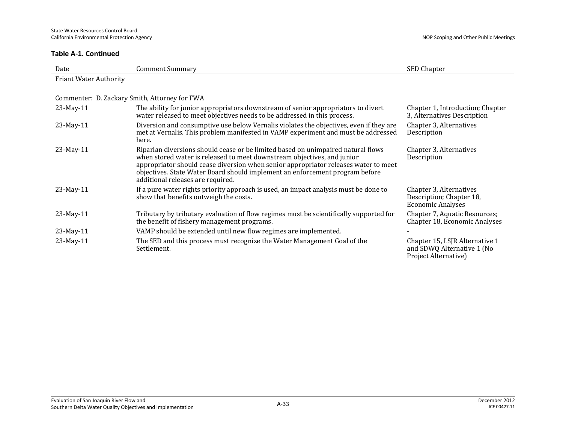| Date                          | <b>Comment Summary</b>                                                                                                                                                                                                                                                                                                                                                  | SED Chapter                                                                          |
|-------------------------------|-------------------------------------------------------------------------------------------------------------------------------------------------------------------------------------------------------------------------------------------------------------------------------------------------------------------------------------------------------------------------|--------------------------------------------------------------------------------------|
| <b>Friant Water Authority</b> |                                                                                                                                                                                                                                                                                                                                                                         |                                                                                      |
|                               |                                                                                                                                                                                                                                                                                                                                                                         |                                                                                      |
|                               | Commenter: D. Zackary Smith, Attorney for FWA                                                                                                                                                                                                                                                                                                                           |                                                                                      |
| 23-May-11                     | The ability for junior appropriators downstream of senior appropriators to divert<br>water released to meet objectives needs to be addressed in this process.                                                                                                                                                                                                           | Chapter 1, Introduction; Chapter<br>3, Alternatives Description                      |
| 23-May-11                     | Diversion and consumptive use below Vernalis violates the objectives, even if they are<br>met at Vernalis. This problem manifested in VAMP experiment and must be addressed<br>here.                                                                                                                                                                                    | Chapter 3, Alternatives<br>Description                                               |
| 23-May-11                     | Riparian diversions should cease or be limited based on unimpaired natural flows<br>when stored water is released to meet downstream objectives, and junior<br>appropriator should cease diversion when senior appropriator releases water to meet<br>objectives. State Water Board should implement an enforcement program before<br>additional releases are required. | Chapter 3, Alternatives<br>Description                                               |
| 23-May-11                     | If a pure water rights priority approach is used, an impact analysis must be done to<br>show that benefits outweigh the costs.                                                                                                                                                                                                                                          | Chapter 3, Alternatives<br>Description; Chapter 18,<br><b>Economic Analyses</b>      |
| 23-May-11                     | Tributary by tributary evaluation of flow regimes must be scientifically supported for<br>the benefit of fishery management programs.                                                                                                                                                                                                                                   | Chapter 7, Aquatic Resources;<br>Chapter 18, Economic Analyses                       |
| 23-May-11                     | VAMP should be extended until new flow regimes are implemented.                                                                                                                                                                                                                                                                                                         |                                                                                      |
| 23-May-11                     | The SED and this process must recognize the Water Management Goal of the<br>Settlement.                                                                                                                                                                                                                                                                                 | Chapter 15, LSJR Alternative 1<br>and SDWQ Alternative 1 (No<br>Project Alternative) |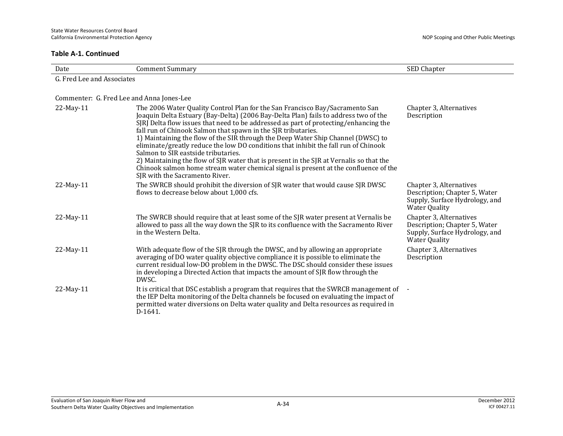| Date                                      | <b>Comment Summary</b>                                                                                                                                                                                                                                                                                                                                                                                                                                                                                                                                                                                                                                                                                                                                              | SED Chapter                                                                                                        |
|-------------------------------------------|---------------------------------------------------------------------------------------------------------------------------------------------------------------------------------------------------------------------------------------------------------------------------------------------------------------------------------------------------------------------------------------------------------------------------------------------------------------------------------------------------------------------------------------------------------------------------------------------------------------------------------------------------------------------------------------------------------------------------------------------------------------------|--------------------------------------------------------------------------------------------------------------------|
| G. Fred Lee and Associates                |                                                                                                                                                                                                                                                                                                                                                                                                                                                                                                                                                                                                                                                                                                                                                                     |                                                                                                                    |
|                                           |                                                                                                                                                                                                                                                                                                                                                                                                                                                                                                                                                                                                                                                                                                                                                                     |                                                                                                                    |
| Commenter: G. Fred Lee and Anna Jones-Lee |                                                                                                                                                                                                                                                                                                                                                                                                                                                                                                                                                                                                                                                                                                                                                                     |                                                                                                                    |
| 22-May-11                                 | The 2006 Water Quality Control Plan for the San Francisco Bay/Sacramento San<br>Joaquin Delta Estuary (Bay-Delta) (2006 Bay-Delta Plan) fails to address two of the<br>SJRJ Delta flow issues that need to be addressed as part of protecting/enhancing the<br>fall run of Chinook Salmon that spawn in the SJR tributaries.<br>1) Maintaining the flow of the SIR through the Deep Water Ship Channel (DWSC) to<br>eliminate/greatly reduce the low DO conditions that inhibit the fall run of Chinook<br>Salmon to SIR eastside tributaries.<br>2) Maintaining the flow of SJR water that is present in the SJR at Vernalis so that the<br>Chinook salmon home stream water chemical signal is present at the confluence of the<br>SJR with the Sacramento River. | Chapter 3, Alternatives<br>Description                                                                             |
| 22-May-11                                 | The SWRCB should prohibit the diversion of SJR water that would cause SJR DWSC<br>flows to decrease below about 1,000 cfs.                                                                                                                                                                                                                                                                                                                                                                                                                                                                                                                                                                                                                                          | Chapter 3, Alternatives<br>Description; Chapter 5, Water<br>Supply, Surface Hydrology, and<br><b>Water Quality</b> |
| 22-May-11                                 | The SWRCB should require that at least some of the SJR water present at Vernalis be<br>allowed to pass all the way down the SJR to its confluence with the Sacramento River<br>in the Western Delta.                                                                                                                                                                                                                                                                                                                                                                                                                                                                                                                                                                | Chapter 3, Alternatives<br>Description; Chapter 5, Water<br>Supply, Surface Hydrology, and<br><b>Water Quality</b> |
| 22-May-11                                 | With adequate flow of the SJR through the DWSC, and by allowing an appropriate<br>averaging of DO water quality objective compliance it is possible to eliminate the<br>current residual low-DO problem in the DWSC. The DSC should consider these issues<br>in developing a Directed Action that impacts the amount of SJR flow through the<br>DWSC.                                                                                                                                                                                                                                                                                                                                                                                                               | Chapter 3, Alternatives<br>Description                                                                             |
| 22-May-11                                 | It is critical that DSC establish a program that requires that the SWRCB management of -<br>the IEP Delta monitoring of the Delta channels be focused on evaluating the impact of<br>permitted water diversions on Delta water quality and Delta resources as required in<br>D-1641.                                                                                                                                                                                                                                                                                                                                                                                                                                                                                |                                                                                                                    |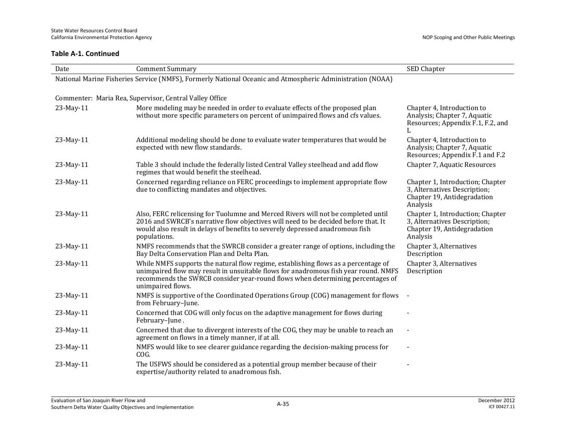| Date      | <b>Comment Summary</b>                                                                                                                                                                                                                                                           | SED Chapter                                                                                                 |
|-----------|----------------------------------------------------------------------------------------------------------------------------------------------------------------------------------------------------------------------------------------------------------------------------------|-------------------------------------------------------------------------------------------------------------|
|           | National Marine Fisheries Service (NMFS), Formerly National Oceanic and Atmospheric Administration (NOAA)                                                                                                                                                                        |                                                                                                             |
|           |                                                                                                                                                                                                                                                                                  |                                                                                                             |
|           | Commenter: Maria Rea, Supervisor, Central Valley Office                                                                                                                                                                                                                          |                                                                                                             |
| 23-May-11 | More modeling may be needed in order to evaluate effects of the proposed plan<br>without more specific parameters on percent of unimpaired flows and cfs values.                                                                                                                 | Chapter 4, Introduction to<br>Analysis; Chapter 7, Aquatic<br>Resources; Appendix F.1, F.2, and<br>L        |
| 23-May-11 | Additional modeling should be done to evaluate water temperatures that would be<br>expected with new flow standards.                                                                                                                                                             | Chapter 4, Introduction to<br>Analysis; Chapter 7, Aquatic<br>Resources; Appendix F.1 and F.2               |
| 23-May-11 | Table 3 should include the federally listed Central Valley steelhead and add flow<br>regimes that would benefit the steelhead.                                                                                                                                                   | Chapter 7, Aquatic Resources                                                                                |
| 23-May-11 | Concerned regarding reliance on FERC proceedings to implement appropriate flow<br>due to conflicting mandates and objectives.                                                                                                                                                    | Chapter 1, Introduction; Chapter<br>3, Alternatives Description;<br>Chapter 19, Antidegradation<br>Analysis |
| 23-May-11 | Also, FERC relicensing for Tuolumne and Merced Rivers will not be completed until<br>2016 and SWRCB's narrative flow objectives will need to be decided before that. It<br>would also result in delays of benefits to severely depressed anadromous fish<br>populations.         | Chapter 1, Introduction; Chapter<br>3, Alternatives Description;<br>Chapter 19, Antidegradation<br>Analysis |
| 23-May-11 | NMFS recommends that the SWRCB consider a greater range of options, including the<br>Bay Delta Conservation Plan and Delta Plan.                                                                                                                                                 | Chapter 3, Alternatives<br>Description                                                                      |
| 23-May-11 | While NMFS supports the natural flow regime, establishing flows as a percentage of<br>unimpaired flow may result in unsuitable flows for anadromous fish year round. NMFS<br>recommends the SWRCB consider year-round flows when determining percentages of<br>unimpaired flows. | Chapter 3, Alternatives<br>Description                                                                      |
| 23-May-11 | NMFS is supportive of the Coordinated Operations Group (COG) management for flows<br>from February-June.                                                                                                                                                                         |                                                                                                             |
| 23-May-11 | Concerned that COG will only focus on the adaptive management for flows during<br>February-June.                                                                                                                                                                                 |                                                                                                             |
| 23-May-11 | Concerned that due to divergent interests of the COG, they may be unable to reach an<br>agreement on flows in a timely manner, if at all.                                                                                                                                        |                                                                                                             |
| 23-May-11 | NMFS would like to see clearer guidance regarding the decision-making process for<br>COG.                                                                                                                                                                                        |                                                                                                             |
| 23-May-11 | The USFWS should be considered as a potential group member because of their<br>expertise/authority related to anadromous fish.                                                                                                                                                   |                                                                                                             |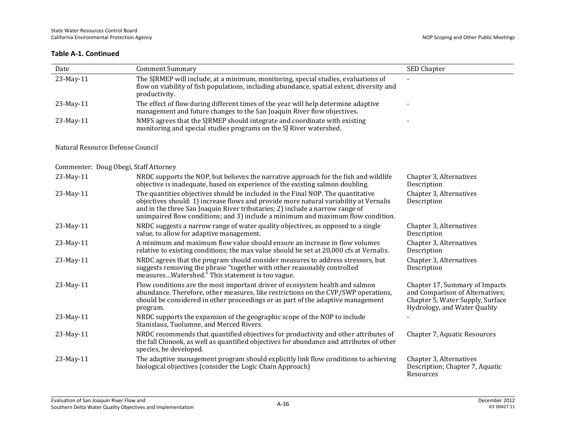| Date                                  | <b>Comment Summary</b>                                                                                                                                                                                                                                                                                                                       | SED Chapter                                                                                                                           |
|---------------------------------------|----------------------------------------------------------------------------------------------------------------------------------------------------------------------------------------------------------------------------------------------------------------------------------------------------------------------------------------------|---------------------------------------------------------------------------------------------------------------------------------------|
| 23-May-11                             | The SJRMEP will include, at a minimum, monitoring, special studies, evaluations of<br>flow on viability of fish populations, including abundance, spatial extent, diversity and<br>productivity.                                                                                                                                             |                                                                                                                                       |
| 23-May-11                             | The effect of flow during different times of the year will help determine adaptive<br>management and future changes to the San Joaquin River flow objectives.                                                                                                                                                                                |                                                                                                                                       |
| 23-May-11                             | NMFS agrees that the SJRMEP should integrate and coordinate with existing<br>monitoring and special studies programs on the SJ River watershed.                                                                                                                                                                                              |                                                                                                                                       |
| Natural Resource Defense Council      |                                                                                                                                                                                                                                                                                                                                              |                                                                                                                                       |
| Commenter: Doug Obegi, Staff Attorney |                                                                                                                                                                                                                                                                                                                                              |                                                                                                                                       |
| 23-May-11                             | NRDC supports the NOP, but believes the narrative approach for the fish and wildlife<br>objective is inadequate, based on experience of the existing salmon doubling.                                                                                                                                                                        | Chapter 3, Alternatives<br>Description                                                                                                |
| 23-May-11                             | The quantities objectives should be included in the Final NOP. The quantitative<br>objectives should: 1) increase flows and provide more natural variability at Vernalis<br>and in the three San Joaquin River tributaries; 2) include a narrow range of<br>unimpaired flow conditions; and 3) include a minimum and maximum flow condition. | Chapter 3, Alternatives<br>Description                                                                                                |
| 23-May-11                             | NRDC suggests a narrow range of water quality objectives, as opposed to a single<br>value, to allow for adaptive management.                                                                                                                                                                                                                 | Chapter 3, Alternatives<br>Description                                                                                                |
| 23-May-11                             | A minimum and maximum flow value should ensure an increase in flow volumes<br>relative to existing conditions; the max value should be set at 20,000 cfs at Vernalis.                                                                                                                                                                        | Chapter 3, Alternatives<br>Description                                                                                                |
| 23-May-11                             | NRDC agrees that the program should consider measures to address stressors, but<br>suggests removing the phrase "together with other reasonably controlled<br>measuresWatershed." This statement is too vague.                                                                                                                               | Chapter 3, Alternatives<br>Description                                                                                                |
| 23-May-11                             | Flow conditions are the most important driver of ecosystem health and salmon<br>abundance. Therefore, other measures, like restrictions on the CVP/SWP operations,<br>should be considered in other proceedings or as part of the adaptive management<br>program.                                                                            | Chapter 17, Summary of Impacts<br>and Comparison of Alternatives;<br>Chapter 5, Water Supply, Surface<br>Hydrology, and Water Quality |
| 23-May-11                             | NRDC supports the expansion of the geographic scope of the NOP to include<br>Stanislaus, Tuolumne, and Merced Rivers.                                                                                                                                                                                                                        |                                                                                                                                       |
| 23-May-11                             | NRDC recommends that quantified objectives for productivity and other attributes of<br>the fall Chinook, as well as quantified objectives for abundance and attributes of other<br>species, be developed.                                                                                                                                    | Chapter 7, Aquatic Resources                                                                                                          |
| 23-May-11                             | The adaptive management program should explicitly link flow conditions to achieving<br>biological objectives (consider the Logic Chain Approach)                                                                                                                                                                                             | Chapter 3, Alternatives<br>Description; Chapter 7, Aquatic<br>Resources                                                               |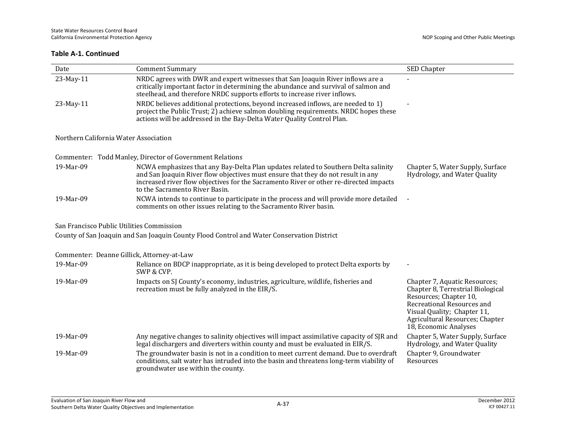| Date                                       | <b>Comment Summary</b>                                                                                                                                                                                                                                                                            | SED Chapter                                                                                                                                                                                                           |
|--------------------------------------------|---------------------------------------------------------------------------------------------------------------------------------------------------------------------------------------------------------------------------------------------------------------------------------------------------|-----------------------------------------------------------------------------------------------------------------------------------------------------------------------------------------------------------------------|
| 23-May-11                                  | NRDC agrees with DWR and expert witnesses that San Joaquin River inflows are a<br>critically important factor in determining the abundance and survival of salmon and<br>steelhead, and therefore NRDC supports efforts to increase river inflows.                                                |                                                                                                                                                                                                                       |
| 23-May-11                                  | NRDC believes additional protections, beyond increased inflows, are needed to 1)<br>project the Public Trust; 2) achieve salmon doubling requirements. NRDC hopes these<br>actions will be addressed in the Bay-Delta Water Quality Control Plan.                                                 |                                                                                                                                                                                                                       |
| Northern California Water Association      |                                                                                                                                                                                                                                                                                                   |                                                                                                                                                                                                                       |
|                                            | Commenter: Todd Manley, Director of Government Relations                                                                                                                                                                                                                                          |                                                                                                                                                                                                                       |
| 19-Mar-09                                  | NCWA emphasizes that any Bay-Delta Plan updates related to Southern Delta salinity<br>and San Joaquin River flow objectives must ensure that they do not result in any<br>increased river flow objectives for the Sacramento River or other re-directed impacts<br>to the Sacramento River Basin. | Chapter 5, Water Supply, Surface<br>Hydrology, and Water Quality                                                                                                                                                      |
| 19-Mar-09                                  | NCWA intends to continue to participate in the process and will provide more detailed<br>comments on other issues relating to the Sacramento River basin.                                                                                                                                         |                                                                                                                                                                                                                       |
| San Francisco Public Utilities Commission  |                                                                                                                                                                                                                                                                                                   |                                                                                                                                                                                                                       |
|                                            | County of San Joaquin and San Joaquin County Flood Control and Water Conservation District                                                                                                                                                                                                        |                                                                                                                                                                                                                       |
| Commenter: Deanne Gillick, Attorney-at-Law |                                                                                                                                                                                                                                                                                                   |                                                                                                                                                                                                                       |
| 19-Mar-09                                  | Reliance on BDCP inappropriate, as it is being developed to protect Delta exports by<br>SWP & CVP.                                                                                                                                                                                                |                                                                                                                                                                                                                       |
| 19-Mar-09                                  | Impacts on SJ County's economy, industries, agriculture, wildlife, fisheries and<br>recreation must be fully analyzed in the EIR/S.                                                                                                                                                               | Chapter 7, Aquatic Resources;<br>Chapter 8, Terrestrial Biological<br>Resources; Chapter 10,<br>Recreational Resources and<br>Visual Quality; Chapter 11,<br>Agricultural Resources; Chapter<br>18, Economic Analyses |
| 19-Mar-09                                  | Any negative changes to salinity objectives will impact assimilative capacity of SJR and<br>legal dischargers and diverters within county and must be evaluated in EIR/S.                                                                                                                         | Chapter 5, Water Supply, Surface<br>Hydrology, and Water Quality                                                                                                                                                      |
| 19-Mar-09                                  | The groundwater basin is not in a condition to meet current demand. Due to overdraft<br>conditions, salt water has intruded into the basin and threatens long-term viability of<br>groundwater use within the county.                                                                             | Chapter 9, Groundwater<br>Resources                                                                                                                                                                                   |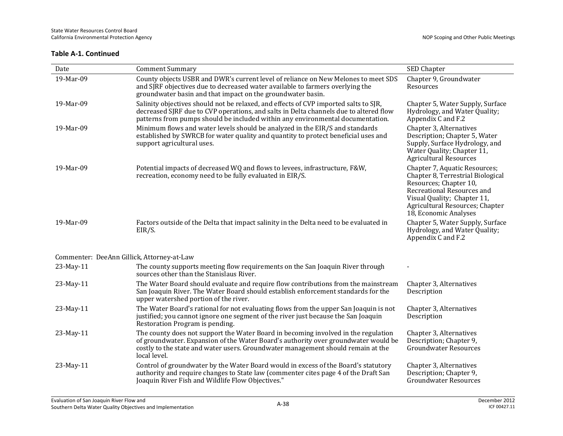| Date                                       | <b>Comment Summary</b>                                                                                                                                                                                                                                                       | SED Chapter                                                                                                                                                                                                           |
|--------------------------------------------|------------------------------------------------------------------------------------------------------------------------------------------------------------------------------------------------------------------------------------------------------------------------------|-----------------------------------------------------------------------------------------------------------------------------------------------------------------------------------------------------------------------|
| 19-Mar-09                                  | County objects USBR and DWR's current level of reliance on New Melones to meet SDS<br>and SJRF objectives due to decreased water available to farmers overlying the<br>groundwater basin and that impact on the groundwater basin.                                           | Chapter 9, Groundwater<br>Resources                                                                                                                                                                                   |
| 19-Mar-09                                  | Salinity objectives should not be relaxed, and effects of CVP imported salts to SJR,<br>decreased SJRF due to CVP operations, and salts in Delta channels due to altered flow<br>patterns from pumps should be included within any environmental documentation.              | Chapter 5, Water Supply, Surface<br>Hydrology, and Water Quality;<br>Appendix C and F.2                                                                                                                               |
| 19-Mar-09                                  | Minimum flows and water levels should be analyzed in the EIR/S and standards<br>established by SWRCB for water quality and quantity to protect beneficial uses and<br>support agricultural uses.                                                                             | Chapter 3, Alternatives<br>Description; Chapter 5, Water<br>Supply, Surface Hydrology, and<br>Water Quality; Chapter 11,<br><b>Agricultural Resources</b>                                                             |
| 19-Mar-09                                  | Potential impacts of decreased WQ and flows to levees, infrastructure, F&W,<br>recreation, economy need to be fully evaluated in EIR/S.                                                                                                                                      | Chapter 7, Aquatic Resources;<br>Chapter 8, Terrestrial Biological<br>Resources; Chapter 10,<br>Recreational Resources and<br>Visual Quality; Chapter 11,<br>Agricultural Resources; Chapter<br>18, Economic Analyses |
| 19-Mar-09                                  | Factors outside of the Delta that impact salinity in the Delta need to be evaluated in<br>EIR/S.                                                                                                                                                                             | Chapter 5, Water Supply, Surface<br>Hydrology, and Water Quality;<br>Appendix C and F.2                                                                                                                               |
| Commenter: DeeAnn Gillick, Attorney-at-Law |                                                                                                                                                                                                                                                                              |                                                                                                                                                                                                                       |
| 23-May-11                                  | The county supports meeting flow requirements on the San Joaquin River through<br>sources other than the Stanislaus River.                                                                                                                                                   |                                                                                                                                                                                                                       |
| 23-May-11                                  | The Water Board should evaluate and require flow contributions from the mainstream<br>San Joaquin River. The Water Board should establish enforcement standards for the<br>upper watershed portion of the river.                                                             | Chapter 3, Alternatives<br>Description                                                                                                                                                                                |
| 23-May-11                                  | The Water Board's rational for not evaluating flows from the upper San Joaquin is not<br>justified; you cannot ignore one segment of the river just because the San Joaquin<br>Restoration Program is pending.                                                               | Chapter 3, Alternatives<br>Description                                                                                                                                                                                |
| 23-May-11                                  | The county does not support the Water Board in becoming involved in the regulation<br>of groundwater. Expansion of the Water Board's authority over groundwater would be<br>costly to the state and water users. Groundwater management should remain at the<br>local level. | Chapter 3, Alternatives<br>Description; Chapter 9,<br><b>Groundwater Resources</b>                                                                                                                                    |
| 23-May-11                                  | Control of groundwater by the Water Board would in excess of the Board's statutory<br>authority and require changes to State law (commenter cites page 4 of the Draft San<br>Joaquin River Fish and Wildlife Flow Objectives."                                               | Chapter 3, Alternatives<br>Description; Chapter 9,<br><b>Groundwater Resources</b>                                                                                                                                    |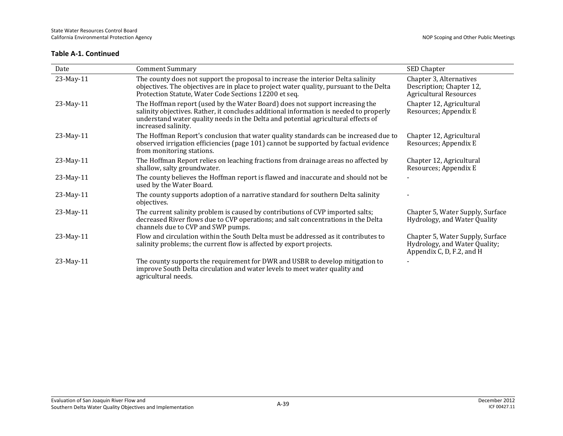| Date      | <b>Comment Summary</b>                                                                                                                                                                                                                                                             | SED Chapter                                                                                    |
|-----------|------------------------------------------------------------------------------------------------------------------------------------------------------------------------------------------------------------------------------------------------------------------------------------|------------------------------------------------------------------------------------------------|
| 23-May-11 | The county does not support the proposal to increase the interior Delta salinity<br>objectives. The objectives are in place to project water quality, pursuant to the Delta<br>Protection Statute, Water Code Sections 12200 et seq.                                               | Chapter 3, Alternatives<br>Description; Chapter 12,<br><b>Agricultural Resources</b>           |
| 23-May-11 | The Hoffman report (used by the Water Board) does not support increasing the<br>salinity objectives. Rather, it concludes additional information is needed to properly<br>understand water quality needs in the Delta and potential agricultural effects of<br>increased salinity. | Chapter 12, Agricultural<br>Resources; Appendix E                                              |
| 23-May-11 | The Hoffman Report's conclusion that water quality standards can be increased due to<br>observed irrigation efficiencies (page 101) cannot be supported by factual evidence<br>from monitoring stations.                                                                           | Chapter 12, Agricultural<br>Resources; Appendix E                                              |
| 23-May-11 | The Hoffman Report relies on leaching fractions from drainage areas no affected by<br>shallow, salty groundwater.                                                                                                                                                                  | Chapter 12, Agricultural<br>Resources; Appendix E                                              |
| 23-May-11 | The county believes the Hoffman report is flawed and inaccurate and should not be<br>used by the Water Board.                                                                                                                                                                      |                                                                                                |
| 23-May-11 | The county supports adoption of a narrative standard for southern Delta salinity<br>objectives.                                                                                                                                                                                    |                                                                                                |
| 23-May-11 | The current salinity problem is caused by contributions of CVP imported salts;<br>decreased River flows due to CVP operations; and salt concentrations in the Delta<br>channels due to CVP and SWP pumps.                                                                          | Chapter 5, Water Supply, Surface<br>Hydrology, and Water Quality                               |
| 23-May-11 | Flow and circulation within the South Delta must be addressed as it contributes to<br>salinity problems; the current flow is affected by export projects.                                                                                                                          | Chapter 5, Water Supply, Surface<br>Hydrology, and Water Quality;<br>Appendix C, D, F.2, and H |
| 23-May-11 | The county supports the requirement for DWR and USBR to develop mitigation to<br>improve South Delta circulation and water levels to meet water quality and<br>agricultural needs.                                                                                                 |                                                                                                |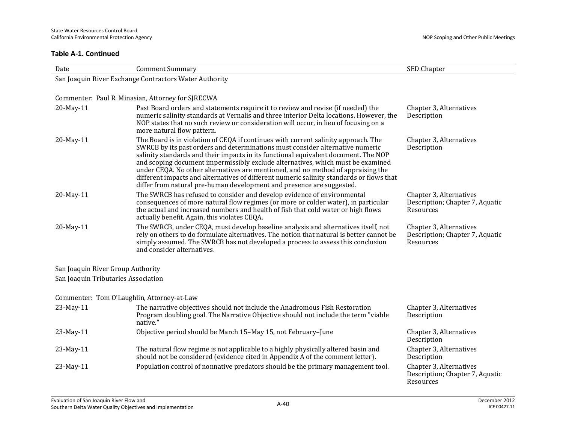| Date                                | <b>Comment Summary</b>                                                                                                                                                                                                                                                                                                                                                                                                                                                                                                                                                                                 | SED Chapter                                                             |
|-------------------------------------|--------------------------------------------------------------------------------------------------------------------------------------------------------------------------------------------------------------------------------------------------------------------------------------------------------------------------------------------------------------------------------------------------------------------------------------------------------------------------------------------------------------------------------------------------------------------------------------------------------|-------------------------------------------------------------------------|
|                                     | San Joaquin River Exchange Contractors Water Authority                                                                                                                                                                                                                                                                                                                                                                                                                                                                                                                                                 |                                                                         |
|                                     |                                                                                                                                                                                                                                                                                                                                                                                                                                                                                                                                                                                                        |                                                                         |
|                                     | Commenter: Paul R. Minasian, Attorney for SJRECWA                                                                                                                                                                                                                                                                                                                                                                                                                                                                                                                                                      |                                                                         |
| 20-May-11                           | Past Board orders and statements require it to review and revise (if needed) the<br>numeric salinity standards at Vernalis and three interior Delta locations. However, the<br>NOP states that no such review or consideration will occur, in lieu of focusing on a<br>more natural flow pattern.                                                                                                                                                                                                                                                                                                      | Chapter 3, Alternatives<br>Description                                  |
| 20-May-11                           | The Board is in violation of CEQA if continues with current salinity approach. The<br>SWRCB by its past orders and determinations must consider alternative numeric<br>salinity standards and their impacts in its functional equivalent document. The NOP<br>and scoping document impermissibly exclude alternatives, which must be examined<br>under CEQA. No other alternatives are mentioned, and no method of appraising the<br>different impacts and alternatives of different numeric salinity standards or flows that<br>differ from natural pre-human development and presence are suggested. | Chapter 3, Alternatives<br>Description                                  |
| 20-May-11                           | The SWRCB has refused to consider and develop evidence of environmental<br>consequences of more natural flow regimes (or more or colder water), in particular<br>the actual and increased numbers and health of fish that cold water or high flows<br>actually benefit. Again, this violates CEQA.                                                                                                                                                                                                                                                                                                     | Chapter 3, Alternatives<br>Description; Chapter 7, Aquatic<br>Resources |
| 20-May-11                           | The SWRCB, under CEQA, must develop baseline analysis and alternatives itself, not<br>rely on others to do formulate alternatives. The notion that natural is better cannot be<br>simply assumed. The SWRCB has not developed a process to assess this conclusion<br>and consider alternatives.                                                                                                                                                                                                                                                                                                        | Chapter 3, Alternatives<br>Description; Chapter 7, Aquatic<br>Resources |
| San Joaquin River Group Authority   |                                                                                                                                                                                                                                                                                                                                                                                                                                                                                                                                                                                                        |                                                                         |
| San Joaquin Tributaries Association |                                                                                                                                                                                                                                                                                                                                                                                                                                                                                                                                                                                                        |                                                                         |
|                                     | Commenter: Tom O'Laughlin, Attorney-at-Law                                                                                                                                                                                                                                                                                                                                                                                                                                                                                                                                                             |                                                                         |
| 23-May-11                           | The narrative objectives should not include the Anadromous Fish Restoration<br>Program doubling goal. The Narrative Objective should not include the term "viable<br>native."                                                                                                                                                                                                                                                                                                                                                                                                                          | Chapter 3, Alternatives<br>Description                                  |
| 23-May-11                           | Objective period should be March 15-May 15, not February-June                                                                                                                                                                                                                                                                                                                                                                                                                                                                                                                                          | Chapter 3, Alternatives<br>Description                                  |
| 23-May-11                           | The natural flow regime is not applicable to a highly physically altered basin and<br>should not be considered (evidence cited in Appendix A of the comment letter).                                                                                                                                                                                                                                                                                                                                                                                                                                   | Chapter 3, Alternatives<br>Description                                  |
| 23-May-11                           | Population control of nonnative predators should be the primary management tool.                                                                                                                                                                                                                                                                                                                                                                                                                                                                                                                       | Chapter 3, Alternatives<br>Description; Chapter 7, Aquatic<br>Resources |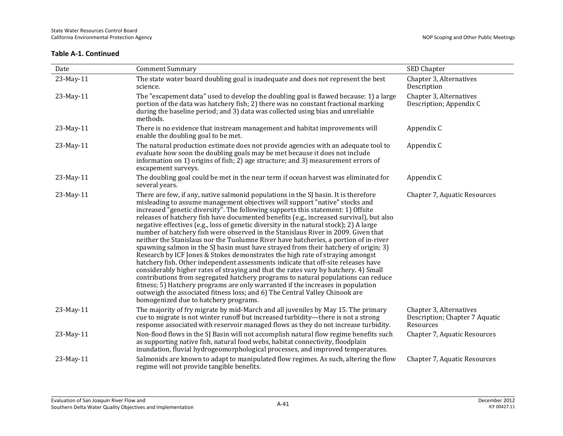| Date      | <b>Comment Summary</b>                                                                                                                                                                                                                                                                                                                                                                                                                                                                                                                                                                                                                                                                                                                                                                                                                                                                                                                                                                                                                                                                                                                                                                                                                                                       | SED Chapter                                                            |
|-----------|------------------------------------------------------------------------------------------------------------------------------------------------------------------------------------------------------------------------------------------------------------------------------------------------------------------------------------------------------------------------------------------------------------------------------------------------------------------------------------------------------------------------------------------------------------------------------------------------------------------------------------------------------------------------------------------------------------------------------------------------------------------------------------------------------------------------------------------------------------------------------------------------------------------------------------------------------------------------------------------------------------------------------------------------------------------------------------------------------------------------------------------------------------------------------------------------------------------------------------------------------------------------------|------------------------------------------------------------------------|
| 23-May-11 | The state water board doubling goal is inadequate and does not represent the best<br>science.                                                                                                                                                                                                                                                                                                                                                                                                                                                                                                                                                                                                                                                                                                                                                                                                                                                                                                                                                                                                                                                                                                                                                                                | Chapter 3, Alternatives<br>Description                                 |
| 23-May-11 | The "escapement data" used to develop the doubling goal is flawed because: 1) a large<br>portion of the data was hatchery fish; 2) there was no constant fractional marking<br>during the baseline period; and 3) data was collected using bias and unreliable<br>methods.                                                                                                                                                                                                                                                                                                                                                                                                                                                                                                                                                                                                                                                                                                                                                                                                                                                                                                                                                                                                   | Chapter 3, Alternatives<br>Description; Appendix C                     |
| 23-May-11 | There is no evidence that instream management and habitat improvements will<br>enable the doubling goal to be met.                                                                                                                                                                                                                                                                                                                                                                                                                                                                                                                                                                                                                                                                                                                                                                                                                                                                                                                                                                                                                                                                                                                                                           | Appendix C                                                             |
| 23-May-11 | The natural production estimate does not provide agencies with an adequate tool to<br>evaluate how soon the doubling goals may be met because it does not include<br>information on 1) origins of fish; 2) age structure; and 3) measurement errors of<br>escapement surveys.                                                                                                                                                                                                                                                                                                                                                                                                                                                                                                                                                                                                                                                                                                                                                                                                                                                                                                                                                                                                | Appendix C                                                             |
| 23-May-11 | The doubling goal could be met in the near term if ocean harvest was eliminated for<br>several years.                                                                                                                                                                                                                                                                                                                                                                                                                                                                                                                                                                                                                                                                                                                                                                                                                                                                                                                                                                                                                                                                                                                                                                        | Appendix C                                                             |
| 23-May-11 | There are few, if any, native salmonid populations in the SJ basin. It is therefore<br>misleading to assume management objectives will support "native" stocks and<br>increased "genetic diversity". The following supports this statement: 1) Offsite<br>releases of hatchery fish have documented benefits (e.g., increased survival), but also<br>negative effectives (e.g., loss of genetic diversity in the natural stock); 2) A large<br>number of hatchery fish were observed in the Stanislaus River in 2009. Given that<br>neither the Stanislaus nor the Tuolumne River have hatcheries, a portion of in-river<br>spawning salmon in the SJ basin must have strayed from their hatchery of origin; 3)<br>Research by ICF Jones & Stokes demonstrates the high rate of straying amongst<br>hatchery fish. Other independent assessments indicate that off-site releases have<br>considerably higher rates of straying and that the rates vary by hatchery. 4) Small<br>contributions from segregated hatchery programs to natural populations can reduce<br>fitness; 5) Hatchery programs are only warranted if the increases in population<br>outweigh the associated fitness loss; and 6) The Central Valley Chinook are<br>homogenized due to hatchery programs. | Chapter 7, Aquatic Resources                                           |
| 23-May-11 | The majority of fry migrate by mid-March and all juveniles by May 15. The primary<br>cue to migrate is not winter runoff but increased turbidity—there is not a strong<br>response associated with reservoir managed flows as they do not increase turbidity.                                                                                                                                                                                                                                                                                                                                                                                                                                                                                                                                                                                                                                                                                                                                                                                                                                                                                                                                                                                                                | Chapter 3, Alternatives<br>Description; Chapter 7 Aquatic<br>Resources |
| 23-May-11 | Non-flood flows in the SJ Basin will not accomplish natural flow regime benefits such<br>as supporting native fish, natural food webs, habitat connectivity, floodplain<br>inundation, fluvial hydrogeomorphological processes, and improved temperatures.                                                                                                                                                                                                                                                                                                                                                                                                                                                                                                                                                                                                                                                                                                                                                                                                                                                                                                                                                                                                                   | Chapter 7, Aquatic Resources                                           |
| 23-May-11 | Salmonids are known to adapt to manipulated flow regimes. As such, altering the flow<br>regime will not provide tangible benefits.                                                                                                                                                                                                                                                                                                                                                                                                                                                                                                                                                                                                                                                                                                                                                                                                                                                                                                                                                                                                                                                                                                                                           | Chapter 7, Aquatic Resources                                           |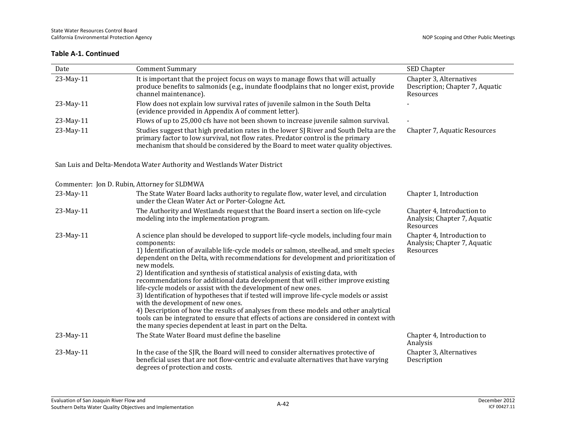| Date      | <b>Comment Summary</b>                                                                                                                                                                                                                                                                                                                                                                                                                                                                                                                                                                                                                                                                                                                                                                                                                                                                                                        | SED Chapter                                                             |
|-----------|-------------------------------------------------------------------------------------------------------------------------------------------------------------------------------------------------------------------------------------------------------------------------------------------------------------------------------------------------------------------------------------------------------------------------------------------------------------------------------------------------------------------------------------------------------------------------------------------------------------------------------------------------------------------------------------------------------------------------------------------------------------------------------------------------------------------------------------------------------------------------------------------------------------------------------|-------------------------------------------------------------------------|
| 23-May-11 | It is important that the project focus on ways to manage flows that will actually<br>produce benefits to salmonids (e.g., inundate floodplains that no longer exist, provide<br>channel maintenance).                                                                                                                                                                                                                                                                                                                                                                                                                                                                                                                                                                                                                                                                                                                         | Chapter 3, Alternatives<br>Description; Chapter 7, Aquatic<br>Resources |
| 23-May-11 | Flow does not explain low survival rates of juvenile salmon in the South Delta<br>(evidence provided in Appendix A of comment letter).                                                                                                                                                                                                                                                                                                                                                                                                                                                                                                                                                                                                                                                                                                                                                                                        |                                                                         |
| 23-May-11 | Flows of up to 25,000 cfs have not been shown to increase juvenile salmon survival.                                                                                                                                                                                                                                                                                                                                                                                                                                                                                                                                                                                                                                                                                                                                                                                                                                           |                                                                         |
| 23-May-11 | Studies suggest that high predation rates in the lower SJ River and South Delta are the<br>primary factor to low survival, not flow rates. Predator control is the primary<br>mechanism that should be considered by the Board to meet water quality objectives.                                                                                                                                                                                                                                                                                                                                                                                                                                                                                                                                                                                                                                                              | Chapter 7, Aquatic Resources                                            |
|           | San Luis and Delta-Mendota Water Authority and Westlands Water District                                                                                                                                                                                                                                                                                                                                                                                                                                                                                                                                                                                                                                                                                                                                                                                                                                                       |                                                                         |
|           | Commenter: Jon D. Rubin, Attorney for SLDMWA                                                                                                                                                                                                                                                                                                                                                                                                                                                                                                                                                                                                                                                                                                                                                                                                                                                                                  |                                                                         |
| 23-May-11 | The State Water Board lacks authority to regulate flow, water level, and circulation<br>under the Clean Water Act or Porter-Cologne Act.                                                                                                                                                                                                                                                                                                                                                                                                                                                                                                                                                                                                                                                                                                                                                                                      | Chapter 1, Introduction                                                 |
| 23-May-11 | The Authority and Westlands request that the Board insert a section on life-cycle<br>modeling into the implementation program.                                                                                                                                                                                                                                                                                                                                                                                                                                                                                                                                                                                                                                                                                                                                                                                                | Chapter 4, Introduction to<br>Analysis; Chapter 7, Aquatic<br>Resources |
| 23-May-11 | A science plan should be developed to support life-cycle models, including four main<br>components:<br>1) Identification of available life-cycle models or salmon, steelhead, and smelt species<br>dependent on the Delta, with recommendations for development and prioritization of<br>new models.<br>2) Identification and synthesis of statistical analysis of existing data, with<br>recommendations for additional data development that will either improve existing<br>life-cycle models or assist with the development of new ones.<br>3) Identification of hypotheses that if tested will improve life-cycle models or assist<br>with the development of new ones.<br>4) Description of how the results of analyses from these models and other analytical<br>tools can be integrated to ensure that effects of actions are considered in context with<br>the many species dependent at least in part on the Delta. | Chapter 4, Introduction to<br>Analysis; Chapter 7, Aquatic<br>Resources |
| 23-May-11 | The State Water Board must define the baseline                                                                                                                                                                                                                                                                                                                                                                                                                                                                                                                                                                                                                                                                                                                                                                                                                                                                                | Chapter 4, Introduction to<br>Analysis                                  |
| 23-May-11 | In the case of the SJR, the Board will need to consider alternatives protective of<br>beneficial uses that are not flow-centric and evaluate alternatives that have varying<br>degrees of protection and costs.                                                                                                                                                                                                                                                                                                                                                                                                                                                                                                                                                                                                                                                                                                               | Chapter 3, Alternatives<br>Description                                  |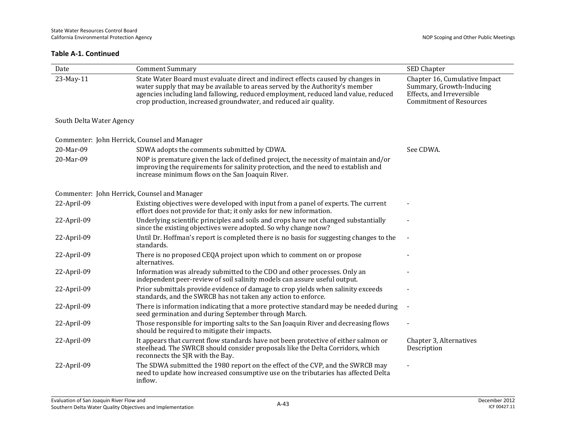| Date                                         | <b>Comment Summary</b>                                                                                                                                                                                                                                                                                                     | SED Chapter                                                                                                              |
|----------------------------------------------|----------------------------------------------------------------------------------------------------------------------------------------------------------------------------------------------------------------------------------------------------------------------------------------------------------------------------|--------------------------------------------------------------------------------------------------------------------------|
| 23-May-11                                    | State Water Board must evaluate direct and indirect effects caused by changes in<br>water supply that may be available to areas served by the Authority's member<br>agencies including land fallowing, reduced employment, reduced land value, reduced<br>crop production, increased groundwater, and reduced air quality. | Chapter 16, Cumulative Impact<br>Summary, Growth-Inducing<br>Effects, and Irreversible<br><b>Commitment of Resources</b> |
| South Delta Water Agency                     |                                                                                                                                                                                                                                                                                                                            |                                                                                                                          |
| Commenter: John Herrick, Counsel and Manager |                                                                                                                                                                                                                                                                                                                            |                                                                                                                          |
| 20-Mar-09                                    | SDWA adopts the comments submitted by CDWA.                                                                                                                                                                                                                                                                                | See CDWA.                                                                                                                |
| 20-Mar-09                                    | NOP is premature given the lack of defined project, the necessity of maintain and/or<br>improving the requirements for salinity protection, and the need to establish and<br>increase minimum flows on the San Joaquin River.                                                                                              |                                                                                                                          |
| Commenter: John Herrick, Counsel and Manager |                                                                                                                                                                                                                                                                                                                            |                                                                                                                          |
| 22-April-09                                  | Existing objectives were developed with input from a panel of experts. The current<br>effort does not provide for that; it only asks for new information.                                                                                                                                                                  |                                                                                                                          |
| 22-April-09                                  | Underlying scientific principles and soils and crops have not changed substantially<br>since the existing objectives were adopted. So why change now?                                                                                                                                                                      |                                                                                                                          |
| 22-April-09                                  | Until Dr. Hoffman's report is completed there is no basis for suggesting changes to the<br>standards.                                                                                                                                                                                                                      |                                                                                                                          |
| 22-April-09                                  | There is no proposed CEQA project upon which to comment on or propose<br>alternatives.                                                                                                                                                                                                                                     |                                                                                                                          |
| 22-April-09                                  | Information was already submitted to the CDO and other processes. Only an<br>independent peer-review of soil salinity models can assure useful output.                                                                                                                                                                     |                                                                                                                          |
| 22-April-09                                  | Prior submittals provide evidence of damage to crop yields when salinity exceeds<br>standards, and the SWRCB has not taken any action to enforce.                                                                                                                                                                          |                                                                                                                          |
| 22-April-09                                  | There is information indicating that a more protective standard may be needed during<br>seed germination and during September through March.                                                                                                                                                                               |                                                                                                                          |
| 22-April-09                                  | Those responsible for importing salts to the San Joaquin River and decreasing flows<br>should be required to mitigate their impacts.                                                                                                                                                                                       |                                                                                                                          |
| 22-April-09                                  | It appears that current flow standards have not been protective of either salmon or<br>steelhead. The SWRCB should consider proposals like the Delta Corridors, which<br>reconnects the SJR with the Bay.                                                                                                                  | Chapter 3, Alternatives<br>Description                                                                                   |
| 22-April-09                                  | The SDWA submitted the 1980 report on the effect of the CVP, and the SWRCB may<br>need to update how increased consumptive use on the tributaries has affected Delta<br>inflow.                                                                                                                                            |                                                                                                                          |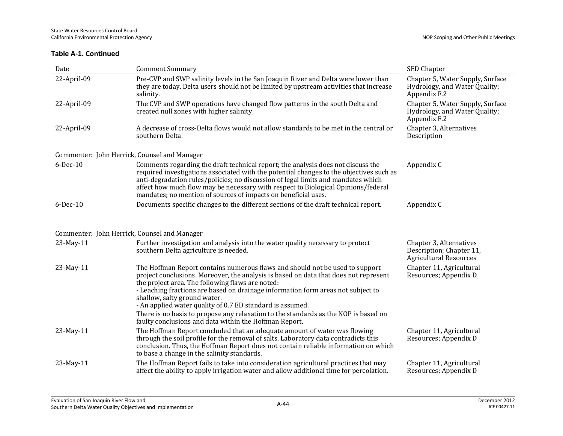| Date                                                      | <b>Comment Summary</b>                                                                                                                                                                                                                                                                                                                                                                                                                                                                                                                                     | SED Chapter                                                                       |
|-----------------------------------------------------------|------------------------------------------------------------------------------------------------------------------------------------------------------------------------------------------------------------------------------------------------------------------------------------------------------------------------------------------------------------------------------------------------------------------------------------------------------------------------------------------------------------------------------------------------------------|-----------------------------------------------------------------------------------|
| 22-April-09                                               | Pre-CVP and SWP salinity levels in the San Joaquin River and Delta were lower than<br>they are today. Delta users should not be limited by upstream activities that increase<br>salinity.                                                                                                                                                                                                                                                                                                                                                                  | Chapter 5, Water Supply, Surface<br>Hydrology, and Water Quality;<br>Appendix F.2 |
| 22-April-09                                               | The CVP and SWP operations have changed flow patterns in the south Delta and<br>created null zones with higher salinity                                                                                                                                                                                                                                                                                                                                                                                                                                    | Chapter 5, Water Supply, Surface<br>Hydrology, and Water Quality;<br>Appendix F.2 |
| 22-April-09                                               | A decrease of cross-Delta flows would not allow standards to be met in the central or<br>southern Delta.                                                                                                                                                                                                                                                                                                                                                                                                                                                   | Chapter 3, Alternatives<br>Description                                            |
| Commenter: John Herrick, Counsel and Manager              |                                                                                                                                                                                                                                                                                                                                                                                                                                                                                                                                                            |                                                                                   |
| $6$ -Dec-10                                               | Comments regarding the draft technical report; the analysis does not discuss the<br>required investigations associated with the potential changes to the objectives such as<br>anti-degradation rules/policies; no discussion of legal limits and mandates which<br>affect how much flow may be necessary with respect to Biological Opinions/federal<br>mandates; no mention of sources of impacts on beneficial uses.                                                                                                                                    | Appendix C                                                                        |
| $6$ -Dec-10                                               | Documents specific changes to the different sections of the draft technical report.                                                                                                                                                                                                                                                                                                                                                                                                                                                                        | Appendix C                                                                        |
| Commenter: John Herrick, Counsel and Manager<br>23-May-11 | Further investigation and analysis into the water quality necessary to protect<br>southern Delta agriculture is needed.                                                                                                                                                                                                                                                                                                                                                                                                                                    | Chapter 3, Alternatives<br>Description; Chapter 11,                               |
|                                                           |                                                                                                                                                                                                                                                                                                                                                                                                                                                                                                                                                            | <b>Agricultural Resources</b>                                                     |
| 23-May-11                                                 | The Hoffman Report contains numerous flaws and should not be used to support<br>project conclusions. Moreover, the analysis is based on data that does not represent<br>the project area. The following flaws are noted:<br>- Leaching fractions are based on drainage information form areas not subject to<br>shallow, salty ground water.<br>- An applied water quality of 0.7 ED standard is assumed.<br>There is no basis to propose any relaxation to the standards as the NOP is based on<br>faulty conclusions and data within the Hoffman Report. | Chapter 11, Agricultural<br>Resources; Appendix D                                 |
| 23-May-11                                                 | The Hoffman Report concluded that an adequate amount of water was flowing<br>through the soil profile for the removal of salts. Laboratory data contradicts this<br>conclusion. Thus, the Hoffman Report does not contain reliable information on which<br>to base a change in the salinity standards.                                                                                                                                                                                                                                                     | Chapter 11, Agricultural<br>Resources; Appendix D                                 |
| 23-May-11                                                 | The Hoffman Report fails to take into consideration agricultural practices that may<br>affect the ability to apply irrigation water and allow additional time for percolation.                                                                                                                                                                                                                                                                                                                                                                             | Chapter 11, Agricultural<br>Resources; Appendix D                                 |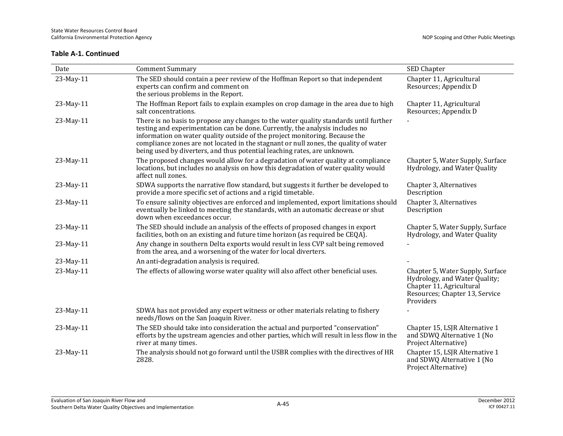| Date      | <b>Comment Summary</b>                                                                                                                                                                                                                                                                                                                                                                                                   | SED Chapter                                                                                                                                  |
|-----------|--------------------------------------------------------------------------------------------------------------------------------------------------------------------------------------------------------------------------------------------------------------------------------------------------------------------------------------------------------------------------------------------------------------------------|----------------------------------------------------------------------------------------------------------------------------------------------|
| 23-May-11 | The SED should contain a peer review of the Hoffman Report so that independent<br>experts can confirm and comment on<br>the serious problems in the Report.                                                                                                                                                                                                                                                              | Chapter 11, Agricultural<br>Resources; Appendix D                                                                                            |
| 23-May-11 | The Hoffman Report fails to explain examples on crop damage in the area due to high<br>salt concentrations.                                                                                                                                                                                                                                                                                                              | Chapter 11, Agricultural<br>Resources; Appendix D                                                                                            |
| 23-May-11 | There is no basis to propose any changes to the water quality standards until further<br>testing and experimentation can be done. Currently, the analysis includes no<br>information on water quality outside of the project monitoring. Because the<br>compliance zones are not located in the stagnant or null zones, the quality of water<br>being used by diverters, and thus potential leaching rates, are unknown. |                                                                                                                                              |
| 23-May-11 | The proposed changes would allow for a degradation of water quality at compliance<br>locations, but includes no analysis on how this degradation of water quality would<br>affect null zones.                                                                                                                                                                                                                            | Chapter 5, Water Supply, Surface<br>Hydrology, and Water Quality                                                                             |
| 23-May-11 | SDWA supports the narrative flow standard, but suggests it further be developed to<br>provide a more specific set of actions and a rigid timetable.                                                                                                                                                                                                                                                                      | Chapter 3, Alternatives<br>Description                                                                                                       |
| 23-May-11 | To ensure salinity objectives are enforced and implemented, export limitations should<br>eventually be linked to meeting the standards, with an automatic decrease or shut<br>down when exceedances occur.                                                                                                                                                                                                               | Chapter 3, Alternatives<br>Description                                                                                                       |
| 23-May-11 | The SED should include an analysis of the effects of proposed changes in export<br>facilities, both on an existing and future time horizon (as required be CEQA).                                                                                                                                                                                                                                                        | Chapter 5, Water Supply, Surface<br>Hydrology, and Water Quality                                                                             |
| 23-May-11 | Any change in southern Delta exports would result in less CVP salt being removed<br>from the area, and a worsening of the water for local diverters.                                                                                                                                                                                                                                                                     |                                                                                                                                              |
| 23-May-11 | An anti-degradation analysis is required.                                                                                                                                                                                                                                                                                                                                                                                |                                                                                                                                              |
| 23-May-11 | The effects of allowing worse water quality will also affect other beneficial uses.                                                                                                                                                                                                                                                                                                                                      | Chapter 5, Water Supply, Surface<br>Hydrology, and Water Quality;<br>Chapter 11, Agricultural<br>Resources; Chapter 13, Service<br>Providers |
| 23-May-11 | SDWA has not provided any expert witness or other materials relating to fishery<br>needs/flows on the San Joaquin River.                                                                                                                                                                                                                                                                                                 |                                                                                                                                              |
| 23-May-11 | The SED should take into consideration the actual and purported "conservation"<br>efforts by the upstream agencies and other parties, which will result in less flow in the<br>river at many times.                                                                                                                                                                                                                      | Chapter 15, LSJR Alternative 1<br>and SDWQ Alternative 1 (No<br>Project Alternative)                                                         |
| 23-May-11 | The analysis should not go forward until the USBR complies with the directives of HR<br>2828.                                                                                                                                                                                                                                                                                                                            | Chapter 15, LSJR Alternative 1<br>and SDWQ Alternative 1 (No<br>Project Alternative)                                                         |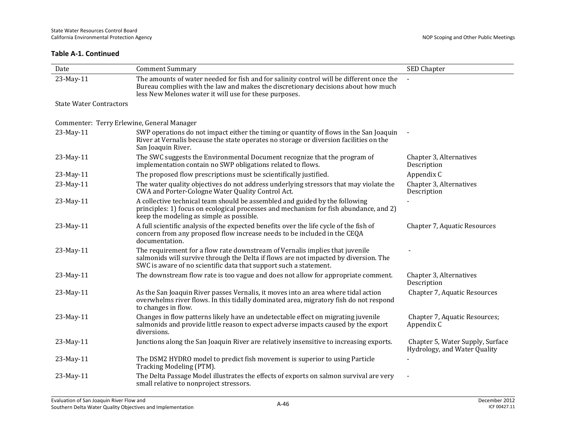| Date                                       | <b>Comment Summary</b>                                                                                                                                                                                                                    | SED Chapter                                                      |
|--------------------------------------------|-------------------------------------------------------------------------------------------------------------------------------------------------------------------------------------------------------------------------------------------|------------------------------------------------------------------|
| 23-May-11                                  | The amounts of water needed for fish and for salinity control will be different once the<br>Bureau complies with the law and makes the discretionary decisions about how much<br>less New Melones water it will use for these purposes.   |                                                                  |
| <b>State Water Contractors</b>             |                                                                                                                                                                                                                                           |                                                                  |
| Commenter: Terry Erlewine, General Manager |                                                                                                                                                                                                                                           |                                                                  |
| 23-May-11                                  | SWP operations do not impact either the timing or quantity of flows in the San Joaquin<br>River at Vernalis because the state operates no storage or diversion facilities on the<br>San Joaquin River.                                    |                                                                  |
| 23-May-11                                  | The SWC suggests the Environmental Document recognize that the program of<br>implementation contain no SWP obligations related to flows.                                                                                                  | Chapter 3, Alternatives<br>Description                           |
| 23-May-11                                  | The proposed flow prescriptions must be scientifically justified.                                                                                                                                                                         | Appendix C                                                       |
| 23-May-11                                  | The water quality objectives do not address underlying stressors that may violate the<br>CWA and Porter-Cologne Water Quality Control Act.                                                                                                | Chapter 3, Alternatives<br>Description                           |
| 23-May-11                                  | A collective technical team should be assembled and guided by the following<br>principles: 1) focus on ecological processes and mechanism for fish abundance, and 2)<br>keep the modeling as simple as possible.                          |                                                                  |
| 23-May-11                                  | A full scientific analysis of the expected benefits over the life cycle of the fish of<br>concern from any proposed flow increase needs to be included in the CEQA<br>documentation.                                                      | Chapter 7, Aquatic Resources                                     |
| 23-May-11                                  | The requirement for a flow rate downstream of Vernalis implies that juvenile<br>salmonids will survive through the Delta if flows are not impacted by diversion. The<br>SWC is aware of no scientific data that support such a statement. |                                                                  |
| 23-May-11                                  | The downstream flow rate is too vague and does not allow for appropriate comment.                                                                                                                                                         | Chapter 3, Alternatives<br>Description                           |
| 23-May-11                                  | As the San Joaquin River passes Vernalis, it moves into an area where tidal action<br>overwhelms river flows. In this tidally dominated area, migratory fish do not respond<br>to changes in flow.                                        | Chapter 7, Aquatic Resources                                     |
| 23-May-11                                  | Changes in flow patterns likely have an undetectable effect on migrating juvenile<br>salmonids and provide little reason to expect adverse impacts caused by the export<br>diversions.                                                    | Chapter 7, Aquatic Resources;<br>Appendix C                      |
| 23-May-11                                  | Junctions along the San Joaquin River are relatively insensitive to increasing exports.                                                                                                                                                   | Chapter 5, Water Supply, Surface<br>Hydrology, and Water Quality |
| 23-May-11                                  | The DSM2 HYDRO model to predict fish movement is superior to using Particle<br>Tracking Modeling (PTM).                                                                                                                                   |                                                                  |
| 23-May-11                                  | The Delta Passage Model illustrates the effects of exports on salmon survival are very<br>small relative to nonproject stressors.                                                                                                         |                                                                  |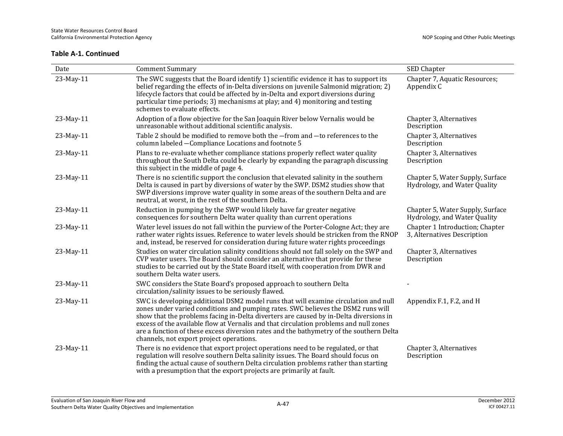| Date      | <b>Comment Summary</b>                                                                                                                                                                                                                                                                                                                                                                                                                                                                           | SED Chapter                                                      |
|-----------|--------------------------------------------------------------------------------------------------------------------------------------------------------------------------------------------------------------------------------------------------------------------------------------------------------------------------------------------------------------------------------------------------------------------------------------------------------------------------------------------------|------------------------------------------------------------------|
| 23-May-11 | The SWC suggests that the Board identify 1) scientific evidence it has to support its<br>belief regarding the effects of in-Delta diversions on juvenile Salmonid migration; 2)<br>lifecycle factors that could be affected by in-Delta and export diversions during<br>particular time periods; 3) mechanisms at play; and 4) monitoring and testing<br>schemes to evaluate effects.                                                                                                            | Chapter 7, Aquatic Resources;<br>Appendix C                      |
| 23-May-11 | Adoption of a flow objective for the San Joaquin River below Vernalis would be<br>unreasonable without additional scientific analysis.                                                                                                                                                                                                                                                                                                                                                           | Chapter 3, Alternatives<br>Description                           |
| 23-May-11 | Table 2 should be modified to remove both the -from and -to references to the<br>column labeled - Compliance Locations and footnote 5                                                                                                                                                                                                                                                                                                                                                            | Chapter 3, Alternatives<br>Description                           |
| 23-May-11 | Plans to re-evaluate whether compliance stations properly reflect water quality<br>throughout the South Delta could be clearly by expanding the paragraph discussing<br>this subject in the middle of page 4.                                                                                                                                                                                                                                                                                    | Chapter 3, Alternatives<br>Description                           |
| 23-May-11 | There is no scientific support the conclusion that elevated salinity in the southern<br>Delta is caused in part by diversions of water by the SWP. DSM2 studies show that<br>SWP diversions improve water quality in some areas of the southern Delta and are<br>neutral, at worst, in the rest of the southern Delta.                                                                                                                                                                           | Chapter 5, Water Supply, Surface<br>Hydrology, and Water Quality |
| 23-May-11 | Reduction in pumping by the SWP would likely have far greater negative<br>consequences for southern Delta water quality than current operations                                                                                                                                                                                                                                                                                                                                                  | Chapter 5, Water Supply, Surface<br>Hydrology, and Water Quality |
| 23-May-11 | Water level issues do not fall within the purview of the Porter-Cologne Act; they are<br>rather water rights issues. Reference to water levels should be stricken from the RNOP<br>and, instead, be reserved for consideration during future water rights proceedings                                                                                                                                                                                                                            | Chapter 1 Introduction; Chapter<br>3, Alternatives Description   |
| 23-May-11 | Studies on water circulation salinity conditions should not fall solely on the SWP and<br>CVP water users. The Board should consider an alternative that provide for these<br>studies to be carried out by the State Board itself, with cooperation from DWR and<br>southern Delta water users.                                                                                                                                                                                                  | Chapter 3, Alternatives<br>Description                           |
| 23-May-11 | SWC considers the State Board's proposed approach to southern Delta<br>circulation/salinity issues to be seriously flawed.                                                                                                                                                                                                                                                                                                                                                                       |                                                                  |
| 23-May-11 | SWC is developing additional DSM2 model runs that will examine circulation and null<br>zones under varied conditions and pumping rates. SWC believes the DSM2 runs will<br>show that the problems facing in-Delta diverters are caused by in-Delta diversions in<br>excess of the available flow at Vernalis and that circulation problems and null zones<br>are a function of these excess diversion rates and the bathymetry of the southern Delta<br>channels, not export project operations. | Appendix F.1, F.2, and H                                         |
| 23-May-11 | There is no evidence that export project operations need to be regulated, or that<br>regulation will resolve southern Delta salinity issues. The Board should focus on<br>finding the actual cause of southern Delta circulation problems rather than starting<br>with a presumption that the export projects are primarily at fault.                                                                                                                                                            | Chapter 3, Alternatives<br>Description                           |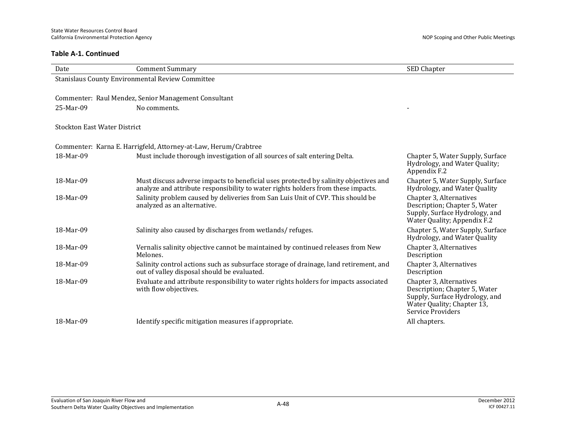| Date                                | <b>Comment Summary</b>                                                                                                                                                   | SED Chapter                                                                                                                                   |
|-------------------------------------|--------------------------------------------------------------------------------------------------------------------------------------------------------------------------|-----------------------------------------------------------------------------------------------------------------------------------------------|
|                                     | Stanislaus County Environmental Review Committee                                                                                                                         |                                                                                                                                               |
|                                     |                                                                                                                                                                          |                                                                                                                                               |
|                                     | Commenter: Raul Mendez, Senior Management Consultant                                                                                                                     |                                                                                                                                               |
| 25-Mar-09                           | No comments.                                                                                                                                                             |                                                                                                                                               |
|                                     |                                                                                                                                                                          |                                                                                                                                               |
| <b>Stockton East Water District</b> |                                                                                                                                                                          |                                                                                                                                               |
|                                     | Commenter: Karna E. Harrigfeld, Attorney-at-Law, Herum/Crabtree                                                                                                          |                                                                                                                                               |
| 18-Mar-09                           | Must include thorough investigation of all sources of salt entering Delta.                                                                                               | Chapter 5, Water Supply, Surface<br>Hydrology, and Water Quality;<br>Appendix F.2                                                             |
| 18-Mar-09                           | Must discuss adverse impacts to beneficial uses protected by salinity objectives and<br>analyze and attribute responsibility to water rights holders from these impacts. | Chapter 5, Water Supply, Surface<br>Hydrology, and Water Quality                                                                              |
| 18-Mar-09                           | Salinity problem caused by deliveries from San Luis Unit of CVP. This should be<br>analyzed as an alternative.                                                           | Chapter 3, Alternatives<br>Description; Chapter 5, Water<br>Supply, Surface Hydrology, and<br>Water Quality; Appendix F.2                     |
| 18-Mar-09                           | Salinity also caused by discharges from wetlands/refuges.                                                                                                                | Chapter 5, Water Supply, Surface<br>Hydrology, and Water Quality                                                                              |
| 18-Mar-09                           | Vernalis salinity objective cannot be maintained by continued releases from New<br>Melones.                                                                              | Chapter 3, Alternatives<br>Description                                                                                                        |
| 18-Mar-09                           | Salinity control actions such as subsurface storage of drainage, land retirement, and<br>out of valley disposal should be evaluated.                                     | Chapter 3, Alternatives<br>Description                                                                                                        |
| 18-Mar-09                           | Evaluate and attribute responsibility to water rights holders for impacts associated<br>with flow objectives.                                                            | Chapter 3, Alternatives<br>Description; Chapter 5, Water<br>Supply, Surface Hydrology, and<br>Water Quality; Chapter 13,<br>Service Providers |
| 18-Mar-09                           | Identify specific mitigation measures if appropriate.                                                                                                                    | All chapters.                                                                                                                                 |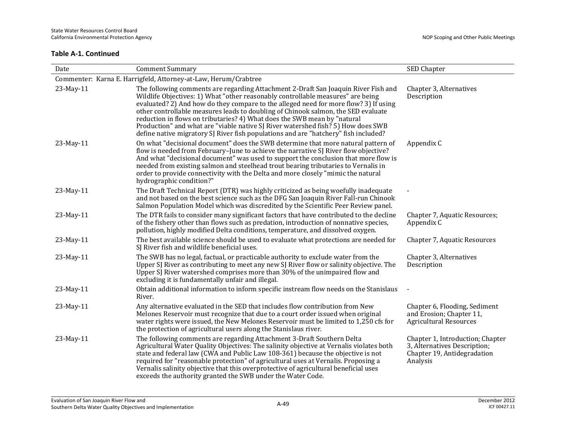| Date                                                            | <b>Comment Summary</b>                                                                                                                                                                                                                                                                                                                                                                                                                                                                                                                                                                                    | SED Chapter                                                                                                 |  |
|-----------------------------------------------------------------|-----------------------------------------------------------------------------------------------------------------------------------------------------------------------------------------------------------------------------------------------------------------------------------------------------------------------------------------------------------------------------------------------------------------------------------------------------------------------------------------------------------------------------------------------------------------------------------------------------------|-------------------------------------------------------------------------------------------------------------|--|
| Commenter: Karna E. Harrigfeld, Attorney-at-Law, Herum/Crabtree |                                                                                                                                                                                                                                                                                                                                                                                                                                                                                                                                                                                                           |                                                                                                             |  |
| 23-May-11                                                       | The following comments are regarding Attachment 2-Draft San Joaquin River Fish and<br>Wildlife Objectives: 1) What "other reasonably controllable measures" are being<br>evaluated? 2) And how do they compare to the alleged need for more flow? 3) If using<br>other controllable measures leads to doubling of Chinook salmon, the SED evaluate<br>reduction in flows on tributaries? 4) What does the SWB mean by "natural<br>Production" and what are "viable native SJ River watershed fish? 5) How does SWB<br>define native migratory SJ River fish populations and are "hatchery" fish included? | Chapter 3, Alternatives<br>Description                                                                      |  |
| 23-May-11                                                       | On what "decisional document" does the SWB determine that more natural pattern of<br>flow is needed from February-June to achieve the narrative SJ River flow objective?<br>And what "decisional document" was used to support the conclusion that more flow is<br>needed from existing salmon and steelhead trout bearing tributaries to Vernalis in<br>order to provide connectivity with the Delta and more closely "mimic the natural<br>hydrographic condition?"                                                                                                                                     | Appendix C                                                                                                  |  |
| 23-May-11                                                       | The Draft Technical Report (DTR) was highly criticized as being woefully inadequate<br>and not based on the best science such as the DFG San Joaquin River Fall-run Chinook<br>Salmon Population Model which was discredited by the Scientific Peer Review panel.                                                                                                                                                                                                                                                                                                                                         |                                                                                                             |  |
| 23-May-11                                                       | The DTR fails to consider many significant factors that have contributed to the decline<br>of the fishery other than flows such as predation, introduction of nonnative species,<br>pollution, highly modified Delta conditions, temperature, and dissolved oxygen.                                                                                                                                                                                                                                                                                                                                       | Chapter 7, Aquatic Resources;<br>Appendix C                                                                 |  |
| 23-May-11                                                       | The best available science should be used to evaluate what protections are needed for<br>SJ River fish and wildlife beneficial uses.                                                                                                                                                                                                                                                                                                                                                                                                                                                                      | Chapter 7, Aquatic Resources                                                                                |  |
| 23-May-11                                                       | The SWB has no legal, factual, or practicable authority to exclude water from the<br>Upper SJ River as contributing to meet any new SJ River flow or salinity objective. The<br>Upper SJ River watershed comprises more than 30% of the unimpaired flow and<br>excluding it is fundamentally unfair and illegal.                                                                                                                                                                                                                                                                                          | Chapter 3, Alternatives<br>Description                                                                      |  |
| 23-May-11                                                       | Obtain additional information to inform specific instream flow needs on the Stanislaus<br>River.                                                                                                                                                                                                                                                                                                                                                                                                                                                                                                          |                                                                                                             |  |
| 23-May-11                                                       | Any alternative evaluated in the SED that includes flow contribution from New<br>Melones Reservoir must recognize that due to a court order issued when original<br>water rights were issued, the New Melones Reservoir must be limited to 1,250 cfs for<br>the protection of agricultural users along the Stanislaus river.                                                                                                                                                                                                                                                                              | Chapter 6, Flooding, Sediment<br>and Erosion; Chapter 11,<br><b>Agricultural Resources</b>                  |  |
| 23-May-11                                                       | The following comments are regarding Attachment 3-Draft Southern Delta<br>Agricultural Water Quality Objectives: The salinity objective at Vernalis violates both<br>state and federal law (CWA and Public Law 108-361) because the objective is not<br>required for "reasonable protection" of agricultural uses at Vernalis. Proposing a<br>Vernalis salinity objective that this overprotective of agricultural beneficial uses<br>exceeds the authority granted the SWB under the Water Code.                                                                                                         | Chapter 1, Introduction; Chapter<br>3, Alternatives Description;<br>Chapter 19, Antidegradation<br>Analysis |  |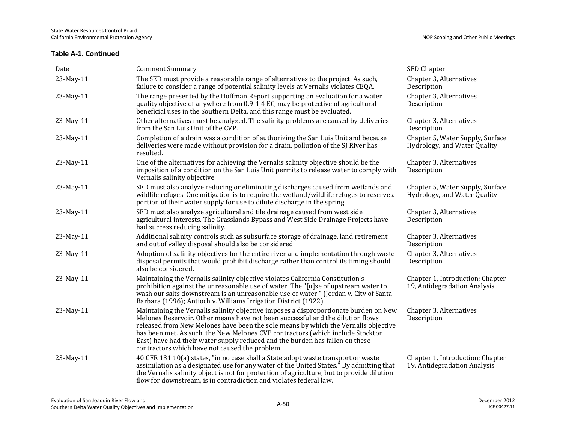| Date      | <b>Comment Summary</b>                                                                                                                                                                                                                                                                                                                                                                                                                                                           | SED Chapter                                                      |
|-----------|----------------------------------------------------------------------------------------------------------------------------------------------------------------------------------------------------------------------------------------------------------------------------------------------------------------------------------------------------------------------------------------------------------------------------------------------------------------------------------|------------------------------------------------------------------|
| 23-May-11 | The SED must provide a reasonable range of alternatives to the project. As such,<br>failure to consider a range of potential salinity levels at Vernalis violates CEQA.                                                                                                                                                                                                                                                                                                          | Chapter 3, Alternatives<br>Description                           |
| 23-May-11 | The range presented by the Hoffman Report supporting an evaluation for a water<br>quality objective of anywhere from 0.9-1.4 EC, may be protective of agricultural<br>beneficial uses in the Southern Delta, and this range must be evaluated.                                                                                                                                                                                                                                   | Chapter 3, Alternatives<br>Description                           |
| 23-May-11 | Other alternatives must be analyzed. The salinity problems are caused by deliveries<br>from the San Luis Unit of the CVP.                                                                                                                                                                                                                                                                                                                                                        | Chapter 3, Alternatives<br>Description                           |
| 23-May-11 | Completion of a drain was a condition of authorizing the San Luis Unit and because<br>deliveries were made without provision for a drain, pollution of the SJ River has<br>resulted.                                                                                                                                                                                                                                                                                             | Chapter 5, Water Supply, Surface<br>Hydrology, and Water Quality |
| 23-May-11 | One of the alternatives for achieving the Vernalis salinity objective should be the<br>imposition of a condition on the San Luis Unit permits to release water to comply with<br>Vernalis salinity objective.                                                                                                                                                                                                                                                                    | Chapter 3, Alternatives<br>Description                           |
| 23-May-11 | SED must also analyze reducing or eliminating discharges caused from wetlands and<br>wildlife refuges. One mitigation is to require the wetland/wildlife refuges to reserve a<br>portion of their water supply for use to dilute discharge in the spring.                                                                                                                                                                                                                        | Chapter 5, Water Supply, Surface<br>Hydrology, and Water Quality |
| 23-May-11 | SED must also analyze agricultural and tile drainage caused from west side<br>agricultural interests. The Grasslands Bypass and West Side Drainage Projects have<br>had success reducing salinity.                                                                                                                                                                                                                                                                               | Chapter 3, Alternatives<br>Description                           |
| 23-May-11 | Additional salinity controls such as subsurface storage of drainage, land retirement<br>and out of valley disposal should also be considered.                                                                                                                                                                                                                                                                                                                                    | Chapter 3, Alternatives<br>Description                           |
| 23-May-11 | Adoption of salinity objectives for the entire river and implementation through waste<br>disposal permits that would prohibit discharge rather than control its timing should<br>also be considered.                                                                                                                                                                                                                                                                             | Chapter 3, Alternatives<br>Description                           |
| 23-May-11 | Maintaining the Vernalis salinity objective violates California Constitution's<br>prohibition against the unreasonable use of water. The "[u]se of upstream water to<br>wash our salts downstream is an unreasonable use of water." (Jordan v. City of Santa<br>Barbara (1996); Antioch v. Williams Irrigation District (1922).                                                                                                                                                  | Chapter 1, Introduction; Chapter<br>19, Antidegradation Analysis |
| 23-May-11 | Maintaining the Vernalis salinity objective imposes a disproportionate burden on New<br>Melones Reservoir. Other means have not been successful and the dilution flows<br>released from New Melones have been the sole means by which the Vernalis objective<br>has been met. As such, the New Melones CVP contractors (which include Stockton<br>East) have had their water supply reduced and the burden has fallen on these<br>contractors which have not caused the problem. | Chapter 3, Alternatives<br>Description                           |
| 23-May-11 | 40 CFR 131.10(a) states, "in no case shall a State adopt waste transport or waste<br>assimilation as a designated use for any water of the United States." By admitting that<br>the Vernalis salinity object is not for protection of agriculture, but to provide dilution<br>flow for downstream, is in contradiction and violates federal law.                                                                                                                                 | Chapter 1, Introduction; Chapter<br>19, Antidegradation Analysis |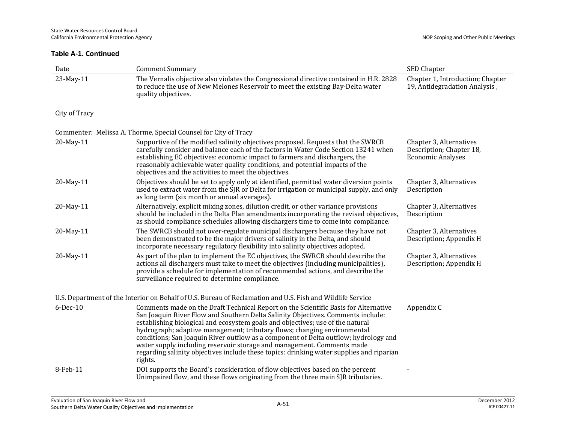| Date                                                                                                       | <b>Comment Summary</b>                                                                                                                                                                                                                                                                                                                                                                                                                                                                                                                                                                                         | SED Chapter                                                                     |  |
|------------------------------------------------------------------------------------------------------------|----------------------------------------------------------------------------------------------------------------------------------------------------------------------------------------------------------------------------------------------------------------------------------------------------------------------------------------------------------------------------------------------------------------------------------------------------------------------------------------------------------------------------------------------------------------------------------------------------------------|---------------------------------------------------------------------------------|--|
| 23-May-11                                                                                                  | The Vernalis objective also violates the Congressional directive contained in H.R. 2828<br>to reduce the use of New Melones Reservoir to meet the existing Bay-Delta water<br>quality objectives.                                                                                                                                                                                                                                                                                                                                                                                                              | Chapter 1, Introduction; Chapter<br>19, Antidegradation Analysis,               |  |
| City of Tracy                                                                                              |                                                                                                                                                                                                                                                                                                                                                                                                                                                                                                                                                                                                                |                                                                                 |  |
|                                                                                                            | Commenter: Melissa A. Thorme, Special Counsel for City of Tracy                                                                                                                                                                                                                                                                                                                                                                                                                                                                                                                                                |                                                                                 |  |
| 20-May-11                                                                                                  | Supportive of the modified salinity objectives proposed. Requests that the SWRCB<br>carefully consider and balance each of the factors in Water Code Section 13241 when<br>establishing EC objectives: economic impact to farmers and dischargers, the<br>reasonably achievable water quality conditions, and potential impacts of the<br>objectives and the activities to meet the objectives.                                                                                                                                                                                                                | Chapter 3, Alternatives<br>Description; Chapter 18,<br><b>Economic Analyses</b> |  |
| 20-May-11                                                                                                  | Objectives should be set to apply only at identified, permitted water diversion points<br>used to extract water from the SJR or Delta for irrigation or municipal supply, and only<br>as long term (six month or annual averages).                                                                                                                                                                                                                                                                                                                                                                             | Chapter 3, Alternatives<br>Description                                          |  |
| 20-May-11                                                                                                  | Alternatively, explicit mixing zones, dilution credit, or other variance provisions<br>should be included in the Delta Plan amendments incorporating the revised objectives,<br>as should compliance schedules allowing dischargers time to come into compliance.                                                                                                                                                                                                                                                                                                                                              | Chapter 3, Alternatives<br>Description                                          |  |
| 20-May-11                                                                                                  | The SWRCB should not over-regulate municipal dischargers because they have not<br>been demonstrated to be the major drivers of salinity in the Delta, and should<br>incorporate necessary regulatory flexibility into salinity objectives adopted.                                                                                                                                                                                                                                                                                                                                                             | Chapter 3, Alternatives<br>Description; Appendix H                              |  |
| 20-May-11                                                                                                  | As part of the plan to implement the EC objectives, the SWRCB should describe the<br>actions all dischargers must take to meet the objectives (including municipalities),<br>provide a schedule for implementation of recommended actions, and describe the<br>surveillance required to determine compliance.                                                                                                                                                                                                                                                                                                  | Chapter 3, Alternatives<br>Description; Appendix H                              |  |
| U.S. Department of the Interior on Behalf of U.S. Bureau of Reclamation and U.S. Fish and Wildlife Service |                                                                                                                                                                                                                                                                                                                                                                                                                                                                                                                                                                                                                |                                                                                 |  |
| 6-Dec-10                                                                                                   | Comments made on the Draft Technical Report on the Scientific Basis for Alternative<br>San Joaquin River Flow and Southern Delta Salinity Objectives. Comments include:<br>establishing biological and ecosystem goals and objectives; use of the natural<br>hydrograph; adaptive management; tributary flows; changing environmental<br>conditions; San Joaquin River outflow as a component of Delta outflow; hydrology and<br>water supply including reservoir storage and management. Comments made<br>regarding salinity objectives include these topics: drinking water supplies and riparian<br>rights. | Appendix C                                                                      |  |
| 8-Feb-11                                                                                                   | DOI supports the Board's consideration of flow objectives based on the percent<br>Unimpaired flow, and these flows originating from the three main SJR tributaries.                                                                                                                                                                                                                                                                                                                                                                                                                                            |                                                                                 |  |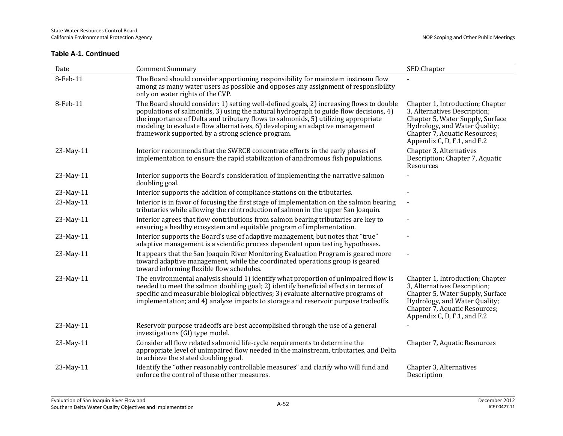| Date      | <b>Comment Summary</b>                                                                                                                                                                                                                                                                                                                                                                                     | SED Chapter                                                                                                                                                                                           |
|-----------|------------------------------------------------------------------------------------------------------------------------------------------------------------------------------------------------------------------------------------------------------------------------------------------------------------------------------------------------------------------------------------------------------------|-------------------------------------------------------------------------------------------------------------------------------------------------------------------------------------------------------|
| 8-Feb-11  | The Board should consider apportioning responsibility for mainstem instream flow<br>among as many water users as possible and opposes any assignment of responsibility<br>only on water rights of the CVP.                                                                                                                                                                                                 |                                                                                                                                                                                                       |
| 8-Feb-11  | The Board should consider: 1) setting well-defined goals, 2) increasing flows to double<br>populations of salmonids, 3) using the natural hydrograph to guide flow decisions, 4)<br>the importance of Delta and tributary flows to salmonids, 5) utilizing appropriate<br>modeling to evaluate flow alternatives, 6) developing an adaptive management<br>framework supported by a strong science program. | Chapter 1, Introduction; Chapter<br>3, Alternatives Description;<br>Chapter 5, Water Supply, Surface<br>Hydrology, and Water Quality;<br>Chapter 7, Aquatic Resources;<br>Appendix C, D, F.1, and F.2 |
| 23-May-11 | Interior recommends that the SWRCB concentrate efforts in the early phases of<br>implementation to ensure the rapid stabilization of anadromous fish populations.                                                                                                                                                                                                                                          | Chapter 3, Alternatives<br>Description; Chapter 7, Aquatic<br>Resources                                                                                                                               |
| 23-May-11 | Interior supports the Board's consideration of implementing the narrative salmon<br>doubling goal.                                                                                                                                                                                                                                                                                                         |                                                                                                                                                                                                       |
| 23-May-11 | Interior supports the addition of compliance stations on the tributaries.                                                                                                                                                                                                                                                                                                                                  |                                                                                                                                                                                                       |
| 23-May-11 | Interior is in favor of focusing the first stage of implementation on the salmon bearing<br>tributaries while allowing the reintroduction of salmon in the upper San Joaquin.                                                                                                                                                                                                                              |                                                                                                                                                                                                       |
| 23-May-11 | Interior agrees that flow contributions from salmon bearing tributaries are key to<br>ensuring a healthy ecosystem and equitable program of implementation.                                                                                                                                                                                                                                                |                                                                                                                                                                                                       |
| 23-May-11 | Interior supports the Board's use of adaptive management, but notes that "true"<br>adaptive management is a scientific process dependent upon testing hypotheses.                                                                                                                                                                                                                                          |                                                                                                                                                                                                       |
| 23-May-11 | It appears that the San Joaquin River Monitoring Evaluation Program is geared more<br>toward adaptive management, while the coordinated operations group is geared<br>toward informing flexible flow schedules.                                                                                                                                                                                            |                                                                                                                                                                                                       |
| 23-May-11 | The environmental analysis should 1) identify what proportion of unimpaired flow is<br>needed to meet the salmon doubling goal; 2) identify beneficial effects in terms of<br>specific and measurable biological objectives; 3) evaluate alternative programs of<br>implementation; and 4) analyze impacts to storage and reservoir purpose tradeoffs.                                                     | Chapter 1, Introduction; Chapter<br>3, Alternatives Description;<br>Chapter 5, Water Supply, Surface<br>Hydrology, and Water Quality;<br>Chapter 7, Aquatic Resources;<br>Appendix C, D, F.1, and F.2 |
| 23-May-11 | Reservoir purpose tradeoffs are best accomplished through the use of a general<br>investigations (GI) type model.                                                                                                                                                                                                                                                                                          |                                                                                                                                                                                                       |
| 23-May-11 | Consider all flow related salmonid life-cycle requirements to determine the<br>appropriate level of unimpaired flow needed in the mainstream, tributaries, and Delta<br>to achieve the stated doubling goal.                                                                                                                                                                                               | Chapter 7, Aquatic Resources                                                                                                                                                                          |
| 23-May-11 | Identify the "other reasonably controllable measures" and clarify who will fund and<br>enforce the control of these other measures.                                                                                                                                                                                                                                                                        | Chapter 3, Alternatives<br>Description                                                                                                                                                                |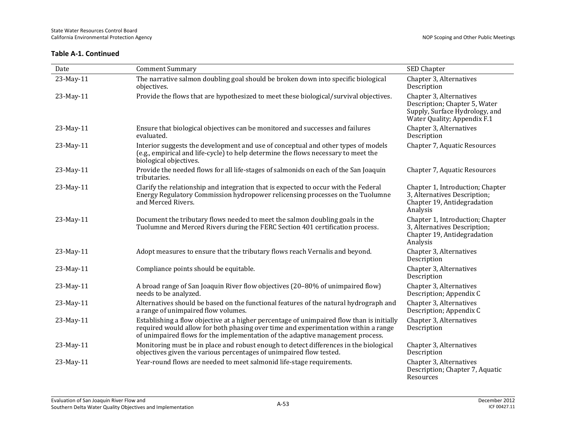| Date      | <b>Comment Summary</b>                                                                                                                                                                                                                                            | <b>SED Chapter</b>                                                                                                        |
|-----------|-------------------------------------------------------------------------------------------------------------------------------------------------------------------------------------------------------------------------------------------------------------------|---------------------------------------------------------------------------------------------------------------------------|
| 23-May-11 | The narrative salmon doubling goal should be broken down into specific biological<br>objectives.                                                                                                                                                                  | Chapter 3, Alternatives<br>Description                                                                                    |
| 23-May-11 | Provide the flows that are hypothesized to meet these biological/survival objectives.                                                                                                                                                                             | Chapter 3, Alternatives<br>Description; Chapter 5, Water<br>Supply, Surface Hydrology, and<br>Water Quality; Appendix F.1 |
| 23-May-11 | Ensure that biological objectives can be monitored and successes and failures<br>evaluated.                                                                                                                                                                       | Chapter 3, Alternatives<br>Description                                                                                    |
| 23-May-11 | Interior suggests the development and use of conceptual and other types of models<br>(e.g., empirical and life-cycle) to help determine the flows necessary to meet the<br>biological objectives.                                                                 | Chapter 7, Aquatic Resources                                                                                              |
| 23-May-11 | Provide the needed flows for all life-stages of salmonids on each of the San Joaquin<br>tributaries.                                                                                                                                                              | Chapter 7, Aquatic Resources                                                                                              |
| 23-May-11 | Clarify the relationship and integration that is expected to occur with the Federal<br>Energy Regulatory Commission hydropower relicensing processes on the Tuolumne<br>and Merced Rivers.                                                                        | Chapter 1, Introduction; Chapter<br>3, Alternatives Description;<br>Chapter 19, Antidegradation<br>Analysis               |
| 23-May-11 | Document the tributary flows needed to meet the salmon doubling goals in the<br>Tuolumne and Merced Rivers during the FERC Section 401 certification process.                                                                                                     | Chapter 1, Introduction; Chapter<br>3, Alternatives Description;<br>Chapter 19, Antidegradation<br>Analysis               |
| 23-May-11 | Adopt measures to ensure that the tributary flows reach Vernalis and beyond.                                                                                                                                                                                      | Chapter 3, Alternatives<br>Description                                                                                    |
| 23-May-11 | Compliance points should be equitable.                                                                                                                                                                                                                            | Chapter 3, Alternatives<br>Description                                                                                    |
| 23-May-11 | A broad range of San Joaquin River flow objectives (20-80% of unimpaired flow)<br>needs to be analyzed.                                                                                                                                                           | Chapter 3, Alternatives<br>Description; Appendix C                                                                        |
| 23-May-11 | Alternatives should be based on the functional features of the natural hydrograph and<br>a range of unimpaired flow volumes.                                                                                                                                      | Chapter 3, Alternatives<br>Description; Appendix C                                                                        |
| 23-May-11 | Establishing a flow objective at a higher percentage of unimpaired flow than is initially<br>required would allow for both phasing over time and experimentation within a range<br>of unimpaired flows for the implementation of the adaptive management process. | Chapter 3, Alternatives<br>Description                                                                                    |
| 23-May-11 | Monitoring must be in place and robust enough to detect differences in the biological<br>objectives given the various percentages of unimpaired flow tested.                                                                                                      | Chapter 3, Alternatives<br>Description                                                                                    |
| 23-May-11 | Year-round flows are needed to meet salmonid life-stage requirements.                                                                                                                                                                                             | Chapter 3, Alternatives<br>Description; Chapter 7, Aquatic<br>Resources                                                   |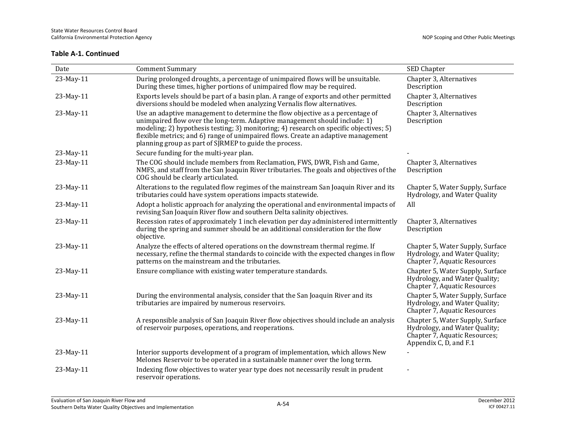| Date      | <b>Comment Summary</b>                                                                                                                                                                                                                                                                                                                                                                               | SED Chapter                                                                                                                  |
|-----------|------------------------------------------------------------------------------------------------------------------------------------------------------------------------------------------------------------------------------------------------------------------------------------------------------------------------------------------------------------------------------------------------------|------------------------------------------------------------------------------------------------------------------------------|
| 23-May-11 | During prolonged droughts, a percentage of unimpaired flows will be unsuitable.<br>During these times, higher portions of unimpaired flow may be required.                                                                                                                                                                                                                                           | Chapter 3, Alternatives<br>Description                                                                                       |
| 23-May-11 | Exports levels should be part of a basin plan. A range of exports and other permitted<br>diversions should be modeled when analyzing Vernalis flow alternatives.                                                                                                                                                                                                                                     | Chapter 3, Alternatives<br>Description                                                                                       |
| 23-May-11 | Use an adaptive management to determine the flow objective as a percentage of<br>unimpaired flow over the long-term. Adaptive management should include: 1)<br>modeling; 2) hypothesis testing; 3) monitoring; 4) research on specific objectives; 5)<br>flexible metrics; and 6) range of unimpaired flows. Create an adaptive management<br>planning group as part of SJRMEP to guide the process. | Chapter 3, Alternatives<br>Description                                                                                       |
| 23-May-11 | Secure funding for the multi-year plan.                                                                                                                                                                                                                                                                                                                                                              |                                                                                                                              |
| 23-May-11 | The COG should include members from Reclamation, FWS, DWR, Fish and Game,<br>NMFS, and staff from the San Joaquin River tributaries. The goals and objectives of the<br>COG should be clearly articulated.                                                                                                                                                                                           | Chapter 3, Alternatives<br>Description                                                                                       |
| 23-May-11 | Alterations to the regulated flow regimes of the mainstream San Joaquin River and its<br>tributaries could have system operations impacts statewide.                                                                                                                                                                                                                                                 | Chapter 5, Water Supply, Surface<br>Hydrology, and Water Quality                                                             |
| 23-May-11 | Adopt a holistic approach for analyzing the operational and environmental impacts of<br>revising San Joaquin River flow and southern Delta salinity objectives.                                                                                                                                                                                                                                      | All                                                                                                                          |
| 23-May-11 | Recession rates of approximately 1 inch elevation per day administered intermittently<br>during the spring and summer should be an additional consideration for the flow<br>objective.                                                                                                                                                                                                               | Chapter 3, Alternatives<br>Description                                                                                       |
| 23-May-11 | Analyze the effects of altered operations on the downstream thermal regime. If<br>necessary, refine the thermal standards to coincide with the expected changes in flow<br>patterns on the mainstream and the tributaries.                                                                                                                                                                           | Chapter 5, Water Supply, Surface<br>Hydrology, and Water Quality;<br>Chapter 7, Aquatic Resources                            |
| 23-May-11 | Ensure compliance with existing water temperature standards.                                                                                                                                                                                                                                                                                                                                         | Chapter 5, Water Supply, Surface<br>Hydrology, and Water Quality;<br>Chapter 7, Aquatic Resources                            |
| 23-May-11 | During the environmental analysis, consider that the San Joaquin River and its<br>tributaries are impaired by numerous reservoirs.                                                                                                                                                                                                                                                                   | Chapter 5, Water Supply, Surface<br>Hydrology, and Water Quality;<br>Chapter 7, Aquatic Resources                            |
| 23-May-11 | A responsible analysis of San Joaquin River flow objectives should include an analysis<br>of reservoir purposes, operations, and reoperations.                                                                                                                                                                                                                                                       | Chapter 5, Water Supply, Surface<br>Hydrology, and Water Quality;<br>Chapter 7, Aquatic Resources;<br>Appendix C, D, and F.1 |
| 23-May-11 | Interior supports development of a program of implementation, which allows New<br>Melones Reservoir to be operated in a sustainable manner over the long term.                                                                                                                                                                                                                                       |                                                                                                                              |
| 23-May-11 | Indexing flow objectives to water year type does not necessarily result in prudent<br>reservoir operations.                                                                                                                                                                                                                                                                                          |                                                                                                                              |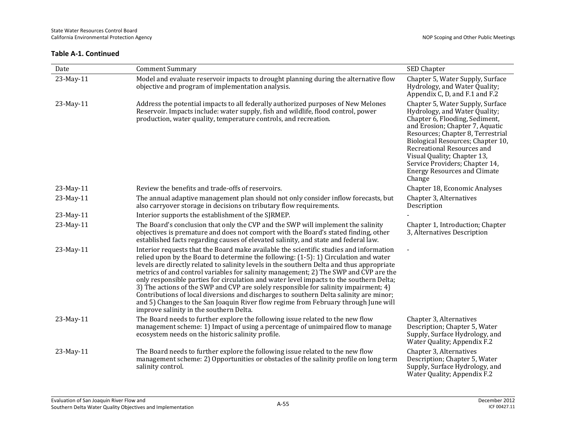| Date      | <b>Comment Summary</b>                                                                                                                                                                                                                                                                                                                                                                                                                                                                                                                                                                                                                                                                                                                                                             | SED Chapter                                                                                                                                                                                                                                                                                                                                                      |
|-----------|------------------------------------------------------------------------------------------------------------------------------------------------------------------------------------------------------------------------------------------------------------------------------------------------------------------------------------------------------------------------------------------------------------------------------------------------------------------------------------------------------------------------------------------------------------------------------------------------------------------------------------------------------------------------------------------------------------------------------------------------------------------------------------|------------------------------------------------------------------------------------------------------------------------------------------------------------------------------------------------------------------------------------------------------------------------------------------------------------------------------------------------------------------|
| 23-May-11 | Model and evaluate reservoir impacts to drought planning during the alternative flow<br>objective and program of implementation analysis.                                                                                                                                                                                                                                                                                                                                                                                                                                                                                                                                                                                                                                          | Chapter 5, Water Supply, Surface<br>Hydrology, and Water Quality;<br>Appendix C, D, and F.1 and F.2                                                                                                                                                                                                                                                              |
| 23-May-11 | Address the potential impacts to all federally authorized purposes of New Melones<br>Reservoir. Impacts include: water supply, fish and wildlife, flood control, power<br>production, water quality, temperature controls, and recreation.                                                                                                                                                                                                                                                                                                                                                                                                                                                                                                                                         | Chapter 5, Water Supply, Surface<br>Hydrology, and Water Quality;<br>Chapter 6, Flooding, Sediment,<br>and Erosion; Chapter 7, Aquatic<br>Resources; Chapter 8, Terrestrial<br>Biological Resources; Chapter 10,<br>Recreational Resources and<br>Visual Quality; Chapter 13,<br>Service Providers; Chapter 14,<br><b>Energy Resources and Climate</b><br>Change |
| 23-May-11 | Review the benefits and trade-offs of reservoirs.                                                                                                                                                                                                                                                                                                                                                                                                                                                                                                                                                                                                                                                                                                                                  | Chapter 18, Economic Analyses                                                                                                                                                                                                                                                                                                                                    |
| 23-May-11 | The annual adaptive management plan should not only consider inflow forecasts, but<br>also carryover storage in decisions on tributary flow requirements.                                                                                                                                                                                                                                                                                                                                                                                                                                                                                                                                                                                                                          | Chapter 3, Alternatives<br>Description                                                                                                                                                                                                                                                                                                                           |
| 23-May-11 | Interior supports the establishment of the SJRMEP.                                                                                                                                                                                                                                                                                                                                                                                                                                                                                                                                                                                                                                                                                                                                 |                                                                                                                                                                                                                                                                                                                                                                  |
| 23-May-11 | The Board's conclusion that only the CVP and the SWP will implement the salinity<br>objectives is premature and does not comport with the Board's stated finding, other<br>established facts regarding causes of elevated salinity, and state and federal law.                                                                                                                                                                                                                                                                                                                                                                                                                                                                                                                     | Chapter 1, Introduction; Chapter<br>3, Alternatives Description                                                                                                                                                                                                                                                                                                  |
| 23-May-11 | Interior requests that the Board make available the scientific studies and information<br>relied upon by the Board to determine the following: (1-5): 1) Circulation and water<br>levels are directly related to salinity levels in the southern Delta and thus appropriate<br>metrics of and control variables for salinity management; 2) The SWP and CVP are the<br>only responsible parties for circulation and water level impacts to the southern Delta;<br>3) The actions of the SWP and CVP are solely responsible for salinity impairment; 4)<br>Contributions of local diversions and discharges to southern Delta salinity are minor;<br>and 5) Changes to the San Joaquin River flow regime from February through June will<br>improve salinity in the southern Delta. |                                                                                                                                                                                                                                                                                                                                                                  |
| 23-May-11 | The Board needs to further explore the following issue related to the new flow<br>management scheme: 1) Impact of using a percentage of unimpaired flow to manage<br>ecosystem needs on the historic salinity profile.                                                                                                                                                                                                                                                                                                                                                                                                                                                                                                                                                             | Chapter 3, Alternatives<br>Description; Chapter 5, Water<br>Supply, Surface Hydrology, and<br>Water Quality; Appendix F.2                                                                                                                                                                                                                                        |
| 23-May-11 | The Board needs to further explore the following issue related to the new flow<br>management scheme: 2) Opportunities or obstacles of the salinity profile on long term<br>salinity control.                                                                                                                                                                                                                                                                                                                                                                                                                                                                                                                                                                                       | Chapter 3, Alternatives<br>Description; Chapter 5, Water<br>Supply, Surface Hydrology, and<br>Water Quality; Appendix F.2                                                                                                                                                                                                                                        |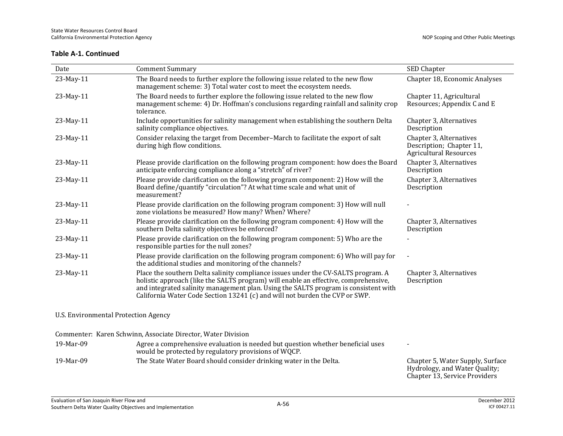| Date                                 | <b>Comment Summary</b>                                                                                                                                                                                                                                                                                                                         | SED Chapter                                                                          |
|--------------------------------------|------------------------------------------------------------------------------------------------------------------------------------------------------------------------------------------------------------------------------------------------------------------------------------------------------------------------------------------------|--------------------------------------------------------------------------------------|
| 23-May-11                            | The Board needs to further explore the following issue related to the new flow<br>management scheme: 3) Total water cost to meet the ecosystem needs.                                                                                                                                                                                          | Chapter 18, Economic Analyses                                                        |
| 23-May-11                            | The Board needs to further explore the following issue related to the new flow<br>management scheme: 4) Dr. Hoffman's conclusions regarding rainfall and salinity crop<br>tolerance.                                                                                                                                                           | Chapter 11, Agricultural<br>Resources; Appendix C and E                              |
| 23-May-11                            | Include opportunities for salinity management when establishing the southern Delta<br>salinity compliance objectives.                                                                                                                                                                                                                          | Chapter 3, Alternatives<br>Description                                               |
| 23-May-11                            | Consider relaxing the target from December-March to facilitate the export of salt<br>during high flow conditions.                                                                                                                                                                                                                              | Chapter 3, Alternatives<br>Description; Chapter 11,<br><b>Agricultural Resources</b> |
| 23-May-11                            | Please provide clarification on the following program component: how does the Board<br>anticipate enforcing compliance along a "stretch" of river?                                                                                                                                                                                             | Chapter 3, Alternatives<br>Description                                               |
| 23-May-11                            | Please provide clarification on the following program component: 2) How will the<br>Board define/quantify "circulation"? At what time scale and what unit of<br>measurement?                                                                                                                                                                   | Chapter 3, Alternatives<br>Description                                               |
| 23-May-11                            | Please provide clarification on the following program component: 3) How will null<br>zone violations be measured? How many? When? Where?                                                                                                                                                                                                       |                                                                                      |
| 23-May-11                            | Please provide clarification on the following program component: 4) How will the<br>southern Delta salinity objectives be enforced?                                                                                                                                                                                                            | Chapter 3, Alternatives<br>Description                                               |
| 23-May-11                            | Please provide clarification on the following program component: 5) Who are the<br>responsible parties for the null zones?                                                                                                                                                                                                                     |                                                                                      |
| 23-May-11                            | Please provide clarification on the following program component: 6) Who will pay for<br>the additional studies and monitoring of the channels?                                                                                                                                                                                                 |                                                                                      |
| 23-May-11                            | Place the southern Delta salinity compliance issues under the CV-SALTS program. A<br>holistic approach (like the SALTS program) will enable an effective, comprehensive,<br>and integrated salinity management plan. Using the SALTS program is consistent with<br>California Water Code Section 13241 (c) and will not burden the CVP or SWP. | Chapter 3, Alternatives<br>Description                                               |
| U.S. Environmental Protection Agency |                                                                                                                                                                                                                                                                                                                                                |                                                                                      |

Commenter: Karen Schwinn, Associate Director, Water Division

19-Mar-09 Agree a comprehensive evaluation is needed but question whether beneficial uses would be protected by regulatory provisions of WQCP. - 19-Mar-09 The State Water Board should consider drinking water in the Delta. Chapter 5, Water Supply, Surface

Hydrology, and Water Quality; Chapter 13, Service Providers